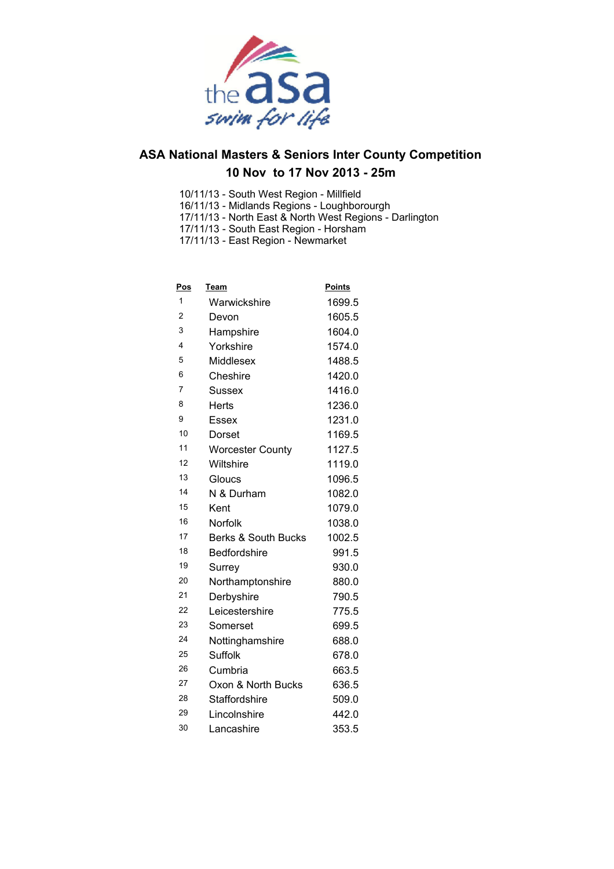

- 10/11/13 South West Region Millfield
- 16/11/13 Midlands Regions Loughborourgh
- 17/11/13 North East & North West Regions Darlington
- 17/11/13 South East Region Horsham 17/11/13 - East Region - Newmarket

**Pos Team Points** Warwickshire 1699.5 Devon 1605.5 Hampshire 1604.0 4 Yorkshire 1574.0 Middlesex 1488.5 Cheshire 1420.0 Sussex 1416.0 8 Herts 1236.0 Essex 1231.0 Dorset 1169.5 11 Worcester County 1127.5 Wiltshire 1119.0 Gloucs 1096.5 N & Durham 1082.0 15 Kent 1079.0 Norfolk 1038.0 Berks & South Bucks 1002.5 18 Bedfordshire 991.5 Surrey 930.0 Northamptonshire 880.0 21 Derbyshire 790.5 Leicestershire 775.5 Somerset 699.5 Nottinghamshire 688.0 Suffolk 678.0 Cumbria 663.5 Oxon & North Bucks 636.5 28 Staffordshire 509.0 Lincolnshire 442.0 Lancashire 353.5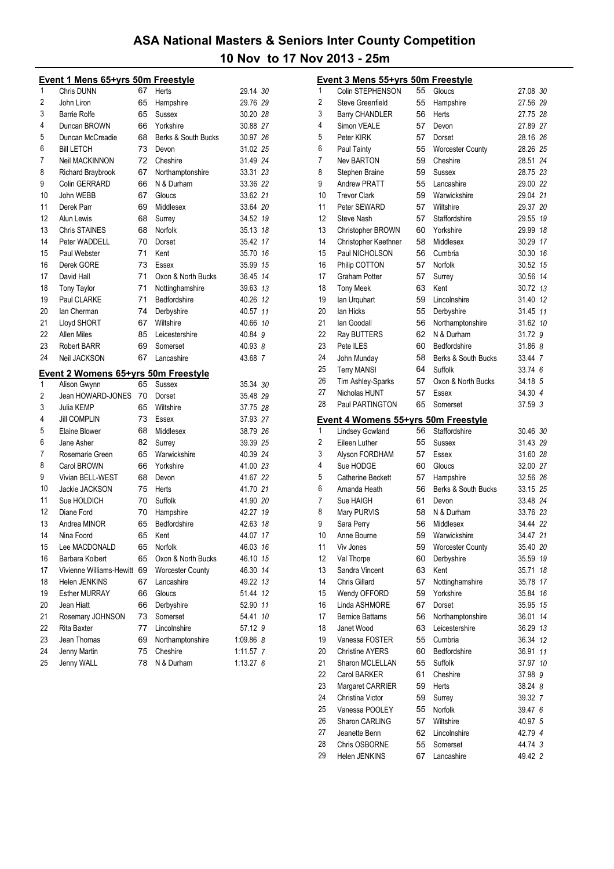|    | <b>Event 1 Mens 65+yrs 50m Freestyle</b>                   |    |                         |             |
|----|------------------------------------------------------------|----|-------------------------|-------------|
| 1  | Chris DUNN                                                 | 67 | Herts                   | 29.14 30    |
| 2  | John Liron                                                 | 65 | Hampshire               | 29.76 29    |
| 3  | <b>Barrie Rolfe</b>                                        | 65 | Sussex                  | 30.20 28    |
| 4  | Duncan BROWN                                               | 66 | Yorkshire               | 30.88 27    |
| 5  | Duncan McCreadie                                           | 68 | Berks & South Bucks     | 30.97 26    |
| 6  | <b>Bill LETCH</b>                                          | 73 | Devon                   | 31.02 25    |
| 7  | Neil MACKINNON                                             | 72 | Cheshire                | 31.49 24    |
| 8  | Richard Braybrook                                          | 67 | Northamptonshire        | 33.31 23    |
| 9  | Colin GERRARD                                              | 66 | N & Durham              | 33.36 22    |
| 10 | John WEBB                                                  | 67 | Gloucs                  | 33.62 21    |
| 11 | Derek Parr                                                 | 69 | Middlesex               | 33.64 20    |
| 12 | Alun Lewis                                                 | 68 | Surrey                  | 34.52 19    |
| 13 | <b>Chris STAINES</b>                                       | 68 | Norfolk                 | 35.13 18    |
| 14 | Peter WADDELL                                              | 70 | Dorset                  | 35.42 17    |
| 15 | Paul Webster                                               | 71 | Kent                    | 35.70 16    |
| 16 | Derek GORE                                                 | 73 | Essex                   | 35.99 15    |
| 17 | David Hall                                                 | 71 | Oxon & North Bucks      | 36.45 14    |
| 18 | <b>Tony Taylor</b>                                         | 71 | Nottinghamshire         | 39.63 13    |
| 19 | Paul CLARKE                                                | 71 | Bedfordshire            | 40.26 12    |
| 20 | lan Cherman                                                | 74 | Derbyshire              | 40.57 11    |
| 21 | Lloyd SHORT                                                | 67 | Wiltshire               | 40.66 10    |
| 22 | <b>Allen Miles</b>                                         | 85 | Leicestershire          | 40.84 9     |
| 23 | <b>Robert BARR</b>                                         | 69 | Somerset                | 40.93 8     |
| 24 | Neil JACKSON                                               | 67 | Lancashire              | 43.68 7     |
|    |                                                            |    |                         |             |
| 1  | <u>Event 2 Womens 65+yrs 50m Freestyle</u><br>Alison Gwynn | 65 | <b>Sussex</b>           | 35.34 30    |
| 2  | Jean HOWARD-JONES                                          | 70 | Dorset                  | 35.48 29    |
| 3  | Julia KEMP                                                 | 65 | Wiltshire               | 37.75 28    |
| 4  | <b>Jill COMPLIN</b>                                        | 73 | Essex                   | 37.93 27    |
| 5  | Elaine Blower                                              | 68 | Middlesex               | 38.79 26    |
| 6  | Jane Asher                                                 | 82 | Surrey                  | 39.39 25    |
| 7  | Rosemarie Green                                            | 65 | Warwickshire            | 40.39 24    |
| 8  | Carol BROWN                                                | 66 | Yorkshire               | 41.00 23    |
| 9  | Vivian BELL-WEST                                           | 68 | Devon                   | 41.67 22    |
| 10 | Jackie JACKSON                                             | 75 | Herts                   | 41.70 21    |
| 11 | Sue HOLDICH                                                | 70 | Suffolk                 | 41.90 20    |
| 12 | Diane Ford                                                 | 70 | Hampshire               | 42.27 19    |
| 13 | Andrea MINOR                                               | 65 | Bedfordshire            | 42.63 18    |
| 14 | Nina Foord                                                 | 65 | Kent                    | 44.07<br>17 |
| 15 | Lee MACDONALD                                              | 65 | Norfolk                 | 46.03 16    |
| 16 | Barbara Kolbert                                            | 65 | Oxon & North Bucks      | 15<br>46.10 |
| 17 | Vivienne Williams-Hewitt 69                                |    | <b>Worcester County</b> | 46.30<br>14 |
| 18 | Helen JENKINS                                              | 67 | Lancashire              | 49.22 13    |
| 19 | <b>Esther MURRAY</b>                                       | 66 | Gloucs                  | 51.44<br>12 |
| 20 | Jean Hiatt                                                 | 66 | Derbyshire              | 52.90<br>11 |
| 21 | Rosemary JOHNSON                                           | 73 | Somerset                | 54.41<br>10 |
| 22 | Rita Baxter                                                | 77 | Lincolnshire            | 57.12 9     |
| 23 | Jean Thomas                                                | 69 | Northamptonshire        | 1:09.86 8   |
| 24 | Jenny Martin                                               | 75 | Cheshire                | 1:11.57 7   |
| 25 | Jenny WALL                                                 | 78 | N & Durham              | 1:13.276    |
|    |                                                            |    |                         |             |

|    | <b>Event 3 Mens 55+yrs 50m Freestyle</b>   |    |                                    |          |    |
|----|--------------------------------------------|----|------------------------------------|----------|----|
| 1  | Colin STEPHENSON                           | 55 | Gloucs                             | 27.08 30 |    |
| 2  | <b>Steve Greenfield</b>                    | 55 | Hampshire                          | 27.56 29 |    |
| 3  | Barry CHANDLER                             | 56 | Herts                              | 27.75 28 |    |
| 4  | Simon VEALE                                | 57 | Devon                              | 27.89 27 |    |
| 5  | Peter KIRK                                 | 57 | Dorset                             | 28.16 26 |    |
| 6  | Paul Tainty                                | 55 | <b>Worcester County</b>            | 28.26 25 |    |
| 7  | <b>Nev BARTON</b>                          | 59 | Cheshire                           | 28.51 24 |    |
| 8  | Stephen Braine                             | 59 | Sussex                             | 28.75 23 |    |
| 9  | <b>Andrew PRATT</b>                        | 55 | Lancashire                         | 29.00 22 |    |
| 10 | <b>Trevor Clark</b>                        | 59 | Warwickshire                       | 29.04 21 |    |
| 11 | Peter SEWARD                               | 57 | Wiltshire                          | 29.37 20 |    |
| 12 | Steve Nash                                 | 57 | Staffordshire                      | 29.55    | 19 |
| 13 | Christopher BROWN                          | 60 | Yorkshire                          | 29.99 18 |    |
| 14 | Christopher Kaethner                       | 58 | Middlesex                          | 30.29 17 |    |
| 15 | Paul NICHOLSON                             | 56 | Cumbria                            | 30.30 16 |    |
| 16 | Philip COTTON                              | 57 | Norfolk                            | 30.52 15 |    |
| 17 | <b>Graham Potter</b>                       | 57 | Surrey                             | 30.56 14 |    |
| 18 | <b>Tony Meek</b>                           | 63 | Kent                               | 30.72 13 |    |
| 19 | lan Urquhart                               | 59 | Lincolnshire                       | 31.40 12 |    |
| 20 | lan Hicks                                  | 55 | Derbyshire                         | 31.45 11 |    |
| 21 | lan Goodall                                | 56 | Northamptonshire                   | 31.62 10 |    |
| 22 | Ray BUTTERS                                | 62 | N & Durham                         | 31.72 9  |    |
| 23 | Pete ILES                                  | 60 | Bedfordshire                       | 31.86 8  |    |
| 24 | John Munday                                | 58 | Berks & South Bucks                | 33.44 7  |    |
| 25 | <b>Terry MANSI</b>                         | 64 | Suffolk                            | 33.74 6  |    |
| 26 | Tim Ashley-Sparks                          | 57 | Oxon & North Bucks                 | 34.18 5  |    |
| 27 | Nicholas HUNT                              | 57 | Essex                              | 34.30 4  |    |
| 28 | Paul PARTINGTON                            | 65 | Somerset                           | 37.59 3  |    |
|    | <u>Event 4 Womens 55+yrs 50m Freestyle</u> |    |                                    |          |    |
| 1  | <b>Lindsey Gowland</b>                     | 56 | Staffordshire                      | 30.46 30 |    |
| 2  | Eileen Luther                              | 55 | Sussex                             | 31.43 29 |    |
| 3  | Alyson FORDHAM                             | 57 | Essex                              | 31.60 28 |    |
| 4  | Sue HODGE                                  | 60 | Gloucs                             | 32.00 27 |    |
| 5  | Catherine Beckett                          | 57 | Hampshire                          | 32.56 26 |    |
| 6  | Amanda Heath                               | 56 | Berks & South Bucks                | 33.15 25 |    |
| 7  | Sue HAIGH                                  | 61 | Devon                              | 33.48 24 |    |
| 8  | Mary PURVIS                                | 58 |                                    |          |    |
| 9  |                                            |    | N & Durham                         | 33.76 23 |    |
|    | Sara Perry                                 | 56 | Middlesex                          | 34.44 22 |    |
| 10 | Anne Bourne                                | 59 | Warwickshire                       | 34.47 21 |    |
| 11 | Viv Jones                                  | 59 | <b>Worcester County</b>            | 35.40 20 |    |
| 12 | Val Thorpe                                 | 60 |                                    | 35.59 19 |    |
| 13 | Sandra Vincent                             | 63 | Derbyshire<br>Kent                 | 35.71    | 18 |
| 14 | Chris Gillard                              | 57 | Nottinghamshire                    | 35.78    | 17 |
| 15 | Wendy OFFORD                               | 59 | Yorkshire                          | 35.84    | 16 |
| 16 | Linda ASHMORE                              | 67 | Dorset                             | 35.95    | 15 |
| 17 | <b>Bernice Battams</b>                     | 56 |                                    | 36.01    | 14 |
| 18 | Janet Wood                                 | 63 | Northamptonshire<br>Leicestershire | 36.29 13 |    |
| 19 | Vanessa FOSTER                             | 55 | Cumbria                            | 36.34 12 |    |
| 20 | <b>Christine AYERS</b>                     | 60 | Bedfordshire                       | 36.91    | 11 |
| 21 | Sharon MCLELLAN                            | 55 | Suffolk                            | 37.97 10 |    |
| 22 | Carol BARKER                               | 61 | Cheshire                           | 37.98 9  |    |
| 23 | Margaret CARRIER                           | 59 | Herts                              | 38.24 8  |    |
| 24 | Christina Victor                           | 59 | Surrey                             | 39.32 7  |    |
| 25 | Vanessa POOLEY                             | 55 | Norfolk                            | 39.47 6  |    |
| 26 | Sharon CARLING                             | 57 | Wiltshire                          | 40.97 5  |    |
| 27 | Jeanette Benn                              | 62 | Lincolnshire                       | 42.79 4  |    |
| 28 | Chris OSBORNE                              | 55 | Somerset                           | 44.74 3  |    |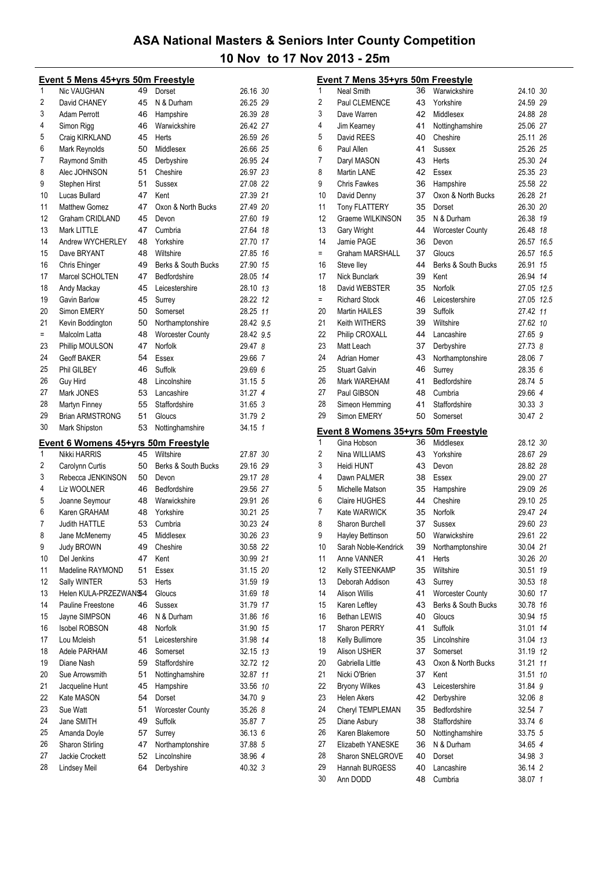|     | <b>Event 5 Mens 45+yrs 50m Freestyle</b>   |    |                         |           |  |
|-----|--------------------------------------------|----|-------------------------|-----------|--|
| 1   | Nic VAUGHAN                                | 49 | Dorset                  | 26.16 30  |  |
| 2   | David CHANEY                               | 45 | N & Durham              | 26.25 29  |  |
| 3   | Adam Perrott                               | 46 | Hampshire               | 26.39 28  |  |
| 4   | Simon Rigg                                 | 46 | Warwickshire            | 26.42 27  |  |
| 5   | Craig KIRKLAND                             | 45 | Herts                   | 26.59 26  |  |
| 6   | Mark Reynolds                              | 50 | Middlesex               | 26.66 25  |  |
| 7   | Raymond Smith                              | 45 | Derbyshire              | 26.95 24  |  |
| 8   | Alec JOHNSON                               | 51 | Cheshire                | 26.97 23  |  |
| 9   | Stephen Hirst                              | 51 | Sussex                  | 27.08 22  |  |
| 10  | Lucas Bullard                              | 47 | Kent                    | 27.39 21  |  |
| 11  | <b>Matthew Gomez</b>                       | 47 | Oxon & North Bucks      | 27.49 20  |  |
| 12  | <b>Graham CRIDLAND</b>                     | 45 | Devon                   | 27.60 19  |  |
| 13  | Mark LITTLE                                | 47 | Cumbria                 | 27.64 18  |  |
| 14  | Andrew WYCHERLEY                           | 48 | Yorkshire               | 27.70 17  |  |
| 15  | Dave BRYANT                                | 48 | Wiltshire               | 27.85 16  |  |
| 16  | Chris Ehinger                              | 49 | Berks & South Bucks     | 27.90 15  |  |
| 17  | Marcel SCHOLTEN                            | 47 | Bedfordshire            | 28.05 14  |  |
| 18  | Andy Mackay                                | 45 | Leicestershire          | 28.10 13  |  |
| 19  | Gavin Barlow                               | 45 | Surrey                  | 28.22 12  |  |
| 20  | Simon EMERY                                | 50 | Somerset                | 28.25 11  |  |
| 21  | Kevin Boddington                           | 50 | Northamptonshire        | 28.42 9.5 |  |
| $=$ | Malcolm Latta                              | 48 | <b>Worcester County</b> | 28.42 9.5 |  |
| 23  | Phillip MOULSON                            | 47 | Norfolk                 | 29.47 8   |  |
| 24  | <b>Geoff BAKER</b>                         | 54 | Essex                   | 29.66 7   |  |
| 25  | Phil GILBEY                                | 46 | Suffolk                 | 29.69 6   |  |
| 26  | Guy Hird                                   | 48 | Lincolnshire            | 31.15 5   |  |
| 27  | Mark JONES                                 | 53 | Lancashire              | 31.27 4   |  |
| 28  | Martyn Finney                              | 55 | Staffordshire           | 31.65 3   |  |
| 29  | <b>Brian ARMSTRONG</b>                     | 51 | Gloucs                  | 31.79 2   |  |
| 30  | Mark Shipston                              | 53 | Nottinghamshire         | 34.15 1   |  |
|     |                                            |    |                         |           |  |
|     | <b>Event 6 Womens 45+yrs 50m Freestyle</b> |    |                         |           |  |
| 1   | Nikki HARRIS                               | 45 | Wiltshire               | 27.87 30  |  |
| 2   | Carolynn Curtis                            | 50 | Berks & South Bucks     | 29.16 29  |  |
| 3   | Rebecca JENKINSON                          | 50 | Devon                   | 29.17 28  |  |
| 4   | Liz WOOLNER                                | 46 | Bedfordshire            | 29.56 27  |  |
| 5   | Joanne Seymour                             | 48 | Warwickshire            | 29.91 26  |  |
| 6   |                                            |    |                         |           |  |
|     | Karen GRAHAM                               | 48 | Yorkshire               | 30.21 25  |  |
| 7   | <b>Judith HATTLE</b>                       | 53 | Cumbria                 | 30.23 24  |  |
| 8   | Jane McMenemy                              | 45 | Middlesex               | 30.26 23  |  |
| 9   | <b>Judy BROWN</b>                          | 49 | Cheshire                | 30.58 22  |  |
| 10  | Del Jenkins                                | 47 | Kent                    | 30.99 21  |  |
| 11  | Madeline RAYMOND                           | 51 | Essex                   | 31.15 20  |  |
| 12  | Sally WINTER                               | 53 | Herts                   | 31.59 19  |  |
| 13  | Helen KULA-PRZEZWANS4                      |    | Gloucs                  | 31.69 18  |  |
| 14  | Pauline Freestone                          | 46 | Sussex                  | 31.79 17  |  |
| 15  | Jayne SIMPSON                              | 46 | N & Durham              | 31.86 16  |  |
| 16  | <b>Isobel ROBSON</b>                       | 48 | Norfolk                 | 31.90 15  |  |
| 17  | Lou Mcleish                                | 51 | Leicestershire          | 31.98 14  |  |
| 18  | Adele PARHAM                               | 46 | Somerset                | 32.15 13  |  |
| 19  | Diane Nash                                 | 59 | Staffordshire           | 32.72 12  |  |
| 20  | Sue Arrowsmith                             | 51 | Nottinghamshire         | 32.87 11  |  |
| 21  | Jacqueline Hunt                            | 45 | Hampshire               | 33.56 10  |  |
| 22  | Kate MASON                                 | 54 | Dorset                  | 34.70 9   |  |
| 23  | Sue Watt                                   | 51 | <b>Worcester County</b> | 35.26 8   |  |
| 24  | Jane SMITH                                 | 49 | Suffolk                 | 35.87 7   |  |
| 25  | Amanda Doyle                               | 57 | Surrey                  | 36.13 6   |  |
| 26  | Sharon Stirling                            | 47 | Northamptonshire        | 37.88 5   |  |
| 27  | Jackie Crockett                            | 52 | Lincolnshire            | 38.96 4   |  |
| 28  | Lindsey Meil                               | 64 | Derbyshire              | 40.32 3   |  |

|     | <u>Event 7 Mens 35+yrs 50m Freestyle</u>   |    |                         |            |  |
|-----|--------------------------------------------|----|-------------------------|------------|--|
| 1   | <b>Neal Smith</b>                          | 36 | Warwickshire            | 24.10 30   |  |
| 2   | Paul CLEMENCE                              | 43 | Yorkshire               | 24.59 29   |  |
| 3   | Dave Warren                                | 42 | Middlesex               | 24.88 28   |  |
| 4   | Jim Kearney                                | 41 | Nottinghamshire         | 25.06 27   |  |
| 5   | David REES                                 | 40 | Cheshire                | 25.11 26   |  |
| 6   | Paul Allen                                 | 41 | Sussex                  | 25.26 25   |  |
| 7   | Daryl MASON                                | 43 | Herts                   | 25.30 24   |  |
| 8   | Martin LANE                                | 42 | Essex                   | 25.35 23   |  |
| 9   | <b>Chris Fawkes</b>                        | 36 | Hampshire               | 25.58 22   |  |
| 10  | David Denny                                | 37 | Oxon & North Bucks      | 26.28 21   |  |
| 11  | <b>Tony FLATTERY</b>                       | 35 | Dorset                  | 26.30 20   |  |
| 12  | Graeme WILKINSON                           | 35 | N & Durham              | 26.38 19   |  |
| 13  | Gary Wright                                | 44 | <b>Worcester County</b> | 26.48 18   |  |
| 14  | Jamie PAGE                                 | 36 | Devon                   | 26.57 16.5 |  |
| $=$ | Graham MARSHALL                            | 37 | Gloucs                  | 26.57 16.5 |  |
| 16  | Steve lley                                 | 44 | Berks & South Bucks     | 26.91 15   |  |
| 17  | <b>Nick Bunclark</b>                       | 39 | Kent                    | 26.94 14   |  |
| 18  | David WEBSTER                              | 35 | Norfolk                 | 27.05 12.5 |  |
| $=$ | <b>Richard Stock</b>                       | 46 | Leicestershire          | 27.05 12.5 |  |
| 20  | <b>Martin HAILES</b>                       | 39 | Suffolk                 | 27.42 11   |  |
| 21  | Keith WITHERS                              | 39 | Wiltshire               | 27.62 10   |  |
| 22  | Philip CROXALL                             | 44 | Lancashire              | 27.65 9    |  |
| 23  | Matt Leach                                 | 37 | Derbyshire              | 27.73 8    |  |
| 24  | <b>Adrian Homer</b>                        | 43 | Northamptonshire        | 28.06 7    |  |
| 25  | <b>Stuart Galvin</b>                       | 46 | Surrey                  | 28.35 6    |  |
| 26  | Mark WAREHAM                               | 41 | Bedfordshire            | 28.74 5    |  |
| 27  | Paul GIBSON                                | 48 | Cumbria                 | 29.66 4    |  |
| 28  | Simeon Hemming                             | 41 | Staffordshire           | 30.33 3    |  |
| 29  | Simon EMERY                                | 50 | Somerset                | 30.47 2    |  |
|     |                                            |    |                         |            |  |
|     | <u>Event 8 Womens 35+yrs 50m Freestyle</u> |    |                         |            |  |
| 1   | Gina Hobson                                | 36 | Middlesex               | 28.12 30   |  |
| 2   | Nina WILLIAMS                              | 43 | Yorkshire               | 28.67 29   |  |
| 3   | Heidi HUNT                                 | 43 | Devon                   | 28.82 28   |  |
| 4   | Dawn PALMER                                | 38 | Essex                   | 29.00 27   |  |
| 5   | Michelle Matson                            | 35 | Hampshire               | 29.09 26   |  |
| 6   | Claire HUGHES                              | 44 | Cheshire                | 29.10 25   |  |
| 7   | Kate WARWICK                               | 35 | Norfolk                 | 29.47 24   |  |
| 8   | Sharon Burchell                            | 37 | <b>Sussex</b>           | 29.60 23   |  |
| 9   | Hayley Bettinson                           | 50 | Warwickshire            | 29.61 22   |  |
| 10  | Sarah Noble-Kendrick                       | 39 | Northamptonshire        | 30.04 21   |  |
| 11  | Anne VANNER                                | 41 | Herts                   | 30.26 20   |  |
| 12  | Kelly STEENKAMP                            | 35 | Wiltshire               | 30.51 19   |  |
| 13  | Deborah Addison                            | 43 | Surrey                  | 30.53 18   |  |
| 14  | <b>Alison Willis</b>                       | 41 | <b>Worcester County</b> | 30.60 17   |  |
| 15  | Karen Leftley                              | 43 | Berks & South Bucks     | 30.78 16   |  |
| 16  | Bethan LEWIS                               | 40 | Gloucs                  | 30.94 15   |  |
| 17  | <b>Sharon PERRY</b>                        | 41 | Suffolk                 | 31.01 14   |  |
| 18  | Kelly Bullimore                            | 35 | Lincolnshire            | 31.04 13   |  |
| 19  | Alison USHER                               | 37 | Somerset                | 31.19 12   |  |
| 20  | Gabriella Little                           | 43 | Oxon & North Bucks      | 31.21 11   |  |
| 21  | Nicki O'Brien                              | 37 | Kent                    | 31.51 10   |  |
| 22  | <b>Bryony Wilkes</b>                       | 43 | Leicestershire          | 31.84 9    |  |
| 23  | <b>Helen Akers</b>                         | 42 | Derbyshire              | 32.06 8    |  |
| 24  | Cheryl TEMPLEMAN                           | 35 | Bedfordshire            | 32.54 7    |  |
| 25  | Diane Asbury                               | 38 | Staffordshire           | 33.74 6    |  |
| 26  | Karen Blakemore                            | 50 | Nottinghamshire         | 33.75 5    |  |
| 27  | <b>Elizabeth YANESKE</b>                   | 36 | N & Durham              | 34.65 4    |  |
| 28  | Sharon SNELGROVE                           | 40 | Dorset                  | 34.98 3    |  |
| 29  | Hannah BURGESS                             | 40 | Lancashire              | 36.14 2    |  |
| 30  | Ann DODD                                   | 48 | Cumbria                 | 38.07 1    |  |
|     |                                            |    |                         |            |  |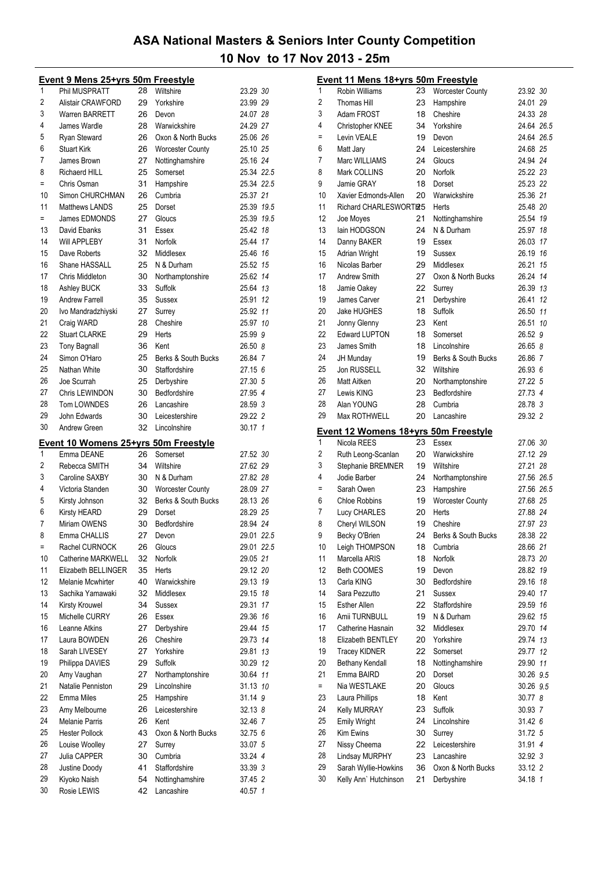|     | <b>Event 9 Mens 25+yrs 50m Freestyle</b>    |    |                         |             |
|-----|---------------------------------------------|----|-------------------------|-------------|
| 1   | Phil MUSPRATT                               | 28 | Wiltshire               | 23.29 30    |
| 2   | <b>Alistair CRAWFORD</b>                    | 29 | Yorkshire               | 23.99 29    |
| 3   | <b>Warren BARRETT</b>                       | 26 | Devon                   | 24.07 28    |
| 4   | James Wardle                                | 28 | Warwickshire            | 24.29 27    |
| 5   | Ryan Steward                                | 26 | Oxon & North Bucks      | 25.06 26    |
|     |                                             |    |                         | 25.10 25    |
| 6   | <b>Stuart Kirk</b>                          | 26 | <b>Worcester County</b> |             |
| 7   | James Brown                                 | 27 | Nottinghamshire         | 25.16 24    |
| 8   | <b>Richaerd HILL</b>                        | 25 | Somerset                | 25.34 22.5  |
| Ξ   | Chris Osman                                 | 31 | Hampshire               | 25.34 22.5  |
| 10  | Simon CHURCHMAN                             | 26 | Cumbria                 | 25.37 21    |
| 11  | <b>Matthews LANDS</b>                       | 25 | Dorset                  | 25.39 19.5  |
| $=$ | James EDMONDS                               | 27 | Gloucs                  | 25.39 19.5  |
| 13  | David Ebanks                                | 31 | Essex                   | 25.42 18    |
| 14  | Will APPLEBY                                | 31 | Norfolk                 | 25.44 17    |
| 15  | Dave Roberts                                | 32 | Middlesex               | 25.46 16    |
| 16  | Shane HASSALL                               | 25 | N & Durham              | 25.52 15    |
| 17  | Chris Middleton                             | 30 | Northamptonshire        | 25.62 14    |
| 18  | Ashley BUCK                                 | 33 | Suffolk                 | 25.64 13    |
| 19  | <b>Andrew Farrell</b>                       | 35 | Sussex                  | 25.91 12    |
| 20  | Ivo Mandradzhiyski                          | 27 | Surrey                  | 25.92 11    |
| 21  | Craig WARD                                  | 28 | Cheshire                | 25.97 10    |
| 22  |                                             |    |                         |             |
|     | <b>Stuart CLARKE</b>                        | 29 | Herts                   | 25.99 9     |
| 23  | <b>Tony Bagnall</b>                         | 36 | Kent                    | 26.50 8     |
| 24  | Simon O'Haro                                | 25 | Berks & South Bucks     | 26.84 7     |
| 25  | Nathan White                                | 30 | Staffordshire           | 27.15 6     |
| 26  | Joe Scurrah                                 | 25 | Derbyshire              | 27.30 5     |
| 27  | Chris LEWINDON                              | 30 | Bedfordshire            | 27.95 4     |
| 28  | Tom LOWNDES                                 | 26 | Lancashire              | 28.59 3     |
| 29  | John Edwards                                | 30 | Leicestershire          | 29.22 2     |
| 30  | Andrew Green                                | 32 | Lincolnshire            | 30.17 1     |
|     |                                             |    |                         |             |
|     |                                             |    |                         |             |
|     | <u>Event 10 Womens 25+yrs 50m Freestyle</u> |    |                         |             |
| 1   | Emma DEANE                                  | 26 | Somerset                | 27.52 30    |
| 2   | Rebecca SMITH                               | 34 | Wiltshire               | 27.62 29    |
| 3   | Caroline SAXBY                              | 30 | N & Durham              | 27.82 28    |
| 4   | Victoria Standen                            | 30 | <b>Worcester County</b> | 28.09 27    |
| 5   | Kirsty Johnson                              | 32 | Berks & South Bucks     | 28.13 26    |
| 6   | <b>Kirsty HEARD</b>                         | 29 | Dorset                  | 28.29 25    |
| 7   | Miriam OWENS                                | 30 | Bedfordshire            | 28.94 24    |
| 8   | Emma CHALLIS                                | 27 | Devon                   | 29.01 22.5  |
| $=$ | Rachel CURNOCK                              | 26 | Gloucs                  | 29.01 22.5  |
| 10  | Catherine MARKWELL                          | 32 | Norfolk                 | 29.05 21    |
| 11  | Elizabeth BELLINGER                         | 35 | Herts                   | 29.12 20    |
| 12  | Melanie Mcwhirter                           | 40 | Warwickshire            | 29.13 19    |
| 13  | Sachika Yamawaki                            | 32 | Middlesex               | 29.15<br>18 |
| 14  |                                             |    |                         |             |
|     | Kirsty Krouwel                              | 34 | Sussex                  | 17<br>29.31 |
| 15  | Michelle CURRY                              | 26 | Essex                   | 29.36 16    |
| 16  | Leanne Atkins                               | 27 | Derbyshire              | 15<br>29.44 |
| 17  | Laura BOWDEN                                | 26 | Cheshire                | 29.73 14    |
| 18  | Sarah LIVESEY                               | 27 | Yorkshire               | 13<br>29.81 |
| 19  | Philippa DAVIES                             | 29 | Suffolk                 | 30.29 12    |
| 20  | Amy Vaughan                                 | 27 | Northamptonshire        | 30.64 11    |
| 21  | Natalie Penniston                           | 29 | Lincolnshire            | 31.13 10    |
| 22  | <b>Emma Miles</b>                           | 25 | Hampshire               | 31.14 9     |
| 23  | Amy Melbourne                               | 26 | Leicestershire          | 32.13 8     |
| 24  | Melanie Parris                              | 26 | Kent                    | 32.46 7     |
| 25  | <b>Hester Pollock</b>                       | 43 | Oxon & North Bucks      | 32.75 6     |
| 26  | Louise Woolley                              | 27 | Surrey                  | 33.07 5     |
| 27  | Julia CAPPER                                | 30 | Cumbria                 | 33.24 4     |
| 28  | Justine Doody                               | 41 | Staffordshire           | 33.39 3     |
| 29  | Kiyoko Naish                                | 54 | Nottinghamshire         | 37.45 2     |

|          | Event 11 Mens 18+yrs 50m Freestyle   |    |                         |            |  |
|----------|--------------------------------------|----|-------------------------|------------|--|
| 1        | <b>Robin Williams</b>                | 23 | Worcester County        | 23.92 30   |  |
| 2        | <b>Thomas Hill</b>                   | 23 | Hampshire               | 24.01 29   |  |
| 3        | Adam FROST                           | 18 | Cheshire                | 24.33 28   |  |
| 4        | Christopher KNEE                     | 34 | Yorkshire               | 24.64 26.5 |  |
| $\equiv$ | Levin VEALE                          | 19 | Devon                   | 24.64 26.5 |  |
| 6        | Matt Jary                            | 24 | Leicestershire          | 24.68 25   |  |
| 7        | Marc WILLIAMS                        | 24 | Gloucs                  | 24.94 24   |  |
| 8        | Mark COLLINS                         | 20 | Norfolk                 | 25.22 23   |  |
| 9        | Jamie GRAY                           | 18 | Dorset                  | 25.23 22   |  |
| 10       | Xavier Edmonds-Allen                 | 20 | Warwickshire            | 25.36 21   |  |
| 11       | Richard CHARLESWORT125               |    | Herts                   | 25.48 20   |  |
| 12       | Joe Moyes                            | 21 | Nottinghamshire         | 25.54 19   |  |
| 13       | lain HODGSON                         | 24 | N & Durham              | 25.97 18   |  |
| 14       | Danny BAKER                          | 19 | Essex                   | 26.03 17   |  |
| 15       | Adrian Wright                        | 19 | Sussex                  | 26.19 16   |  |
| 16       | Nicolas Barber                       | 29 | Middlesex               | 26.21 15   |  |
| 17       | Andrew Smith                         | 27 | Oxon & North Bucks      | 26.24 14   |  |
| 18       |                                      | 22 | Surrey                  | 26.39 13   |  |
| 19       | Jamie Oakey<br>James Carver          |    |                         | 26.41 12   |  |
|          |                                      | 21 | Derbyshire              |            |  |
| 20       | Jake HUGHES                          | 18 | Suffolk                 | 26.50 11   |  |
| 21       | Jonny Glenny                         | 23 | Kent                    | 26.51 10   |  |
| 22       | <b>Edward LUPTON</b>                 | 18 | Somerset                | 26.52 9    |  |
| 23       | James Smith                          | 18 | Lincolnshire            | 26.65 8    |  |
| 24       | <b>JH Munday</b>                     | 19 | Berks & South Bucks     | 26.86 7    |  |
| 25       | Jon RUSSELL                          | 32 | Wiltshire               | 26.93 6    |  |
| 26       | Matt Aitken                          | 20 | Northamptonshire        | 27.22 5    |  |
| 27       | Lewis KING                           | 23 | Bedfordshire            | 27.73 4    |  |
| 28       | Alan YOUNG                           | 28 | Cumbria                 | 28.78 3    |  |
| 29       | <b>Max ROTHWELL</b>                  | 20 | Lancashire              | 29.32 2    |  |
|          | Event 12 Womens 18+yrs 50m Freestyle |    |                         |            |  |
| 1        | Nicola REES                          | 23 | Essex                   | 27.06 30   |  |
| 2        | Ruth Leong-Scanlan                   | 20 | Warwickshire            | 27.12 29   |  |
| 3        | Stephanie BREMNER                    | 19 | Wiltshire               | 27.21 28   |  |
| 4        | Jodie Barber                         | 24 | Northamptonshire        | 27.56 26.5 |  |
| Ξ        | Sarah Owen                           | 23 | Hampshire               | 27.56 26.5 |  |
| 6        | <b>Chloe Robbins</b>                 | 19 | <b>Worcester County</b> | 27.68 25   |  |
| 7        | Lucy CHARLES                         | 20 | Herts                   | 27.88 24   |  |
| 8        | Cheryl WILSON                        | 19 | Cheshire                | 27.97 23   |  |
| 9        | Becky O'Brien                        | 24 | Berks & South Bucks     | 28.38 22   |  |
| 10       | Leigh THOMPSON                       | 18 | Cumbria                 | 28.66 21   |  |
| 11       | Marcella ARIS                        | 18 | Norfolk                 |            |  |
| 12       |                                      |    |                         | 28.73 20   |  |
|          | <b>Beth COOMES</b>                   | 19 | Devon                   | 28.82 19   |  |
| 13       | Carla KING                           | 30 | Bedfordshire            | 29.16 18   |  |
| 14       | Sara Pezzutto                        | 21 | Sussex                  | 29.40 17   |  |
| 15       | <b>Esther Allen</b>                  | 22 | Staffordshire           | 29.59 16   |  |
| 16       | Amii TURNBULL                        | 19 | N & Durham              | 29.62 15   |  |
| 17       | Catherine Hasnain                    | 32 | Middlesex               | 29.70 14   |  |
| 18       | Elizabeth BENTLEY                    | 20 | Yorkshire               | 29.74 13   |  |
| 19       | <b>Tracey KIDNER</b>                 | 22 | Somerset                | 29.77 12   |  |
| 20       | Bethany Kendall                      | 18 | Nottinghamshire         | 29.90 11   |  |
| 21       | Emma BAIRD                           | 20 | Dorset                  | 30.26 9.5  |  |
| $\equiv$ | Nia WESTLAKE                         | 20 | Gloucs                  | 30.26 9.5  |  |
| 23       | Laura Phillips                       | 18 | Kent                    | 30.77 8    |  |
| 24       | Kelly MURRAY                         | 23 | Suffolk                 | 30.93 7    |  |
| 25       | <b>Emily Wright</b>                  | 24 | Lincolnshire            | 31.42 6    |  |
| 26       | Kim Ewins                            | 30 | Surrey                  | 31.72 5    |  |
| 27       | Nissy Cheema                         | 22 | Leicestershire          | 31.91 4    |  |
| 28       | Lindsay MURPHY                       | 23 | Lancashire              | 32.92 3    |  |
| 29       | Sarah Wyllie-Howkins                 | 36 | Oxon & North Bucks      | 33.12 2    |  |
| 30       | Kelly Ann' Hutchinson                | 21 | Derbyshire              | 34.18 1    |  |
|          |                                      |    |                         |            |  |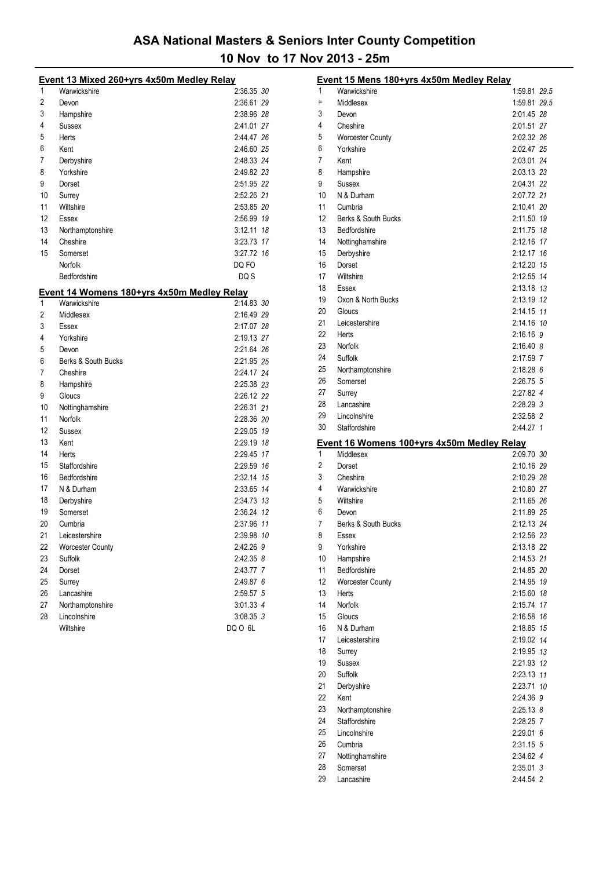|    | Event 13 Mixed 260+yrs 4x50m Medley Relay                  |             |
|----|------------------------------------------------------------|-------------|
| 1  | Warwickshire                                               | 2:36.35 30  |
| 2  | Devon                                                      | 2:36.61 29  |
| 3  | Hampshire                                                  | 2:38.96 28  |
| 4  | Sussex                                                     | 2:41.01 27  |
| 5  | Herts                                                      | 2:44.47 26  |
| 6  | Kent                                                       | 2:46.60 25  |
| 7  | Derbyshire                                                 | 2:48.33 24  |
| 8  | Yorkshire                                                  | 2:49.82 23  |
| 9  | Dorset                                                     | 2:51.95 22  |
| 10 | Surrey                                                     | 2:52.26 21  |
| 11 | Wiltshire                                                  | 2:53.85 20  |
| 12 | Essex                                                      | 2:56.99 19  |
| 13 | Northamptonshire                                           | 3:12.11 18  |
| 14 | Cheshire                                                   | 3:23.73 17  |
| 15 | Somerset                                                   | 3:27.72 16  |
|    | Norfolk                                                    | DQ FO       |
|    | Bedfordshire                                               | DQ S        |
|    |                                                            |             |
| 1  | Event 14 Womens 180+yrs 4x50m Medley Relay<br>Warwickshire | 2:14.83 30  |
| 2  | Middlesex                                                  | 2:16.49 29  |
| 3  | Essex                                                      | 2:17.07 28  |
| 4  | Yorkshire                                                  | 2:19.13 27  |
| 5  | Devon                                                      | 2:21.64 26  |
| 6  |                                                            | 2:21.95 25  |
| 7  | Berks & South Bucks<br>Cheshire                            | 2:24.17 24  |
| 8  |                                                            | 2:25.38 23  |
| 9  | Hampshire<br>Gloucs                                        |             |
| 10 |                                                            | 2:26.12 22  |
| 11 | Nottinghamshire                                            | 2:26.31 21  |
|    | Norfolk                                                    | 2:28.36 20  |
| 12 | Sussex                                                     | 2:29.05 19  |
| 13 | Kent                                                       | 2:29.19 18  |
| 14 | Herts                                                      | 2:29.45 17  |
| 15 | Staffordshire                                              | 2:29.59 16  |
| 16 | Bedfordshire                                               | 2:32.14 15  |
| 17 | N & Durham                                                 | 2:33.65 14  |
| 18 | Derbyshire                                                 | 2:34.73 13  |
| 19 | Somerset                                                   | 2:36.24 12  |
| 20 | Cumbria                                                    | 2:37.96 11  |
| 21 | Leicestershire                                             | 2:39.98 10  |
| 22 | <b>Worcester County</b>                                    | 2:42.26 9   |
| 23 | Suffolk                                                    | 2:42.35 8   |
| 24 | Dorset                                                     | 2:43.77 7   |
| 25 | Surrey                                                     | 2:49.87 6   |
| 26 | Lancashire                                                 | 2:59.57 5   |
| 27 | Northamptonshire                                           | 3:01.33 4   |
| 28 | Lincolnshire                                               | $3:08.35$ 3 |
|    | Wiltshire                                                  | DQ O 6L     |

|          | Event 15 Mens 180+yrs 4x50m Medley Relay                |                         |  |
|----------|---------------------------------------------------------|-------------------------|--|
| 1        | Warwickshire                                            | 1:59.81 29.5            |  |
| Ξ        | Middlesex                                               | 1:59.81 29.5            |  |
| 3        | Devon                                                   | 2:01.45 28              |  |
| 4        | Cheshire                                                | 2:01.51 27              |  |
| 5        | <b>Worcester County</b>                                 | 2:02.32 26              |  |
| 6        | Yorkshire                                               | 2:02.47 25              |  |
| 7        | Kent                                                    | 2:03.01 24              |  |
| 8        | Hampshire                                               | 2:03.13 23              |  |
| 9        | Sussex                                                  | 2:04.31 22              |  |
| 10       | N & Durham                                              | 2:07.72 21              |  |
| 11       | Cumbria                                                 | 2:10.41 20              |  |
| 12       | Berks & South Bucks                                     | 2:11.50 19              |  |
| 13       | Bedfordshire                                            | 2:11.75 18              |  |
| 14       | Nottinghamshire                                         | 2:12.16 17              |  |
| 15       | Derbyshire                                              | 2:12.17 16              |  |
| 16       | Dorset                                                  | 2:12.20 15              |  |
| 17       | Wiltshire                                               | 2:12.55 14              |  |
| 18<br>19 | Essex                                                   | 2:13.18 13              |  |
| 20       | Oxon & North Bucks                                      | 2:13.19 12              |  |
| 21       | Gloucs<br>Leicestershire                                | 2:14.15 11              |  |
| 22       | Herts                                                   | 2:14.16 10<br>2:16.16 9 |  |
| 23       | Norfolk                                                 | 2:16.40 8               |  |
| 24       | Suffolk                                                 | 2:17.59 7               |  |
| 25       | Northamptonshire                                        | $2:18.28$ 6             |  |
| 26       | Somerset                                                | 2:26.75 5               |  |
| 27       | Surrey                                                  | 2:27.82 4               |  |
| 28       | Lancashire                                              | 2:28.29 3               |  |
| 29       | Lincolnshire                                            | 2:32.58 2               |  |
| 30       | Staffordshire                                           | 2:44.27 1               |  |
|          |                                                         |                         |  |
| 1        | Event 16 Womens 100+yrs 4x50m Medley Relay<br>Middlesex | 2:09.70 30              |  |
| 2        | Dorset                                                  | 2:10.16 29              |  |
| 3        | Cheshire                                                | 2:10.29 28              |  |
| 4        | Warwickshire                                            | 2:10.80 27              |  |
| 5        | Wiltshire                                               | 2:11.65 26              |  |
| 6        | Devon                                                   | 2:11.89 25              |  |
| 7        | Berks & South Bucks                                     | 2:12.13 24              |  |
| 8        | Essex                                                   | 2:12.56 23              |  |
| 9        | Yorkshire                                               | 2:13.18 22              |  |
| 10       | Hampshire                                               | 2:14.53 21              |  |
| 11       | Bedfordshire                                            | 2:14.85 20              |  |
| 12       | <b>Worcester County</b>                                 | 2:14.95 19              |  |
| 13       | Herts                                                   | 2:15.60 18              |  |
| 14       | Norfolk                                                 | 2:15.74 17              |  |
| 15       | Gloucs                                                  | 2:16.58 16              |  |
| 16       | N & Durham                                              | 2:18.85 15              |  |
| 17       | Leicestershire                                          | 2:19.02 14              |  |
| 18       | Surrey                                                  | 2:19.95 13              |  |
| 19       | Sussex                                                  | 2:21.93 12              |  |
| 20       | Suffolk                                                 | 2:23.13 11              |  |
| 21       | Derbyshire                                              | 2:23.71 10              |  |
| 22       | Kent                                                    | 2:24.36 9               |  |
| 23       | Northamptonshire                                        | 2:25.13 8               |  |
| 24       | Staffordshire                                           | 2:28.25 7               |  |
| 25       | Lincolnshire                                            | 2:29.016                |  |
| 26       | Cumbria                                                 | 2:31.15 5               |  |
| 27<br>28 | Nottinghamshire                                         | 2:34.62 4               |  |
|          |                                                         |                         |  |
| 29       | Somerset<br>Lancashire                                  | 2:35.01 3<br>2:44.54 2  |  |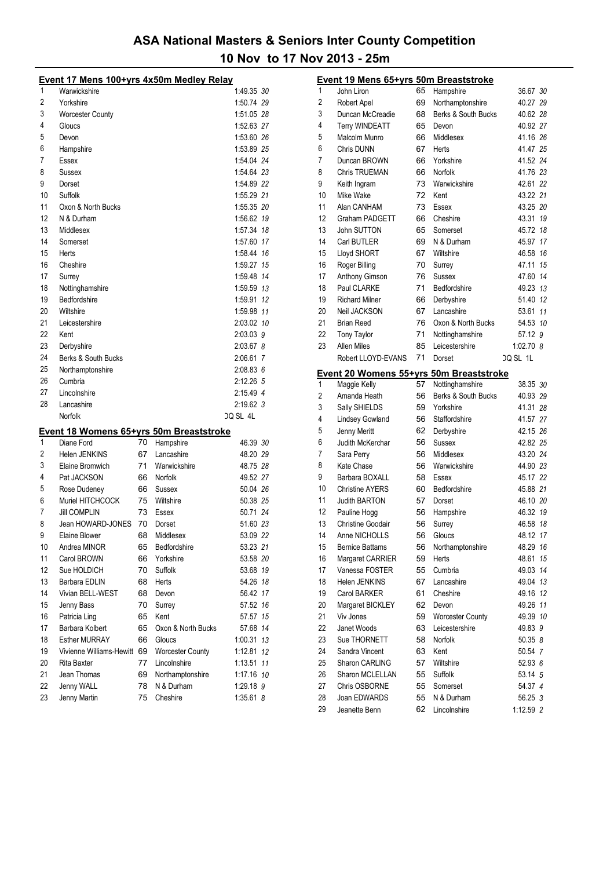|    | Event 17 Mens 100+yrs 4x50m Medley Relay |    |                    |             |    |
|----|------------------------------------------|----|--------------------|-------------|----|
| 1  | Warwickshire                             |    |                    | 1:49.35 30  |    |
| 2  | Yorkshire                                |    |                    | 1:50.74 29  |    |
| 3  | <b>Worcester County</b>                  |    |                    | 1:51.05 28  |    |
| 4  | Gloucs                                   |    |                    | 1:52.63 27  |    |
| 5  | Devon                                    |    |                    | 1:53.60 26  |    |
| 6  | Hampshire                                |    |                    | 1:53.89 25  |    |
| 7  | Essex                                    |    |                    | 1:54.04 24  |    |
| 8  | Sussex                                   |    |                    | 1:54.64 23  |    |
| 9  | Dorset                                   |    |                    | 1:54.89 22  |    |
| 10 | Suffolk                                  |    |                    | 1:55.29 21  |    |
| 11 | Oxon & North Bucks                       |    |                    | 1:55.35 20  |    |
| 12 | N & Durham                               |    |                    | 1:56.62 19  |    |
| 13 | Middlesex                                |    |                    | 1:57.34 18  |    |
| 14 | Somerset                                 |    |                    | 1:57.60 17  |    |
| 15 | Herts                                    |    |                    | 1:58.44 16  |    |
| 16 | Cheshire                                 |    |                    | 1:59.27 15  |    |
| 17 | Surrey                                   |    |                    | 1:59.48 14  |    |
| 18 | Nottinghamshire                          |    |                    | 1:59.59 13  |    |
| 19 | Bedfordshire                             |    |                    | 1:59.91     | 12 |
| 20 | Wiltshire                                |    |                    | 1:59.98 11  |    |
| 21 | Leicestershire                           |    |                    |             |    |
| 22 | Kent                                     |    |                    | 2:03.02 10  |    |
|    |                                          |    |                    | 2:03.03 9   |    |
| 23 | Derbyshire                               |    |                    | 2:03.67 8   |    |
| 24 | Berks & South Bucks                      |    |                    | 2:06.61 7   |    |
| 25 | Northamptonshire                         |    |                    | 2:08.83 6   |    |
| 26 | Cumbria                                  |    |                    | 2:12.26 5   |    |
| 27 | Lincolnshire                             |    |                    | 2:15.49 4   |    |
| 28 | Lancashire                               |    |                    | 2:19.62 3   |    |
|    | Norfolk                                  |    |                    | DQ SL 4L    |    |
|    | Event 18 Womens 65+yrs 50m Breaststroke  |    |                    |             |    |
| 1  | Diane Ford                               | 70 | Hampshire          | 46.39 30    |    |
| 2  | Helen JENKINS                            | 67 | Lancashire         | 48.20 29    |    |
| 3  | Elaine Bromwich                          | 71 | Warwickshire       | 48.75 28    |    |
| 4  | Pat JACKSON                              | 66 | Norfolk            | 49.52 27    |    |
| 5  | Rose Dudeney                             | 66 | Sussex             | 50.04 26    |    |
| 6  | Muriel HITCHCOCK                         | 75 | Wiltshire          | 50.38 25    |    |
| 7  | <b>Jill COMPLIN</b>                      | 73 | Essex              | 50.71 24    |    |
| 8  | Jean HOWARD-JONES                        | 70 | Dorset             | 51.60 23    |    |
| 9  | Elaine Blower                            |    | 68 Middlesex       | 53.09 22    |    |
| 10 | Andrea MINOR                             | 65 | Bedfordshire       | 53.23 21    |    |
| 11 | Carol BROWN                              | 66 | Yorkshire          | 53.58 20    |    |
| 12 | Sue HOLDICH                              | 70 | Suffolk            | 53.68 19    |    |
| 13 | Barbara EDLIN                            | 68 | Herts              | 54.26 18    |    |
| 14 | Vivian BELL-WEST                         | 68 | Devon              | 56.42 17    |    |
| 15 | Jenny Bass                               | 70 | Surrey             | 57.52 16    |    |
| 16 | Patricia Ling                            | 65 | Kent               | 57.57       | 15 |
| 17 | Barbara Kolbert                          | 65 | Oxon & North Bucks | 57.68       | 14 |
| 18 | <b>Esther MURRAY</b>                     | 66 | Gloucs             | 1:00.31     | 13 |
| 19 | Vivienne Williams-Hewitt 69              |    | Worcester County   | 1:12.81     | 12 |
| 20 | Rita Baxter                              | 77 | Lincolnshire       | 1:13.51     | 11 |
| 21 | Jean Thomas                              | 69 | Northamptonshire   | 1:17.16 10  |    |
| 22 | Jenny WALL                               | 78 | N & Durham         | 1:29.18 9   |    |
| 23 | Jenny Martin                             | 75 | Cheshire           | $1:35.61$ 8 |    |

|                | Event 19 Mens 65+yrs 50m Breaststroke          |    |                         |           |    |
|----------------|------------------------------------------------|----|-------------------------|-----------|----|
| 1              | John Liron                                     | 65 | Hampshire               | 36.67 30  |    |
| $\overline{2}$ | Robert Apel                                    | 69 | Northamptonshire        | 40.27 29  |    |
| 3              | Duncan McCreadie                               | 68 | Berks & South Bucks     | 40.62 28  |    |
| 4              | Terry WINDEATT                                 | 65 | Devon                   | 40.92 27  |    |
| 5              | Malcolm Munro                                  | 66 | Middlesex               | 41.16 26  |    |
| 6              | Chris DUNN                                     | 67 | Herts                   | 41.47 25  |    |
| 7              | Duncan BROWN                                   | 66 | Yorkshire               | 41.52 24  |    |
| 8              | Chris TRUEMAN                                  | 66 | Norfolk                 | 41.76 23  |    |
| 9              | Keith Ingram                                   | 73 | Warwickshire            | 42.61 22  |    |
| 10             | Mike Wake                                      | 72 | Kent                    | 43.22 21  |    |
| 11             | Alan CANHAM                                    | 73 | Essex                   | 43.25 20  |    |
| 12             | Graham PADGETT                                 | 66 | Cheshire                | 43.31 19  |    |
| 13             | John SUTTON                                    | 65 | Somerset                | 45.72 18  |    |
| 14             | Carl BUTLER                                    | 69 | N & Durham              | 45.97 17  |    |
| 15             | Lloyd SHORT                                    | 67 | Wiltshire               | 46.58     | 16 |
| 16             | Roger Billing                                  | 70 | Surrey                  | 47.11     | 15 |
| 17             | Anthony Gimson                                 | 76 | <b>Sussex</b>           | 47.60     | 14 |
| 18             | Paul CLARKE                                    | 71 | Bedfordshire            | 49.23 13  |    |
| 19             | <b>Richard Milner</b>                          | 66 | Derbyshire              | 51.40 12  |    |
| 20             | Neil JACKSON                                   | 67 | Lancashire              | 53.61     | 11 |
| 21             | <b>Brian Reed</b>                              | 76 | Oxon & North Bucks      | 54.53 10  |    |
| 22             | <b>Tony Taylor</b>                             | 71 | Nottinghamshire         | 57.12 9   |    |
| 23             | Allen Miles                                    | 85 | Leicestershire          | 1:02.70 8 |    |
|                | Robert LLOYD-EVANS                             | 71 | Dorset                  | DQ SL 1L  |    |
|                |                                                |    |                         |           |    |
|                | <u>Event 20 Womens 55+yrs 50m Breaststroke</u> |    |                         |           |    |
| 1              | Maggie Kelly                                   | 57 | Nottinghamshire         | 38.35 30  |    |
| $\overline{2}$ | Amanda Heath                                   | 56 | Berks & South Bucks     | 40.93 29  |    |
| 3              | Sally SHIELDS                                  | 59 | Yorkshire               | 41.31 28  |    |
| 4              | <b>Lindsey Gowland</b>                         | 56 | Staffordshire           | 41.57 27  |    |
| 5              | Jenny Meritt                                   | 62 | Derbyshire              | 42.15 26  |    |
| 6              | Judith McKerchar                               | 56 | <b>Sussex</b>           | 42.82 25  |    |
| 7              | Sara Perry                                     | 56 | Middlesex               | 43.20 24  |    |
| 8              | Kate Chase                                     | 56 | Warwickshire            | 44.90 23  |    |
| 9              | Barbara BOXALL                                 | 58 | Essex                   | 45.17 22  |    |
| 10             | <b>Christine AYERS</b>                         | 60 | Bedfordshire            | 45.88 21  |    |
| 11             | <b>Judith BARTON</b>                           | 57 | Dorset                  | 46.10 20  |    |
| 12             | Pauline Hogg                                   | 56 | Hampshire               | 46.32 19  |    |
| 13             | Christine Goodair                              | 56 | Surrey                  | 46.58 18  |    |
| 14             | Anne NICHOLLS                                  | 56 | Gloucs                  | 48.12 17  |    |
| 15             | <b>Bernice Battams</b>                         | 56 | Northamptonshire        | 48.29 16  |    |
| 16             | Margaret CARRIER                               | 59 | Herts                   | 48.61     | 15 |
| 17             | Vanessa FOSTER                                 | 55 | Cumbria                 | 49.03 14  |    |
| 18             | Helen JENKINS                                  | 67 | Lancashire              | 49.04 13  |    |
| 19             | Carol BARKER                                   | 61 | Cheshire                | 49.16 12  |    |
| 20             | Margaret BICKLEY                               | 62 | Devon                   | 49.26 11  |    |
| 21             | Viv Jones                                      | 59 | <b>Worcester County</b> | 49.39 10  |    |
| 22             | Janet Woods                                    | 63 | Leicestershire          | 49.83 9   |    |
| 23             | Sue THORNETT                                   | 58 | Norfolk                 | 50.35 8   |    |
| 24             | Sandra Vincent                                 | 63 | Kent                    | 50.54 7   |    |
| 25             | <b>Sharon CARLING</b>                          | 57 | Wiltshire               | 52.93 6   |    |
| 26             | Sharon MCLELLAN                                | 55 | Suffolk                 | 53.14 5   |    |
| 27             | Chris OSBORNE                                  | 55 | Somerset                | 54.37 4   |    |
| 28             | Joan EDWARDS                                   | 55 | N & Durham              | 56.25 3   |    |
|                |                                                |    |                         |           |    |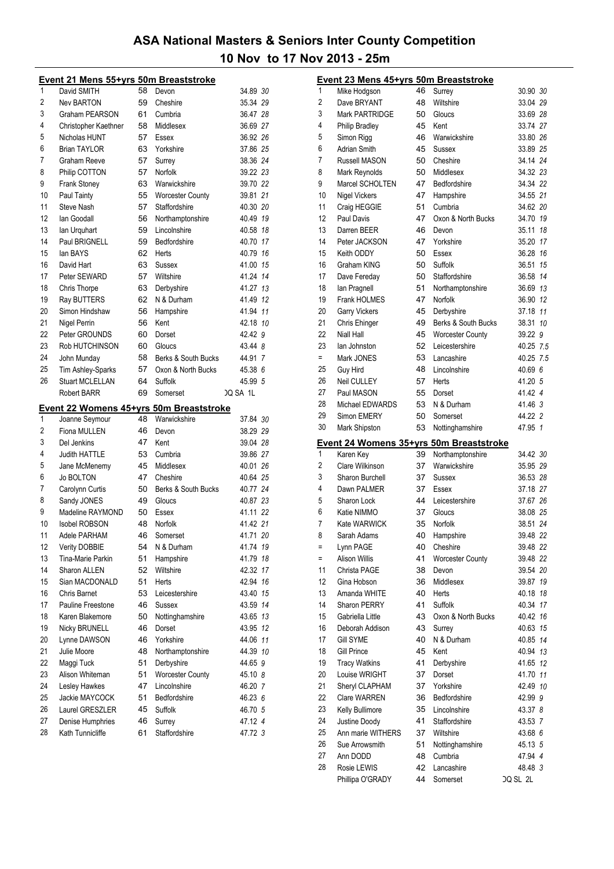|    | Event 21 Mens 55+yrs 50m Breaststroke   |    |                         |                      |
|----|-----------------------------------------|----|-------------------------|----------------------|
| 1  | David SMITH                             | 58 | Devon                   | 34.89 <i>30</i>      |
| 2  | <b>Nev BARTON</b>                       | 59 | Cheshire                | 35.34 29             |
| 3  | Graham PEARSON                          | 61 | Cumbria                 | 36.47 28             |
| 4  | Christopher Kaethner                    | 58 | Middlesex               | 36.69 27             |
| 5  | Nicholas HUNT                           | 57 | Essex                   | 36.92 26             |
| 6  | <b>Brian TAYLOR</b>                     | 63 | Yorkshire               | 37.86 25             |
| 7  | Graham Reeve                            | 57 | Surrey                  | 38.36 24             |
| 8  | Philip COTTON                           | 57 | Norfolk                 | 39.22 23             |
| 9  | <b>Frank Stoney</b>                     | 63 | Warwickshire            | 39.70 22             |
| 10 | Paul Tainty                             | 55 | <b>Worcester County</b> | 39.81 21             |
| 11 | <b>Steve Nash</b>                       | 57 | Staffordshire           | 40.30 20             |
| 12 | lan Goodall                             | 56 | Northamptonshire        | 40.49 19             |
| 13 | lan Urguhart                            | 59 | Lincolnshire            | 40.58 18             |
| 14 | Paul BRIGNELL                           | 59 | Bedfordshire            | 40.70 17             |
| 15 | lan BAYS                                | 62 | Herts                   | 40.79 16             |
| 16 | David Hart                              | 63 | Sussex                  | 41.00 15             |
| 17 | Peter SEWARD                            | 57 | Wiltshire               | 41.24 14             |
| 18 | Chris Thorpe                            | 63 | Derbyshire              | 41.27 13             |
| 19 | Ray BUTTERS                             | 62 | N & Durham              | 41.49 12             |
| 20 | Simon Hindshaw                          | 56 | Hampshire               | 41.94 11             |
| 21 | Nigel Perrin                            | 56 | Kent                    | 42.18 10             |
| 22 | Peter GROUNDS                           | 60 | Dorset                  | 42.42 9              |
| 23 | Rob HUTCHINSON                          | 60 | Gloucs                  | 43.44 8              |
| 24 | John Munday                             | 58 | Berks & South Bucks     | 44.91 7              |
| 25 | Tim Ashley-Sparks                       | 57 | Oxon & North Bucks      | 45.38 6              |
| 26 | <b>Stuart MCLELLAN</b>                  | 64 | Suffolk                 | 45.99 5              |
|    | <b>Robert BARR</b>                      | 69 | Somerset                | <b>JQ SA 1L</b>      |
|    |                                         |    |                         |                      |
|    |                                         |    |                         |                      |
| 1  | Event 22 Womens 45+yrs 50m Breaststroke | 48 | Warwickshire            | 37.84 30             |
| 2  | Joanne Seymour<br>Fiona MULLEN          | 46 | Devon                   |                      |
| 3  | Del Jenkins                             | 47 | Kent                    | 38.29 29<br>39.04 28 |
| 4  | <b>Judith HATTLE</b>                    | 53 | Cumbria                 | 39.86 27             |
| 5  |                                         | 45 | Middlesex               |                      |
| 6  | Jane McMenemy<br>Jo BOLTON              | 47 | Cheshire                | 40.01 26<br>40.64 25 |
| 7  | Carolynn Curtis                         | 50 | Berks & South Bucks     | 40.77 24             |
| 8  |                                         | 49 | Gloucs                  | 40.87 23             |
| 9  | Sandy JONES<br>Madeline RAYMOND         | 50 | Essex                   | 41.11 22             |
| 10 | <b>Isobel ROBSON</b>                    | 48 | Norfolk                 | 41.42 21             |
| 11 | Adele PARHAM                            | 46 |                         | 41.71 20             |
| 12 |                                         | 54 | Somerset<br>N & Durham  | 41.74 19             |
| 13 | Verity DOBBIE<br>Tina-Marie Parkin      | 51 | Hampshire               | 41.79 18             |
| 14 | Sharon ALLEN                            | 52 | Wiltshire               | 42.32 17             |
| 15 | Sian MACDONALD                          | 51 | Herts                   | 42.94 16             |
| 16 | Chris Barnet                            | 53 | Leicestershire          | 43.40 15             |
| 17 | Pauline Freestone                       | 46 | Sussex                  | 43.59 14             |
| 18 | Karen Blakemore                         | 50 | Nottinghamshire         | 43.65 13             |
| 19 | <b>Nicky BRUNELL</b>                    | 46 | Dorset                  | 43.95 12             |
| 20 | Lynne DAWSON                            | 46 | Yorkshire               | 44.06 11             |
| 21 | Julie Moore                             | 48 | Northamptonshire        | 44.39 10             |
| 22 | Maggi Tuck                              | 51 | Derbyshire              | 44.65 9              |
| 23 | Alison Whiteman                         | 51 | Worcester County        | 45.10 8              |
| 24 | Lesley Hawkes                           | 47 | Lincolnshire            | 46.20 7              |
| 25 | Jackie MAYCOCK                          | 51 | Bedfordshire            | 46.23 6              |
| 26 | Laurel GRESZLER                         | 45 | Suffolk                 | 46.70 5              |
| 27 | Denise Humphries                        | 46 | Surrey                  | 47.12 4              |

|                | Event 23 Mens 45+yrs 50m Breaststroke   |    |                         |           |
|----------------|-----------------------------------------|----|-------------------------|-----------|
| 1              | Mike Hodgson                            | 46 | Surrey                  | 30.90 30  |
| $\overline{2}$ | Dave BRYANT                             | 48 | Wiltshire               | 33.04 29  |
| 3              | <b>Mark PARTRIDGE</b>                   | 50 | Gloucs                  | 33.69 28  |
| $\overline{4}$ | Philip Bradley                          | 45 | Kent                    | 33.74 27  |
| 5              | Simon Rigg                              | 46 | Warwickshire            | 33.80 26  |
| 6              | <b>Adrian Smith</b>                     | 45 | Sussex                  | 33.89 25  |
| 7              | Russell MASON                           | 50 | Cheshire                | 34.14 24  |
| 8              | Mark Reynolds                           | 50 | Middlesex               | 34.32 23  |
| 9              | Marcel SCHOLTEN                         | 47 | Bedfordshire            | 34.34 22  |
| 10             | <b>Nigel Vickers</b>                    | 47 | Hampshire               | 34.55 21  |
| 11             | Craig HEGGIE                            | 51 | Cumbria                 | 34.62 20  |
| 12             | Paul Davis                              | 47 | Oxon & North Bucks      | 34.70 19  |
| 13             | Darren BEER                             | 46 | Devon                   | 35.11 18  |
| 14             | Peter JACKSON                           | 47 | Yorkshire               | 35.20 17  |
| 15             | Keith ODDY                              | 50 | Essex                   | 36.28 16  |
| 16             | Graham KING                             | 50 | Suffolk                 | 36.51 15  |
| 17             | Dave Fereday                            | 50 | Staffordshire           | 36.58 14  |
| 18             | lan Pragnell                            | 51 | Northamptonshire        | 36.69 13  |
| 19             | Frank HOLMES                            | 47 | Norfolk                 | 36.90 12  |
| 20             | Garry Vickers                           | 45 | Derbyshire              | 37.18 11  |
| 21             | Chris Ehinger                           | 49 | Berks & South Bucks     | 38.31 10  |
| 22             | Niall Hall                              | 45 | <b>Worcester County</b> | 39.22 9   |
| 23             | lan Johnston                            | 52 | Leicestershire          | 40.25 7.5 |
| $=$            | Mark JONES                              | 53 | Lancashire              | 40.25 7.5 |
| 25             | <b>Guy Hird</b>                         | 48 | Lincolnshire            | 40.69 6   |
| 26             | Neil CULLEY                             | 57 | Herts                   | 41.20 5   |
| 27             | Paul MASON                              | 55 | Dorset                  | 41.42 4   |
| 28             | Michael EDWARDS                         | 53 | N & Durham              | 41.46 3   |
| 29             | Simon EMERY                             | 50 | Somerset                | 44.22 2   |
| 30             | Mark Shipston                           | 53 | Nottinghamshire         | 47.95 1   |
|                | Event 24 Womens 35+yrs 50m Breaststroke |    |                         |           |
| 1              | Karen Key                               | 39 | Northamptonshire        | 34.42 30  |
| $\overline{2}$ | Clare Wilkinson                         | 37 | Warwickshire            | 35.95 29  |
| 3              | Sharon Burchell                         | 37 | <b>Sussex</b>           | 36.53 28  |
| 4              | Dawn PALMER                             | 37 | Essex                   | 37.18 27  |
| 5              | Sharon Lock                             | 44 | Leicestershire          | 37.67 26  |
| 6              | Katie NIMMO                             | 37 | Gloucs                  | 38.08 25  |
| 7              | Kate WARWICK                            | 35 | Norfolk                 | 38.51 24  |
| 8              | Sarah Adams                             | 40 | Hampshire               | 39.48 22  |
| $=$            | Lynn PAGE                               | 40 | Cheshire                | 39.48 22  |
| $\equiv$       | Alison Willis                           | 41 | <b>Worcester County</b> | 39.48 22  |
| 11             | Christa PAGE                            | 38 | Devon                   | 39.54 20  |
| 12             | Gina Hobson                             | 36 | Middlesex               | 39.87 19  |
| 13             | Amanda WHITE                            | 40 | Herts                   | 40.18 18  |
| 14             | Sharon PERRY                            | 41 | Suffolk                 | 40.34 17  |
| 15             | Gabriella Little                        | 43 | Oxon & North Bucks      | 40.42 16  |
| 16             | Deborah Addison                         | 43 | Surrey                  | 40.63 15  |
| 17             | <b>Gill SYME</b>                        | 40 | N & Durham              | 40.85 14  |
| 18             | <b>Gill Prince</b>                      | 45 | Kent                    | 40.94 13  |
| 19             | <b>Tracy Watkins</b>                    | 41 | Derbyshire              | 41.65 12  |
| 20             | Louise WRIGHT                           | 37 | Dorset                  | 41.70 11  |
| 21             | Sheryl CLAPHAM                          | 37 | Yorkshire               | 42.49 10  |
| 22             | Clare WARREN                            | 36 | Bedfordshire            | 42.99 9   |
| 23             | Kelly Bullimore                         | 35 | Lincolnshire            | 43.37 8   |
| 24             | Justine Doody                           | 41 | Staffordshire           | 43.53 7   |
| 25             | Ann marie WITHERS                       | 37 | Wiltshire               | 43.68 6   |
| 26             | Sue Arrowsmith                          | 51 | Nottinghamshire         | 45.13 5   |
| 27             | Ann DODD                                | 48 | Cumbria                 | 47.94 4   |
| 28             | Rosie LEWIS                             | 42 | Lancashire              | 48.48 3   |
|                | Phillipa O'GRADY                        | 44 | Somerset                | DQ SL 2L  |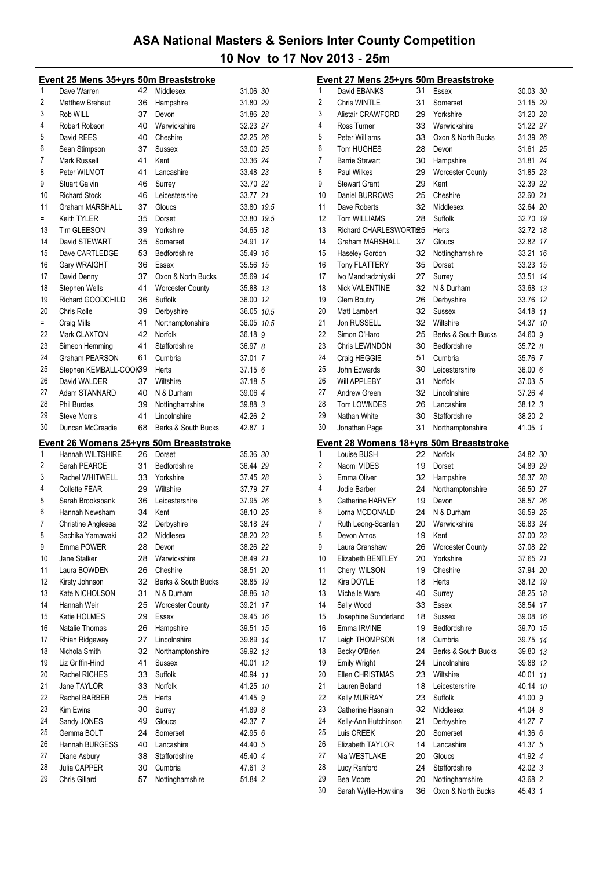|          | Event 25 Mens 35+yrs 50m Breaststroke   |          |                            |                    |    |
|----------|-----------------------------------------|----------|----------------------------|--------------------|----|
| 1        | Dave Warren                             | 42       | Middlesex                  | 31.06 30           |    |
| 2        | <b>Matthew Brehaut</b>                  | 36       | Hampshire                  | 31.80 29           |    |
| 3        | Rob WILL                                | 37       | Devon                      | 31.86 28           |    |
| 4        | Robert Robson                           | 40       | Warwickshire               | 32.23 27           |    |
| 5        | David REES                              | 40       | Cheshire                   | 32.25 26           |    |
| 6        | Sean Stimpson                           | 37       | Sussex                     | 33.00 25           |    |
| 7        | Mark Russell                            | 41       | Kent                       | 33.36 24           |    |
| 8        | Peter WILMOT                            | 41       | Lancashire                 | 33.48 23           |    |
| 9        | <b>Stuart Galvin</b>                    | 46       |                            | 33.70 22           |    |
| 10       |                                         |          | Surrey                     |                    |    |
|          | <b>Richard Stock</b>                    | 46       | Leicestershire             | 33.77 21           |    |
| 11       | Graham MARSHALL                         | 37       | Gloucs                     | 33.80 19.5         |    |
| $=$      | Keith TYLER                             | 35       | Dorset                     | 33.80 19.5         |    |
| 13       | <b>Tim GLEESON</b>                      | 39       | Yorkshire                  | 34.65 18           |    |
| 14       | David STEWART                           | 35       | Somerset                   | 34.91              | 17 |
| 15       | Dave CARTLEDGE                          | 53       | Bedfordshire               | 35.49 16           |    |
| 16       | Gary WRAIGHT                            | 36       | Essex                      | 35.56 15           |    |
| 17       | David Denny                             | 37       | Oxon & North Bucks         | 35.69 14           |    |
| 18       | Stephen Wells                           | 41       | <b>Worcester County</b>    | 35.88 13           |    |
| 19       | Richard GOODCHILD                       | 36       | Suffolk                    | 36.00 12           |    |
| 20       | Chris Rolle                             | 39       | Derbyshire                 | 36.05 10.5         |    |
| $=$      | Craig Mills                             | 41       | Northamptonshire           | 36.05 10.5         |    |
| 22       | <b>Mark CLAXTON</b>                     | 42       | Norfolk                    | 36.18 9            |    |
| 23       | Simeon Hemming                          | 41       | Staffordshire              | 36.97 8            |    |
| 24       | Graham PEARSON                          | 61       | Cumbria                    | 37.01 7            |    |
| 25       | Stephen KEMBALL-COOK39                  |          | Herts                      | 37.15 6            |    |
| 26       | David WALDER                            | 37       | Wiltshire                  | 37.18 5            |    |
| 27       | Adam STANNARD                           |          |                            |                    |    |
| 28       |                                         | 40       | N & Durham                 | 39.06 4            |    |
|          | <b>Phil Burdes</b>                      | 39       | Nottinghamshire            | 39.88 3            |    |
| 29       | <b>Steve Morris</b>                     | 41       | Lincolnshire               | 42.26 2            |    |
|          |                                         |          |                            |                    |    |
| 30       | Duncan McCreadie                        | 68       | Berks & South Bucks        | 42.87 1            |    |
|          | Event 26 Womens 25+yrs 50m Breaststroke |          |                            |                    |    |
| 1        | Hannah WILTSHIRE                        | 26       | Dorset                     | 35.36 30           |    |
| 2        | Sarah PEARCE                            | 31       | Bedfordshire               | 36.44 29           |    |
| 3        | Rachel WHITWELL                         | 33       | Yorkshire                  | 37.45 28           |    |
| 4        | <b>Collette FEAR</b>                    | 29       | Wiltshire                  | 37.79 27           |    |
| 5        | Sarah Brooksbank                        | 36       | Leicestershire             |                    |    |
|          |                                         |          |                            | 37.95 26           |    |
| 6        | Hannah Newsham                          | 34       | Kent                       | 38.10 25           |    |
| 7        | Christine Anglesea                      | 32       | Derbyshire                 | 38.18 24           |    |
| 8        | Sachika Yamawaki                        | 32       | Middlesex                  | 38.20 23           |    |
| 9        | Emma POWER                              | 28       | Devon                      | 38.26 22           |    |
| 10       | Jane Stalker                            | 28       | Warwickshire               | 38.49 21           |    |
| 11       | Laura BOWDEN                            | 26       | Cheshire                   | 38.51 20           |    |
| 12       | Kirsty Johnson                          | 32       | Berks & South Bucks        | 38.85 19           |    |
| 13       | Kate NICHOLSON                          | 31       | N & Durham                 | 38.86 18           |    |
| 14       | Hannah Weir                             | 25       | <b>Worcester County</b>    | 39.21 17           |    |
| 15       | Katie HOLMES                            | 29       | Essex                      | 39.45 16           |    |
| 16       | Natalie Thomas                          | 26       | Hampshire                  | 39.51              | 15 |
| 17       | Rhian Ridgeway                          | 27       | Lincolnshire               | 39.89 14           |    |
| 18       | Nichola Smith                           | 32       | Northamptonshire           | 39.92 13           |    |
| 19       | Liz Griffin-Hind                        | 41       | Sussex                     | 40.01 12           |    |
| 20       | Rachel RICHES                           | 33       | Suffolk                    | 40.94 11           |    |
| 21       | Jane TAYLOR                             | 33       | Norfolk                    | 41.25 10           |    |
| 22       | Rachel BARBER                           | 25       | Herts                      | 41.45 9            |    |
| 23       | Kim Ewins                               | 30       | Surrey                     | 41.89 8            |    |
| 24       | Sandy JONES                             | 49       | Gloucs                     | 42.37 7            |    |
|          |                                         |          |                            |                    |    |
| 25       | Gemma BOLT                              | 24       | Somerset                   | 42.95 6            |    |
| 26       | Hannah BURGESS                          | 40       | Lancashire                 | 44.40 5            |    |
| 27       | Diane Asbury                            | 38       | Staffordshire              | 45.40 4            |    |
| 28<br>29 | Julia CAPPER<br>Chris Gillard           | 30<br>57 | Cumbria<br>Nottinghamshire | 47.61 3<br>51.84 2 |    |

|                | Event 27 Mens 25+yrs 50m Breaststroke |          |                                                |                    |    |
|----------------|---------------------------------------|----------|------------------------------------------------|--------------------|----|
| 1              | David EBANKS                          | 31       | Essex                                          | 30.03 30           |    |
| $\overline{c}$ | Chris WINTLE                          | 31       | Somerset                                       | 31.15 29           |    |
| 3              | Alistair CRAWFORD                     | 29       | Yorkshire                                      | 31.20 28           |    |
| 4              | Ross Turner                           | 33       | Warwickshire                                   | 31.22 27           |    |
| 5              | Peter Williams                        | 33       | Oxon & North Bucks                             | 31.39 26           |    |
| 6              | <b>Tom HUGHES</b>                     | 28       | Devon                                          | 31.61 25           |    |
| 7              | <b>Barrie Stewart</b>                 | 30       | Hampshire                                      | 31.81 24           |    |
| 8              | Paul Wilkes                           | 29       | Worcester County                               | 31.85 23           |    |
| 9              | <b>Stewart Grant</b>                  | 29       | Kent                                           | 32.39 22           |    |
| 10             | Daniel BURROWS                        | 25       | Cheshire                                       | 32.60 21           |    |
| 11             | Dave Roberts                          | 32       | Middlesex                                      | 32.64 20           |    |
| 12             | <b>Tom WILLIAMS</b>                   | 28       | Suffolk                                        | 32.70 19           |    |
| 13             | Richard CHARLESWORT125                |          | Herts                                          | 32.72 18           |    |
| 14             | <b>Graham MARSHALL</b>                | 37       | Gloucs                                         | 32.82 17           |    |
| 15             | Haseley Gordon                        | 32       | Nottinghamshire                                | 33.21              | 16 |
| 16             | <b>Tony FLATTERY</b>                  | 35       | Dorset                                         | 33.23 15           |    |
| 17             | Ivo Mandradzhiyski                    | 27       | Surrey                                         | 33.51 14           |    |
| 18             | <b>Nick VALENTINE</b>                 | 32       | N & Durham                                     | 33.68 13           |    |
| 19             | <b>Clem Boutry</b>                    | 26       | Derbyshire                                     | 33.76 12           |    |
| 20             | <b>Matt Lambert</b>                   | 32       | Sussex                                         | 34.18 11           |    |
| 21             | Jon RUSSELL                           | 32       | Wiltshire                                      | 34.37 10           |    |
| 22             | Simon O'Haro                          | 25       | Berks & South Bucks                            | 34.60 9            |    |
| 23             | Chris LEWINDON                        | 30       | Bedfordshire                                   | 35.72 8            |    |
| 24             | Craig HEGGIE                          | 51       | Cumbria                                        | 35.76 7            |    |
| 25             | John Edwards                          | 30       | Leicestershire                                 | 36.00 6            |    |
| 26             | <b>Will APPLEBY</b>                   | 31       | Norfolk                                        | 37.03 5            |    |
| 27             | Andrew Green                          | 32       | Lincolnshire                                   | 37.26 4            |    |
| 28             | Tom LOWNDES                           | 26       | Lancashire                                     | 38.12 3            |    |
| 29             | Nathan White                          | 30       | Staffordshire                                  | 38.20 2            |    |
| 30             | Jonathan Page                         | 31       | Northamptonshire                               | 41.05 1            |    |
|                |                                       |          |                                                |                    |    |
|                |                                       |          | <b>Event 28 Womens 18+yrs 50m Breaststroke</b> |                    |    |
| 1              | Louise BUSH                           | 22       | Norfolk                                        | 34.82 30           |    |
| 2              | Naomi VIDES                           | 19       | Dorset                                         | 34.89 29           |    |
| 3              | Emma Oliver                           | 32       | Hampshire                                      | 36.37 28           |    |
| 4              | Jodie Barber                          | 24       | Northamptonshire                               | 36.50 27           |    |
| 5              | Catherine HARVEY                      | 19       | Devon                                          | 36.57 26           |    |
| 6              | Lorna MCDONALD                        | 24       | N & Durham                                     | 36.59 25           |    |
| 7              | Ruth Leong-Scanlan                    | 20       | Warwickshire                                   | 36.83 24           |    |
| 8              | Devon Amos                            | 19       | Kent                                           | 37.00 23           |    |
| 9              | Laura Cranshaw                        | 26       | <b>Worcester County</b>                        | 37.08 22           |    |
| 10             | Elizabeth BENTLEY                     | 20       | Yorkshire                                      | 37.65 21           |    |
| 11             | Cheryl WILSON                         | 19       | Cheshire                                       | 37.94 20           |    |
| 12             | Kira DOYLE                            | 18       | Herts                                          | 38.12 19           |    |
| 13             | Michelle Ware                         | 40       | Surrey                                         | 38.25 18           |    |
| 14             | Sally Wood                            | 33       | Essex                                          | 38.54 17           |    |
| 15             | Josephine Sunderland                  | 18       | Sussex                                         | 39.08 16           |    |
| 16             | Emma IRVINE                           | 19       | Bedfordshire                                   | 39.70 15           |    |
| 17             | Leigh THOMPSON                        | 18       | Cumbria                                        | 39.75              | 14 |
| 18             | Becky O'Brien                         | 24       | Berks & South Bucks                            | 39.80 13           |    |
| 19             | <b>Emily Wright</b>                   | 24       | Lincolnshire                                   | 39.88 12           |    |
| 20             | Ellen CHRISTMAS                       | 23       | Wiltshire                                      | 40.01 11           |    |
| 21             | Lauren Boland                         | 18       | Leicestershire                                 | 40.14 10           |    |
| 22             | Kelly MURRAY                          | 23       | Suffolk                                        | 41.00 9            |    |
| 23             | Catherine Hasnain                     | 32       | Middlesex                                      | 41.04 8            |    |
| 24             | Kelly-Ann Hutchinson                  | 21       | Derbyshire                                     | 41.27 7            |    |
| 25             | Luis CREEK                            | 20       | Somerset                                       | 41.36 6            |    |
| 26             | Elizabeth TAYLOR                      | 14       | Lancashire                                     | 41.37 5            |    |
| 27             | Nia WESTLAKE                          | 20       | Gloucs                                         | 41.92 4            |    |
| 28             | Lucy Ranford                          | 24       | Staffordshire                                  | 42.02 3            |    |
| 29<br>30       | Bea Moore<br>Sarah Wyllie-Howkins     | 20<br>36 | Nottinghamshire<br>Oxon & North Bucks          | 43.68 2<br>45.43 1 |    |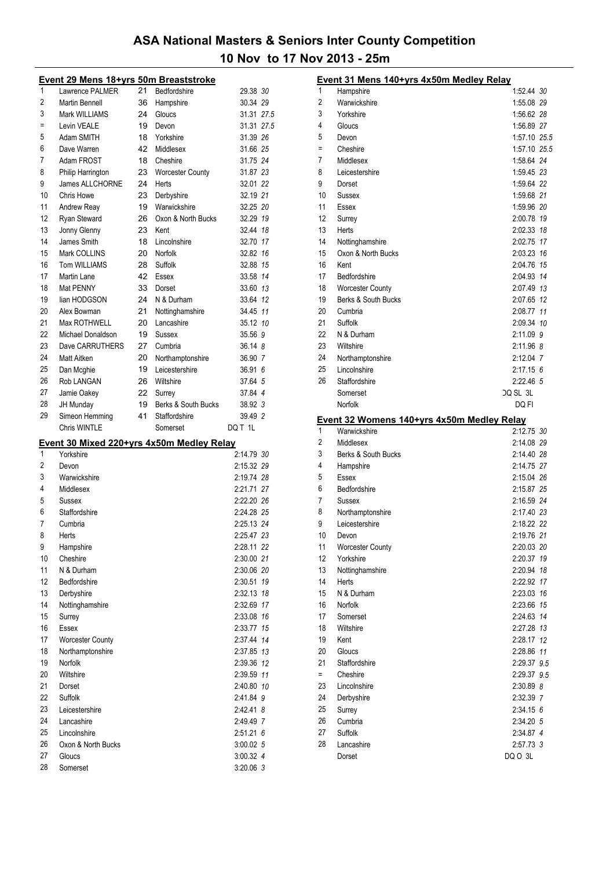|                | Event 29 Mens 18+yrs 50m Breaststroke     |    |                     |               |
|----------------|-------------------------------------------|----|---------------------|---------------|
| 1              | Lawrence PALMER                           | 21 | Bedfordshire        | 29.38 30      |
| $\overline{2}$ | <b>Martin Bennell</b>                     | 36 | Hampshire           | 30.34 29      |
| 3              | Mark WILLIAMS                             | 24 | Gloucs              | 31.31 27.5    |
| Ξ              | Levin VEALE                               | 19 | Devon               | 31.31 27.5    |
| 5              | Adam SMITH                                | 18 | Yorkshire           | 31.39 26      |
| 6              | Dave Warren                               | 42 | Middlesex           | 31.66 25      |
| 7              | Adam FROST                                | 18 | Cheshire            | 31.75 24      |
| 8              | Philip Harrington                         | 23 | Worcester County    | 31.87 23      |
| 9              | James ALLCHORNE                           | 24 | Herts               | 32.01 22      |
| 10             | <b>Chris Howe</b>                         | 23 | Derbyshire          | 32.19 21      |
| 11             | Andrew Reay                               | 19 | Warwickshire        | 32.25 20      |
| 12             | Ryan Steward                              | 26 | Oxon & North Bucks  | 32.29 19      |
| 13             | Jonny Glenny                              | 23 | Kent                | 32.44 18      |
| 14             | James Smith                               | 18 | Lincolnshire        | 32.70 17      |
| 15             | Mark COLLINS                              | 20 | Norfolk             | 32.82 16      |
| 16             | <b>Tom WILLIAMS</b>                       | 28 | Suffolk             | 32.88 15      |
| 17             | Martin Lane                               | 42 | Essex               | 33.58 14      |
| 18             | Mat PENNY                                 | 33 | Dorset              | 33.60 13      |
| 19             | lian HODGSON                              | 24 | N & Durham          | 33.64 12      |
| 20             | Alex Bowman                               | 21 | Nottinghamshire     | 34.45 11      |
| 21             | Max ROTHWELL                              | 20 | Lancashire          | 35.12 10      |
| 22             | Michael Donaldson                         | 19 | Sussex              | 35.56 9       |
| 23             | Dave CARRUTHERS                           | 27 | Cumbria             | 36.148        |
| 24             | Matt Aitken                               | 20 | Northamptonshire    | 36.90 7       |
| 25             | Dan Mcghie                                | 19 | Leicestershire      | 36.91 6       |
| 26             | Rob LANGAN                                | 26 | Wiltshire           | 37.64 5       |
| 27             | Jamie Oakey                               | 22 | Surrey              | 37.84 4       |
| 28             | JH Munday                                 | 19 | Berks & South Bucks | 38.92 3       |
| 29             | Simeon Hemming                            | 41 | Staffordshire       | 39.49 2       |
|                | Chris WINTLE                              |    | Somerset            | DQ T 1L       |
|                | Event 30 Mixed 220+yrs 4x50m Medley Relay |    |                     |               |
| 1              | Yorkshire                                 |    |                     | 2:14.79 30    |
| 2              | Devon                                     |    |                     | 2:15.32 29    |
| 3              | Warwickshire                              |    |                     | 2:19.74 28    |
| 4              | Middlesex                                 |    |                     | 2:21.71 27    |
| 5              | <b>Sussex</b>                             |    |                     | 2:22.20 26    |
| 6              | Staffordshire                             |    |                     | 2:24.28 25    |
| 7              | Cumbria                                   |    |                     | 2:25.13 24    |
| 8              | Herts                                     |    |                     | 2:25.47 23    |
| 9              | Hampshire                                 |    |                     | 2:28.11 22    |
| 10             | Cheshire                                  |    |                     | 2:30.00 21    |
| 11             | N & Durham                                |    |                     | 2:30.06 20    |
| 12             | Bedfordshire                              |    |                     | 2:30.51<br>19 |
| 13             | Derbyshire                                |    |                     | 2:32.13 18    |
| 14             | Nottinghamshire                           |    |                     | 2:32.69 17    |
| 15             | Surrey                                    |    |                     | 2:33.08 16    |
| 16             | <b>Essex</b>                              |    |                     | 2:33.77 15    |
| 17             | <b>Worcester County</b>                   |    |                     | 2:37.44 14    |
| 18             | Northamptonshire                          |    |                     | 2:37.85 13    |
| 19             | Norfolk                                   |    |                     | 2:39.36 12    |
| 20             | Wiltshire                                 |    |                     | 2:39.59 11    |
| 21             | Dorset                                    |    |                     | 2:40.80 10    |
| 22             | Suffolk                                   |    |                     | 2:41.84 9     |
| 23             | Leicestershire                            |    |                     | 2:42.41 8     |
| 24             | Lancashire                                |    |                     | 2:49.49 7     |
| 25             |                                           |    |                     | $2:51.21$ 6   |
|                | Lincolnshire                              |    |                     |               |
| 26             | Oxon & North Bucks                        |    |                     | 3:00.02 5     |

Somerset 3:20.06 *3*

|     | Event 31 Mens 140+yrs 4x50m Medley Relay   |                      |  |
|-----|--------------------------------------------|----------------------|--|
| 1   | Hampshire                                  | 1:52.44 30           |  |
| 2   | Warwickshire                               | 1:55.08 29           |  |
| 3   | Yorkshire                                  | 1:56.62 28           |  |
| 4   | Gloucs                                     | 1:56.89 27           |  |
| 5   | Devon                                      | 1:57.10 25.5         |  |
| Ξ   | Cheshire                                   | 1:57.10 25.5         |  |
| 7   | Middlesex                                  | 1:58.64 24           |  |
| 8   | Leicestershire                             | 1:59.45 23           |  |
| 9   | Dorset                                     | 1:59.64 22           |  |
| 10  | <b>Sussex</b>                              | 1:59.68 21           |  |
| 11  | Essex                                      | 1:59.96 20           |  |
| 12  | Surrey                                     | 2:00.78 19           |  |
| 13  | Herts                                      | 2:02.33 18           |  |
| 14  | Nottinghamshire                            | 2:02.75 17           |  |
| 15  | Oxon & North Bucks                         | 2:03.23 16           |  |
| 16  | Kent                                       | 2:04.76 15           |  |
| 17  | Bedfordshire                               | 2:04.93 14           |  |
| 18  | <b>Worcester County</b>                    | 2:07.49 13           |  |
| 19  | Berks & South Bucks                        | 2:07.65 12           |  |
| 20  | Cumbria                                    | 2:08.77 11           |  |
| 21  | Suffolk                                    | 2:09.34 10           |  |
| 22  | N & Durham                                 | 2:11.09 9            |  |
| 23  | Wiltshire                                  | 2:11.96 8            |  |
| 24  | Northamptonshire                           | 2:12.04 7            |  |
| 25  | Lincolnshire                               | $2:17.15$ 6          |  |
| 26  | Staffordshire                              | 2:22.46 5            |  |
|     | Somerset                                   | DQ SL 3L             |  |
|     | Norfolk                                    | DQ FI                |  |
|     | Event 32 Womens 140+yrs 4x50m Medley Relay |                      |  |
| 1   | Warwickshire                               | 2:12.75 30           |  |
| 2   | Middlesex                                  | 2:14.08 29           |  |
| 3   | Berks & South Bucks                        | 2:14.40 28           |  |
| 4   |                                            |                      |  |
| 5   | Hampshire                                  | 2:14.75 27           |  |
|     | Essex                                      | 2:15.04 26           |  |
| 6   | Bedfordshire                               | 2:15.87 25           |  |
| 7   | Sussex                                     | 2:16.59 24           |  |
| 8   | Northamptonshire                           | 2:17.40 23           |  |
| 9   | Leicestershire                             | 2:18.22 22           |  |
| 10  | Devon                                      | 2:19.76 21           |  |
| 11  | <b>Worcester County</b>                    | 2:20.03 20           |  |
| 12  | Yorkshire                                  | 2:20.37 19           |  |
| 13  | Nottinghamshire                            | 2:20.94 18           |  |
| 14  | Herts                                      | 2:22.92 17           |  |
| 15  | N & Durham                                 | 2:23.03 16           |  |
| 16  | Norfolk                                    | 2:23.66 15           |  |
| 17  | Somerset                                   | 2:24.63 14           |  |
| 18  | Wiltshire                                  | 2:27.28 13           |  |
| 19  | Kent                                       | 2:28.17 12           |  |
| 20  | Gloucs                                     | 2:28.86 11           |  |
| 21  | Staffordshire                              | 2:29.37 9.5          |  |
| $=$ | Cheshire                                   | 2:29.37 9.5          |  |
| 23  | Lincolnshire                               | 2:30.89 8            |  |
| 24  | Derbyshire                                 | 2:32.39 7            |  |
| 25  | Surrey                                     | 2:34.15 6            |  |
| 26  | Cumbria                                    | 2:34.20 5            |  |
| 27  | Suffolk                                    | 2:34.87 4            |  |
| 28  | Lancashire<br>Dorset                       | 2:57.73 3<br>DQ 0 3L |  |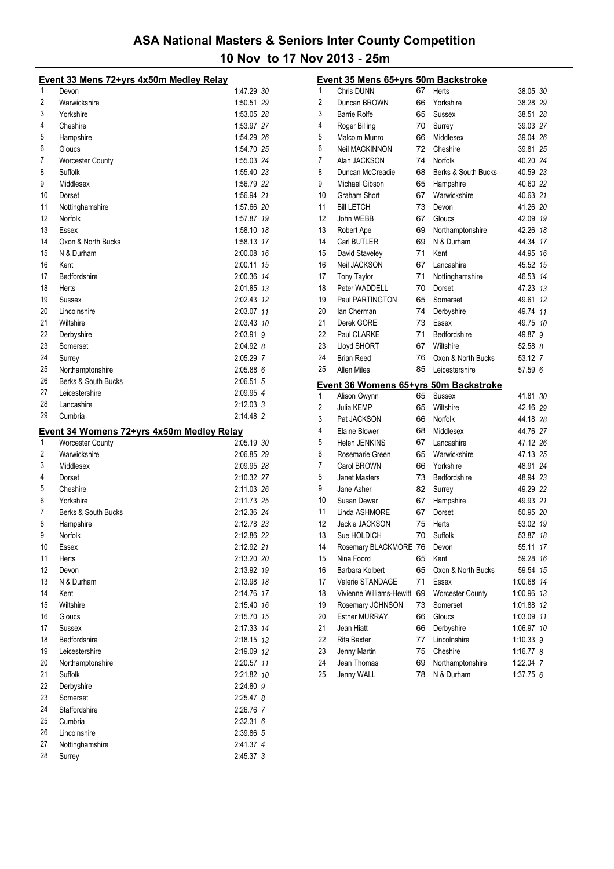|          | Event 33 Mens 72+yrs 4x50m Medley Relay   |                        |  |
|----------|-------------------------------------------|------------------------|--|
| 1        | Devon                                     | 1:47.29 30             |  |
| 2        | Warwickshire                              | 1:50.51 29             |  |
| 3        | Yorkshire                                 | 1:53.05 28             |  |
| 4        | Cheshire                                  | 1:53.97 27             |  |
| 5        | Hampshire                                 | 1:54.29 26             |  |
| 6        | Gloucs                                    | 1:54.70 25             |  |
| 7        | <b>Worcester County</b>                   | 1:55.03 24             |  |
| 8        | Suffolk                                   | 1:55.40 23             |  |
| 9        | Middlesex                                 | 1:56.79 22             |  |
| 10       | Dorset                                    | 1:56.94 21             |  |
| 11       | Nottinghamshire                           | 1:57.66 20             |  |
| 12       | Norfolk                                   | 1:57.87 19             |  |
| 13       | <b>Essex</b>                              | 1:58.10 18             |  |
| 14       | Oxon & North Bucks                        | 1:58.13 17             |  |
| 15       | N & Durham                                | 2:00.08 16             |  |
| 16       | Kent                                      | 2:00.11 15             |  |
| 17       | Bedfordshire                              | 2:00.36 14             |  |
| 18       | Herts                                     | 2:01.85 13             |  |
| 19       | <b>Sussex</b>                             | 2:02.43 12             |  |
| 20       | Lincolnshire                              | 2:03.07 11             |  |
| 21       | Wiltshire                                 | 2:03.43 10             |  |
| 22       | Derbyshire                                | 2:03.91 9              |  |
| 23       | Somerset                                  | 2:04.92 8              |  |
| 24       | Surrey                                    | 2:05.29 7              |  |
| 25       | Northamptonshire                          | $2:05.88$ 6            |  |
| 26       | Berks & South Bucks                       | 2:06.51 5              |  |
| 27       | Leicestershire                            | 2:09.95 4              |  |
| 28       | Lancashire                                | 2:12.03 3              |  |
|          |                                           |                        |  |
|          |                                           |                        |  |
| 29       | Cumbria                                   | 2:14.48 2              |  |
|          | Event 34 Womens 72+yrs 4x50m Medley Relay |                        |  |
| 1        | Worcester County                          | 2:05.19 30             |  |
| 2        | Warwickshire                              | 2:06.85 29             |  |
| 3        | Middlesex                                 | 2:09.95 28             |  |
| 4        | Dorset                                    | 2:10.32 27             |  |
| 5        | Cheshire                                  | 2:11.03 26             |  |
| 6        | Yorkshire                                 | 2:11.73 25             |  |
| 7        | Berks & South Bucks                       | 2:12.36 24             |  |
| 8        | Hampshire                                 | 2:12.78 23             |  |
| 9        | Norfolk                                   | 2:12.86 22             |  |
| 10       | Essex                                     | 2:12.92 21             |  |
| 11       | Herts                                     | 2:13.20 20             |  |
| 12       | Devon                                     | 2:13.92 19             |  |
| 13       | N & Durham                                | 2:13.98 18             |  |
| 14       | Kent                                      | 2:14.76 17             |  |
| 15       | Wiltshire                                 | 2:15.40 16             |  |
| 16       | Gloucs                                    | 2:15.70 15             |  |
| 17       | Sussex                                    | 2:17.33 14             |  |
| 18       | Bedfordshire                              | 2:18.15 13             |  |
| 19       | Leicestershire                            | 2:19.09 12             |  |
| 20       | Northamptonshire                          | 2:20.57 11             |  |
| 21       | Suffolk                                   | 2:21.82 10             |  |
| 22       | Derbyshire                                | 2:24.80 9              |  |
| 23       | Somerset                                  | 2:25.47 8              |  |
| 24       | Staffordshire                             | 2:26.76 7              |  |
| 25       | Cumbria                                   | $2:32.31$ 6            |  |
| 26       | Lincolnshire                              | 2:39.86 5              |  |
| 27<br>28 | Nottinghamshire<br>Surrey                 | 2:41.37 4<br>2:45.37 3 |  |

| 1        | <u>Event 35 Mens 65+yrs 50m Backstroke</u><br>Chris DUNN | 67       | Herts                      | 38.05 30                 |  |
|----------|----------------------------------------------------------|----------|----------------------------|--------------------------|--|
| 2        | Duncan BROWN                                             | 66       | Yorkshire                  | 38.28 29                 |  |
| 3        | <b>Barrie Rolfe</b>                                      | 65       | Sussex                     | 38.51 28                 |  |
| 4        | Roger Billing                                            | 70       | Surrey                     | 39.03 27                 |  |
| 5        | Malcolm Munro                                            | 66       | Middlesex                  | 39.04 26                 |  |
| 6        | <b>Neil MACKINNON</b>                                    | 72       | Cheshire                   | 39.81 25                 |  |
| 7        | Alan JACKSON                                             | 74       | Norfolk                    | 40.20 24                 |  |
| 8        | Duncan McCreadie                                         | 68       | Berks & South Bucks        | 40.59 23                 |  |
| 9        | Michael Gibson                                           | 65       | Hampshire                  | 40.60 22                 |  |
| 10       | Graham Short                                             | 67       | Warwickshire               | 40.63 21                 |  |
| 11       | <b>Bill LETCH</b>                                        | 73       | Devon                      | 41.26 20                 |  |
| 12       | John WEBB                                                | 67       | Gloucs                     | 42.09 19                 |  |
| 13       | Robert Apel                                              | 69       | Northamptonshire           | 42.26 18                 |  |
| 14       | Carl BUTLER                                              | 69       | N & Durham                 | 44.34 17                 |  |
| 15       | David Staveley                                           | 71       | Kent                       | 44.95 16                 |  |
| 16       | <b>Neil JACKSON</b>                                      | 67       | Lancashire                 | 45.52 15                 |  |
| 17       | <b>Tony Taylor</b>                                       | 71       | Nottinghamshire            | 46.53 14                 |  |
| 18       | Peter WADDELL                                            | 70       | Dorset                     | 47.23 13                 |  |
| 19       | Paul PARTINGTON                                          | 65       | Somerset                   | 49.61 12                 |  |
| 20       | lan Cherman                                              | 74       | Derbyshire                 | 49.74 11                 |  |
| 21       | Derek GORE                                               | 73       | Essex                      | 49.75 10                 |  |
| 22       | Paul CLARKE                                              | 71       | Bedfordshire               | 49.87 9                  |  |
| 23       | Lloyd SHORT                                              | 67       | Wiltshire                  | 52.58 8                  |  |
| 24       | <b>Brian Reed</b>                                        | 76       | Oxon & North Bucks         | 53.12 7                  |  |
| 25       | Allen Miles                                              | 85       | Leicestershire             | 57.59 6                  |  |
|          |                                                          |          |                            |                          |  |
|          |                                                          |          |                            |                          |  |
|          | Event 36 Womens 65+yrs 50m Backstroke                    |          |                            |                          |  |
| 1        | Alison Gwynn                                             | 65       | Sussex                     | 41.81 30                 |  |
| 2        | Julia KEMP                                               | 65       | Wiltshire                  | 42.16 29                 |  |
| 3        | Pat JACKSON                                              | 66       | Norfolk                    | 44.18 28                 |  |
| 4        | Elaine Blower                                            | 68       | Middlesex                  | 44.76 27                 |  |
| 5        | Helen JENKINS                                            | 67       | Lancashire                 | 47.12 26                 |  |
| 6        | Rosemarie Green                                          | 65       | Warwickshire               | 47.13 25                 |  |
| 7        | Carol BROWN                                              | 66       | Yorkshire                  | 48.91 24                 |  |
| 8        | <b>Janet Masters</b>                                     | 73       | Bedfordshire               | 48.94 23                 |  |
| 9        | Jane Asher                                               | 82       | Surrey                     | 49.29 22                 |  |
| 10       | Susan Dewar                                              | 67       | Hampshire                  | 49.93 21                 |  |
| 11<br>12 | Linda ASHMORE                                            | 67       | Dorset                     | 50.95 20                 |  |
|          | Jackie JACKSON                                           | 75       | Herts                      | 53.02 19                 |  |
| 13       | Sue HOLDICH                                              | 70       | Suffolk                    | 53.87 18                 |  |
| 14       | Rosemary BLACKMORE 76                                    |          | Devon                      | 55.11<br>17              |  |
| 15       | Nina Foord                                               | 65       | Kent                       | 59.28 16                 |  |
| 16       | Barbara Kolbert                                          | 65       | Oxon & North Bucks         | 59.54 15                 |  |
| 17       | Valerie STANDAGE                                         | 71       | Essex                      | 1:00.68 14               |  |
| 18       | Vivienne Williams-Hewitt                                 | 69       | <b>Worcester County</b>    | 1:00.96 13               |  |
| 19       | Rosemary JOHNSON<br><b>Esther MURRAY</b>                 | 73<br>66 | Somerset<br>Gloucs         | 1:01.88 12               |  |
| 20       | Jean Hiatt                                               |          |                            | 1:03.09 11               |  |
| 21<br>22 | Rita Baxter                                              | 66<br>77 | Derbyshire<br>Lincolnshire | 1:06.97 10               |  |
| 23       | Jenny Martin                                             | 75       | Cheshire                   | 1:10.33 9<br>$1:16.77$ 8 |  |
| 24       | Jean Thomas                                              | 69       | Northamptonshire           | 1:22.04 7                |  |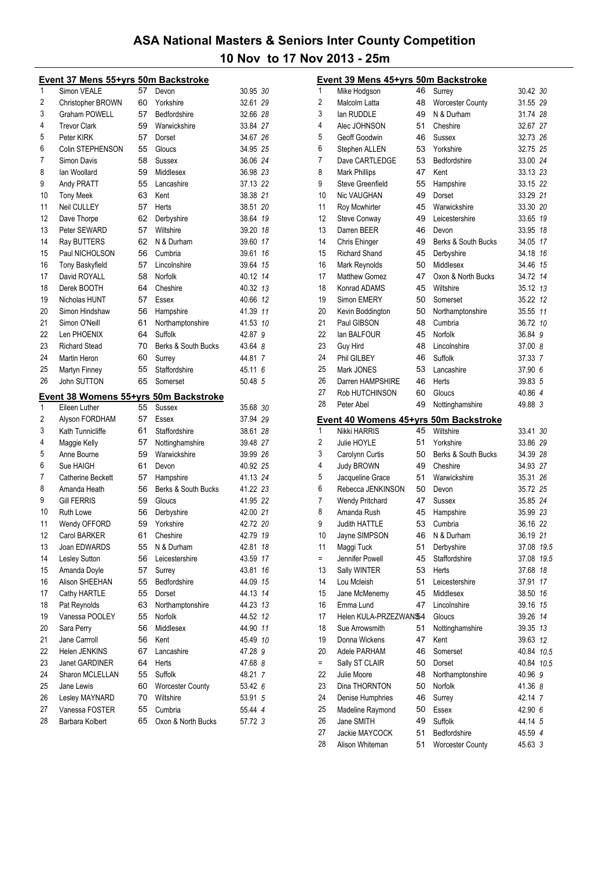|    | Event 37 Mens 55+yrs 50m Backstroke   |    |                     |          |    |
|----|---------------------------------------|----|---------------------|----------|----|
| 1  | Simon VEALE                           | 57 | Devon               | 30.95 30 |    |
| 2  | <b>Christopher BROWN</b>              | 60 | Yorkshire           | 32.61 29 |    |
| 3  | <b>Graham POWELL</b>                  | 57 | Bedfordshire        | 32.66 28 |    |
| 4  | <b>Trevor Clark</b>                   | 59 | Warwickshire        | 33.84 27 |    |
| 5  | Peter KIRK                            | 57 | Dorset              | 34.67 26 |    |
| 6  | Colin STEPHENSON                      | 55 | Gloucs              | 34.95 25 |    |
| 7  | Simon Davis                           | 58 | Sussex              | 36.06 24 |    |
| 8  | lan Woollard                          | 59 | Middlesex           | 36.98 23 |    |
| 9  | Andy PRATT                            | 55 | Lancashire          | 37.13 22 |    |
| 10 | <b>Tony Meek</b>                      | 63 | Kent                | 38.38 21 |    |
| 11 | Neil CULLEY                           | 57 | Herts               | 38.51 20 |    |
| 12 | Dave Thorpe                           | 62 | Derbyshire          | 38.64 19 |    |
| 13 | Peter SEWARD                          | 57 | Wiltshire           | 39.20 18 |    |
| 14 | Ray BUTTERS                           | 62 | N & Durham          | 39.60 17 |    |
| 15 | Paul NICHOLSON                        | 56 | Cumbria             | 39.61 16 |    |
| 16 | <b>Tony Baskyfield</b>                | 57 | Lincolnshire        | 39.64 15 |    |
| 17 | David ROYALL                          | 58 | Norfolk             | 40.12 14 |    |
| 18 | Derek BOOTH                           | 64 | Cheshire            | 40.32 13 |    |
| 19 | Nicholas HUNT                         | 57 | Essex               | 40.66 12 |    |
| 20 | Simon Hindshaw                        | 56 | Hampshire           | 41.39 11 |    |
| 21 | Simon O'Neill                         | 61 | Northamptonshire    | 41.53 10 |    |
| 22 | Len PHOENIX                           | 64 | Suffolk             | 42.87 9  |    |
| 23 | <b>Richard Stead</b>                  | 70 | Berks & South Bucks | 43.64 8  |    |
| 24 | Martin Heron                          | 60 | Surrey              | 44.81 7  |    |
| 25 | Martyn Finney                         | 55 | Staffordshire       | 45.11 6  |    |
| 26 | John SUTTON                           | 65 | Somerset            | 50.48 5  |    |
|    | Event 38 Womens 55+yrs 50m Backstroke |    |                     |          |    |
| 1  | Eileen Luther                         | 55 | Sussex              | 35.68 30 |    |
| 2  | Alyson FORDHAM                        | 57 | Essex               | 37.94 29 |    |
| 3  | Kath Tunnicliffe                      | 61 | Staffordshire       | 38.61 28 |    |
| 4  | Maggie Kelly                          | 57 | Nottinghamshire     | 39.48 27 |    |
| 5  | Anne Bourne                           | 59 | Warwickshire        | 39.99 26 |    |
| 6  | Sue HAIGH                             | 61 | Devon               | 40.92 25 |    |
| 7  | Catherine Beckett                     | 57 | Hampshire           | 41.13 24 |    |
| 8  | Amanda Heath                          | 56 | Berks & South Bucks | 41.22 23 |    |
| 9  | <b>Gill FERRIS</b>                    | 59 | Gloucs              | 41.95 22 |    |
| 10 | <b>Ruth Lowe</b>                      | 56 | Derbyshire          | 42.00 21 |    |
| 11 | Wendy OFFORD                          | 59 | Yorkshire           | 42.72 20 |    |
| 12 | Carol BARKER                          | 61 | Cheshire            | 42.79 19 |    |
| 13 | Joan EDWARDS                          | 55 | N & Durham          | 42.81    | 18 |
| 14 | Lesley Sutton                         | 56 | Leicestershire      | 43.59 17 |    |
| 15 | Amanda Doyle                          | 57 | Surrey              | 43.81    | 16 |
| 16 | Alison SHEEHAN                        | 55 | Bedfordshire        | 44.09 15 |    |
| 17 | Cathy HARTLE                          | 55 | Dorset              | 44.13 14 |    |
| 18 | Pat Reynolds                          | 63 | Northamptonshire    | 44.23 13 |    |
| 19 | Vanessa POOLEY                        | 55 | Norfolk             | 44.52 12 |    |
| 20 | Sara Perry                            | 56 | Middlesex           | 44.90 11 |    |
| 21 | Jane Carrroll                         | 56 | Kent                | 45.49 10 |    |
| 22 | Helen JENKINS                         | 67 | Lancashire          | 47.28 9  |    |
| 23 | Janet GARDINER                        | 64 | Herts               | 47.68 8  |    |
| 24 | Sharon MCLELLAN                       | 55 | Suffolk             | 48.21 7  |    |
| 25 | Jane Lewis                            | 60 | Worcester County    | 53.42 6  |    |
| 26 | Lesley MAYNARD                        | 70 | Wiltshire           | 53.91 5  |    |
| 27 | Vanessa FOSTER                        | 55 | Cumbria             | 55.44 4  |    |
| 28 | Barbara Kolbert                       | 65 | Oxon & North Bucks  | 57.72 3  |    |
|    |                                       |    |                     |          |    |

|          | Event 39 Mens 45+yrs 50m Backstroke   |    |                         |            |  |
|----------|---------------------------------------|----|-------------------------|------------|--|
| 1        | Mike Hodgson                          | 46 | Surrey                  | 30.42 30   |  |
| 2        | Malcolm Latta                         | 48 | <b>Worcester County</b> | 31.55 29   |  |
| 3        | lan RUDDLE                            | 49 | N & Durham              | 31.74 28   |  |
| 4        | Alec JOHNSON                          | 51 | Cheshire                | 32.67 27   |  |
| 5        | Geoff Goodwin                         | 46 | Sussex                  | 32.73 26   |  |
| 6        | Stephen ALLEN                         | 53 | Yorkshire               | 32.75 25   |  |
| 7        | Dave CARTLEDGE                        | 53 | Bedfordshire            | 33.00 24   |  |
| 8        | <b>Mark Phillips</b>                  | 47 | Kent                    | 33.13 23   |  |
| 9        | <b>Steve Greenfield</b>               | 55 | Hampshire               | 33.15 22   |  |
| 10       | <b>Nic VAUGHAN</b>                    | 49 | Dorset                  | 33.29 21   |  |
| 11       | Roy Mcwhirter                         | 45 | Warwickshire            | 33.30 20   |  |
| 12       | <b>Steve Conway</b>                   | 49 | Leicestershire          | 33.65 19   |  |
| 13       | Darren BEER                           | 46 | Devon                   | 33.95 18   |  |
| 14       | Chris Ehinger                         | 49 | Berks & South Bucks     | 34.05 17   |  |
| 15       | Richard Shand                         | 45 | Derbyshire              | 34.18 16   |  |
| 16       | Mark Reynolds                         | 50 | Middlesex               | 34.46 15   |  |
| 17       | <b>Matthew Gomez</b>                  | 47 | Oxon & North Bucks      | 34.72 14   |  |
| 18       | Konrad ADAMS                          | 45 | Wiltshire               | 35.12 13   |  |
| 19       | Simon EMERY                           | 50 | Somerset                | 35.22 12   |  |
| 20       | Kevin Boddington                      | 50 | Northamptonshire        | 35.55 11   |  |
| 21       | Paul GIBSON                           | 48 | Cumbria                 | 36.72 10   |  |
| 22       | lan BALFOUR                           | 45 | Norfolk                 | 36.84 9    |  |
| 23       | Guy Hird                              | 48 | Lincolnshire            | 37.00 8    |  |
| 24       | Phil GILBEY                           | 46 | Suffolk                 | 37.33 7    |  |
| 25       | Mark JONES                            | 53 | Lancashire              | 37.90 6    |  |
| 26       | Darren HAMPSHIRE                      | 46 | Herts                   | 39.83 5    |  |
| 27       | Rob HUTCHINSON                        | 60 | Gloucs                  | 40.86 4    |  |
| 28       | Peter Abel                            | 49 | Nottinghamshire         | 49.88 3    |  |
|          |                                       |    |                         |            |  |
|          |                                       |    |                         |            |  |
|          | Event 40 Womens 45+yrs 50m Backstroke |    |                         |            |  |
| 1        | Nikki HARRIS                          | 45 | Wiltshire               | 33.41 30   |  |
| 2        | Julie HOYLE                           | 51 | Yorkshire               | 33.86 29   |  |
| 3        | Carolynn Curtis                       | 50 | Berks & South Bucks     | 34.39 28   |  |
| 4        | Judy BROWN                            | 49 | Cheshire                | 34.93 27   |  |
| 5        | Jacqueline Grace                      | 51 | Warwickshire            | 35.31 26   |  |
| 6        | Rebecca JENKINSON                     | 50 | Devon                   | 35.72 25   |  |
| 7        | <b>Wendy Pritchard</b>                | 47 | <b>Sussex</b>           | 35.85 24   |  |
| 8        | Amanda Rush                           | 45 | Hampshire               | 35.99 23   |  |
| 9        | <b>Judith HATTLE</b>                  | 53 | Cumbria                 | 36.16 22   |  |
| 10       | Jayne SIMPSON                         | 46 | N & Durham              | 36.19 21   |  |
| 11       | Maggi Tuck                            | 51 | Derbyshire              | 37.08 19.5 |  |
| $=$      | Jennifer Powell                       | 45 | Staffordshire           | 37.08 19.5 |  |
| 13       | Sally WINTER                          | 53 | Herts                   | 37.68 18   |  |
| 14       | Lou Mcleish                           | 51 | Leicestershire          | 37.91 17   |  |
| 15       | Jane McMenemy                         | 45 | Middlesex               | 38.50 16   |  |
| 16       | Emma Lund                             | 47 | Lincolnshire            | 39.16 15   |  |
| 17       | Helen KULA-PRZEZWAN\$4                |    | Gloucs                  | 39.26 14   |  |
| 18       | Sue Arrowsmith                        | 51 | Nottinghamshire         | 39.35 13   |  |
| 19       | Donna Wickens                         | 47 | Kent                    | 39.63 12   |  |
| 20       | Adele PARHAM                          | 46 | Somerset                | 40.84 10.5 |  |
| $=$      | Sally ST CLAIR                        | 50 | Dorset                  | 40.84 10.5 |  |
| 22       | Julie Moore                           | 48 | Northamptonshire        | 40.96 9    |  |
| 23       | Dina THORNTON                         | 50 | Norfolk                 | 41.36 8    |  |
| 24       | Denise Humphries                      | 46 | Surrey                  | 42.14 7    |  |
| 25       | Madeline Raymond                      | 50 | Essex                   | 42.90 6    |  |
| 26       | Jane SMITH                            | 49 | Suffolk                 | 44.14 5    |  |
| 27<br>28 | Jackie MAYCOCK                        | 51 | Bedfordshire            | 45.59 4    |  |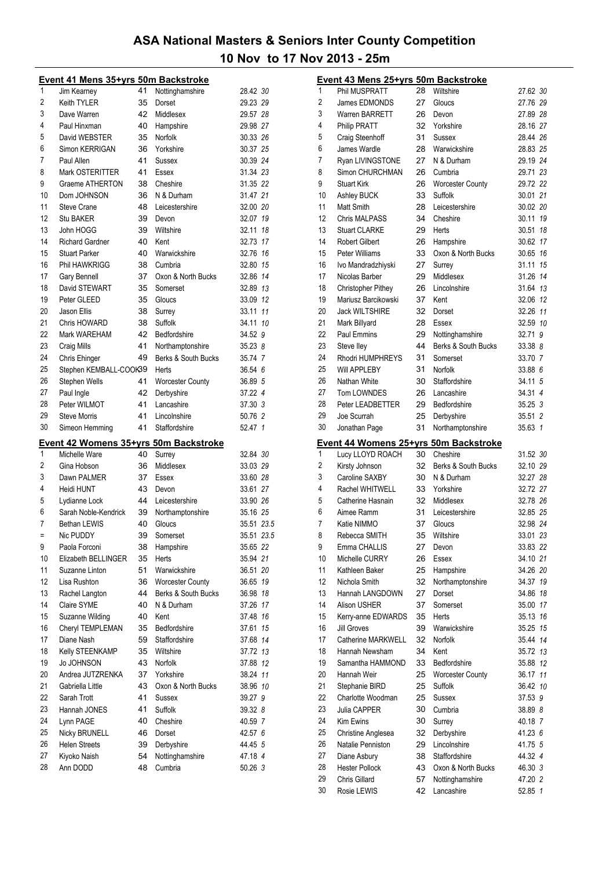|    | <u>Event 41 Mens 35+yrs 50m Backstroke</u> |    |                         |                    |  |
|----|--------------------------------------------|----|-------------------------|--------------------|--|
| 1  | Jim Kearney                                | 41 | Nottinghamshire         | 28.42 30           |  |
| 2  | Keith TYLER                                | 35 | Dorset                  | 29.23 29           |  |
| 3  | Dave Warren                                | 42 | Middlesex               | 29.57 28           |  |
| 4  | Paul Hinxman                               | 40 | Hampshire               | 29.98 27           |  |
| 5  | David WEBSTER                              | 35 | Norfolk                 | 30.33 26           |  |
| 6  | Simon KERRIGAN                             | 36 | Yorkshire               | 30.37 25           |  |
| 7  | Paul Allen                                 | 41 | Sussex                  | 30.39 24           |  |
| 8  | Mark OSTERITTER                            | 41 | Essex                   | 31.34 23           |  |
| 9  | <b>Graeme ATHERTON</b>                     | 38 | Cheshire                | 31.35 22           |  |
| 10 | Dom JOHNSON                                | 36 | N & Durham              | 31.47 21           |  |
| 11 | <b>Steve Crane</b>                         | 48 | Leicestershire          | 32.00 20           |  |
| 12 | <b>Stu BAKER</b>                           | 39 | Devon                   | 32.07 19           |  |
| 13 | John HOGG                                  | 39 | Wiltshire               | 32.11 18           |  |
| 14 | <b>Richard Gardner</b>                     | 40 | Kent                    | 32.73 17           |  |
| 15 | <b>Stuart Parker</b>                       | 40 | Warwickshire            | 32.76 16           |  |
| 16 | <b>Phil HAWKRIGG</b>                       | 38 | Cumbria                 | 32.80 15           |  |
| 17 | Gary Bennell                               | 37 | Oxon & North Bucks      | 32.86 14           |  |
| 18 | David STEWART                              | 35 | Somerset                | 32.89 13           |  |
| 19 | Peter GLEED                                | 35 | Gloucs                  | 33.09 12           |  |
| 20 | Jason Ellis                                | 38 | Surrey                  | 33.11 11           |  |
| 21 | Chris HOWARD                               | 38 | Suffolk                 | 34.11 10           |  |
| 22 | Mark WAREHAM                               | 42 | Bedfordshire            | 34.52 9            |  |
| 23 | Craig Mills                                | 41 | Northamptonshire        | 35.23 8            |  |
| 24 | Chris Ehinger                              | 49 | Berks & South Bucks     | 35.74 7            |  |
| 25 | Stephen KEMBALL-COOK39                     |    | Herts                   | 36.54 6            |  |
| 26 | Stephen Wells                              | 41 | <b>Worcester County</b> | 36.89 5            |  |
| 27 | Paul Ingle                                 | 42 | Derbyshire              | 37.22 4            |  |
| 28 | Peter WILMOT                               | 41 | Lancashire              | 37.30 3            |  |
| 29 | <b>Steve Morris</b>                        | 41 | Lincolnshire            | 50.76 2            |  |
| 30 | Simeon Hemming                             | 41 | Staffordshire           | 52.47 1            |  |
|    | Event 42 Womens 35+yrs 50m Backstroke      |    |                         |                    |  |
| 1  | Michelle Ware                              | 40 | Surrey                  | 32.84 30           |  |
| 2  | Gina Hobson                                | 36 | Middlesex               | 33.03 29           |  |
| 3  | Dawn PALMER                                | 37 | Essex                   | 33.60 28           |  |
| 4  | Heidi HUNT                                 | 43 | Devon                   | 33.61 27           |  |
| 5  | Lydianne Lock                              | 44 | Leicestershire          | 33.90 26           |  |
| 6  | Sarah Noble-Kendrick                       | 39 | Northamptonshire        | 35.16 25           |  |
| 7  | <b>Bethan LEWIS</b>                        | 40 | Gloucs                  | 35.51 23.5         |  |
| Ξ  | Nic PUDDY                                  | 39 | Somerset                | 35.51 23.5         |  |
| 9  | Paola Forconi                              | 38 | Hampshire               | 35.65 22           |  |
| 10 | Elizabeth BELLINGER                        | 35 | Herts                   | 35.94 21           |  |
| 11 | Suzanne Linton                             | 51 | Warwickshire            | 36.51 20           |  |
| 12 | Lisa Rushton                               | 36 | <b>Worcester County</b> | 36.65 19           |  |
| 13 | Rachel Langton                             | 44 | Berks & South Bucks     | 36.98 18           |  |
| 14 | Claire SYME                                | 40 | N & Durham              | 37.26 17           |  |
| 15 | Suzanne Wilding                            | 40 | Kent                    | 37.48 16           |  |
| 16 | Cheryl TEMPLEMAN                           | 35 | Bedfordshire            | 37.61 15           |  |
| 17 | Diane Nash                                 | 59 | Staffordshire           | 37.68 14           |  |
| 18 | Kelly STEENKAMP                            | 35 | Wiltshire               | 37.72 13           |  |
| 19 | Jo JOHNSON                                 | 43 | Norfolk                 | 37.88 12           |  |
| 20 | Andrea JUTZRENKA                           | 37 | Yorkshire               | 38.24 11           |  |
| 21 | Gabriella Little                           | 43 | Oxon & North Bucks      | 38.96 10           |  |
| 22 | Sarah Trott                                | 41 | Sussex                  | 39.27 9            |  |
| 23 |                                            | 41 |                         |                    |  |
| 24 | Hannah JONES<br>Lynn PAGE                  | 40 | Suffolk<br>Cheshire     | 39.32 8<br>40.59 7 |  |
| 25 | Nicky BRUNELL                              | 46 | Dorset                  | 42.57 6            |  |
| 26 | <b>Helen Streets</b>                       | 39 | Derbyshire              | 44.45 5            |  |
| 27 | Kiyoko Naish                               | 54 | Nottinghamshire         | 47.18 4            |  |
| 28 | Ann DODD                                   | 48 | Cumbria                 | 50.26 3            |  |
|    |                                            |    |                         |                    |  |

|                | Event 43 Mens 25+yrs 50m Backstroke   |          |                               |                    |
|----------------|---------------------------------------|----------|-------------------------------|--------------------|
| 1              | Phil MUSPRATT                         | 28       | Wiltshire                     | 27.62 30           |
| $\overline{c}$ | James EDMONDS                         | 27       | Gloucs                        | 27.76 29           |
| 3              | Warren BARRETT                        | 26       | Devon                         | 27.89 28           |
| 4              | Philip PRATT                          | 32       | Yorkshire                     | 28.16 27           |
| 5              | Craig Steenhoff                       | 31       | Sussex                        | 28.44 26           |
| 6              | James Wardle                          | 28       | Warwickshire                  | 28.83 25           |
| 7              | Ryan LIVINGSTONE                      | 27       | N & Durham                    | 29.19 24           |
| 8              | Simon CHURCHMAN                       | 26       | Cumbria                       | 29.71 23           |
| 9              | <b>Stuart Kirk</b>                    | 26       | <b>Worcester County</b>       | 29.72 22           |
| 10             | Ashley BUCK                           | 33       | Suffolk                       | 30.01 21           |
| 11             | Matt Smith                            | 28       | Leicestershire                | 30.02 20           |
| 12             | <b>Chris MALPASS</b>                  | 34       | Cheshire                      | 30.11<br>19        |
| 13             | <b>Stuart CLARKE</b>                  | 29       | Herts                         | 30.51<br>18        |
| 14             | <b>Robert Gilbert</b>                 | 26       | Hampshire                     | 30.62 17           |
| 15             | Peter Williams                        | 33       | Oxon & North Bucks            | 30.65 16           |
| 16             | Ivo Mandradzhiyski                    | 27       | Surrey                        | 31.11<br>15        |
| 17             | Nicolas Barber                        | 29       | Middlesex                     | 31.26 14           |
| 18             | <b>Christopher Pithey</b>             | 26       | Lincolnshire                  | 31.64 13           |
| 19             | Mariusz Barcikowski                   | 37       | Kent                          | 32.06<br>12        |
| 20             | <b>Jack WILTSHIRE</b>                 | 32       | Dorset                        | 32.26 11           |
| 21             |                                       | 28       | Essex                         | 32.59 10           |
| 22             | Mark Billyard<br>Paul Emmins          |          |                               |                    |
| 23             |                                       | 29       | Nottinghamshire               | 32.71 9            |
| 24             | Steve lley                            | 44       | Berks & South Bucks           | 33.38 8            |
| 25             | Rhodri HUMPHREYS                      | 31       | Somerset                      | 33.70 7            |
|                | <b>Will APPLEBY</b>                   | 31       | Norfolk                       | 33.88 6            |
| 26             | Nathan White                          | 30       | Staffordshire                 | 34.11 5            |
| 27             | Tom LOWNDES                           | 26       | Lancashire                    | 34.31 4            |
| 28             | Peter LEADBETTER                      | 29       | Bedfordshire                  | 35.25 3            |
| 29             | Joe Scurrah                           | 25       | Derbyshire                    | 35.51 2            |
| 30             | Jonathan Page                         | 31       | Northamptonshire              | 35.63 1            |
|                |                                       |          |                               |                    |
|                | Event 44 Womens 25+yrs 50m Backstroke |          |                               |                    |
| 1              | Lucy LLOYD ROACH                      | 30       | Cheshire                      | 31.52 30           |
| 2              | Kirsty Johnson                        | 32       | Berks & South Bucks           | 32.10 29           |
| 3              | Caroline SAXBY                        | 30       | N & Durham                    | 32.27 28           |
| 4              | Rachel WHITWELL                       | 33       | Yorkshire                     | 32.72 27           |
| 5              | Catherine Hasnain                     | 32       | Middlesex                     | 32.78 26           |
| 6              | Aimee Ramm                            | 31       | Leicestershire                | 32.85 25           |
| 7              | Katie NIMMO                           | 37       | Gloucs                        | 32.98 24           |
| 8              | Rebecca SMITH                         | 35       | Wiltshire                     | 33.01 23           |
| 9              | Emma CHALLIS                          | 27       | Devon                         | 33.83 22           |
| 10             | Michelle CURRY                        | 26       | Essex                         | 34.10 21           |
| 11             | Kathleen Baker                        | 25       | Hampshire                     | 34.26 20           |
| 12             | Nichola Smith                         | 32       | Northamptonshire              | 34.37 19           |
| 13             | Hannah LANGDOWN                       | 27       | Dorset                        | 34.86 18           |
| 14             | <b>Alison USHER</b>                   | 37       | Somerset                      | 35.00 17           |
| 15             | Kerry-anne EDWARDS                    | 35       | Herts                         | 35.13 16           |
| 16             | <b>Jill Groves</b>                    | 39       | Warwickshire                  | 35.25 15           |
| 17             |                                       | 32       | Norfolk                       | 35.44 14           |
| 18             | Catherine MARKWELL<br>Hannah Newsham  | 34       | Kent                          | 35.72 13           |
| 19             |                                       |          | Bedfordshire                  |                    |
|                | Samantha HAMMOND                      | 33       |                               | 35.88 12           |
| 20             | Hannah Weir                           | 25       | <b>Worcester County</b>       | 36.17 11           |
| 21<br>22       | Stephanie BIRD                        | 25       | Suffolk                       | 36.42 10           |
| 23             | Charlotte Woodman<br>Julia CAPPER     | 25       | Sussex                        | 37.53 9            |
|                |                                       | 30       | Cumbria                       | 38.89 8            |
| 24             | Kim Ewins                             | 30       | Surrey                        | 40.18 7            |
| 25             | Christine Anglesea                    | 32       | Derbyshire                    | 41.23 6            |
| 26             | Natalie Penniston                     | 29       | Lincolnshire                  | 41.75 5            |
| 27             | Diane Asbury                          | 38       | Staffordshire                 | 44.32 4            |
| 28             | <b>Hester Pollock</b>                 | 43       | Oxon & North Bucks            | 46.30 3            |
| 29<br>30       | Chris Gillard<br>Rosie LEWIS          | 57<br>42 | Nottinghamshire<br>Lancashire | 47.20 2<br>52.85 1 |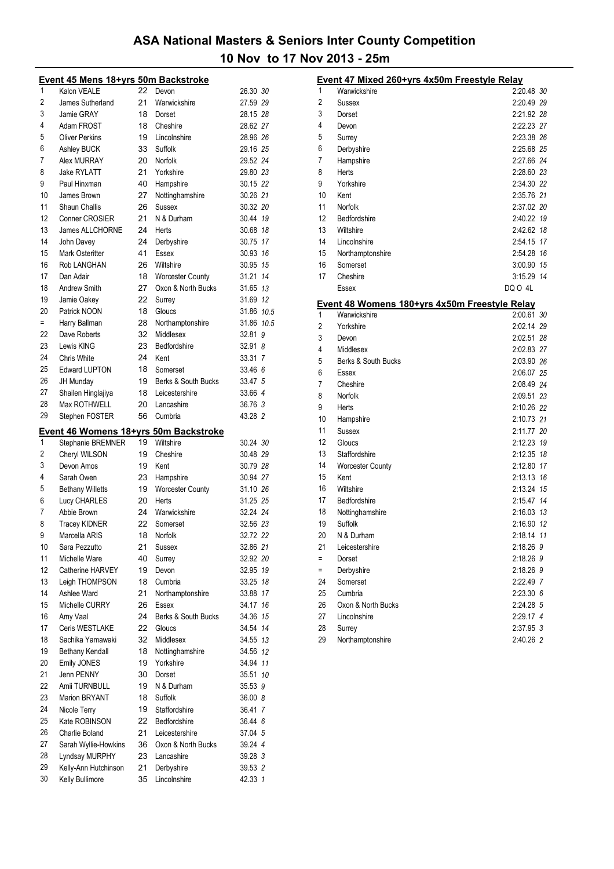|          | <u>Event 45 Mens 18+yrs 50m Backstroke</u> |          |                            |                    |  |
|----------|--------------------------------------------|----------|----------------------------|--------------------|--|
| 1        | Kalon VEALE                                | 22       | Devon                      | 26.30 30           |  |
| 2        | James Sutherland                           | 21       | Warwickshire               | 27.59 29           |  |
| 3        | Jamie GRAY                                 | 18       | Dorset                     | 28.15 28           |  |
| 4        | Adam FROST                                 | 18       | Cheshire                   | 28.62 27           |  |
| 5        | <b>Oliver Perkins</b>                      | 19       | Lincolnshire               | 28.96 26           |  |
| 6        | Ashley BUCK                                | 33       | Suffolk                    | 29.16 25           |  |
| 7        | Alex MURRAY                                | 20       | Norfolk                    | 29.52 24           |  |
| 8        | <b>Jake RYLATT</b>                         | 21       | Yorkshire                  | 29.80 23           |  |
| 9        | Paul Hinxman                               | 40       | Hampshire                  | 30.15 22           |  |
| 10       |                                            |          |                            |                    |  |
|          | James Brown                                | 27       | Nottinghamshire            | 30.26 21           |  |
| 11       | <b>Shaun Challis</b>                       | 26       | Sussex                     | 30.32 20           |  |
| 12       | <b>Conner CROSIER</b>                      | 21       | N & Durham                 | 30.44 19           |  |
| 13       | James ALLCHORNE                            | 24       | Herts                      | 30.68 18           |  |
| 14       | John Davey                                 | 24       | Derbyshire                 | 30.75 17           |  |
| 15       | <b>Mark Osteritter</b>                     | 41       | Essex                      | 30.93 16           |  |
| 16       | Rob LANGHAN                                | 26       | Wiltshire                  | 30.95 15           |  |
| 17       | Dan Adair                                  | 18       | <b>Worcester County</b>    | 31.21 14           |  |
| 18       | <b>Andrew Smith</b>                        | 27       | Oxon & North Bucks         | 31.65 13           |  |
| 19       | Jamie Oakey                                | 22       | Surrey                     | 31.69 12           |  |
| 20       | Patrick NOON                               | 18       | Gloucs                     | 31.86 10.5         |  |
| Ξ        | Harry Ballman                              | 28       | Northamptonshire           | 31.86 10.5         |  |
| 22       | Dave Roberts                               | 32       | Middlesex                  | 32.81 9            |  |
| 23       | Lewis KING                                 | 23       | Bedfordshire               | 32.91 8            |  |
| 24       | Chris White                                | 24       | Kent                       | 33.31 7            |  |
| 25       | <b>Edward LUPTON</b>                       | 18       | Somerset                   | 33.46 6            |  |
| 26       |                                            |          |                            |                    |  |
|          | JH Munday                                  | 19       | Berks & South Bucks        | 33.47 5            |  |
| 27       | Shailen Hinglajiya                         | 18       | Leicestershire             | 33.66 4            |  |
| 28       | Max ROTHWELL                               | 20       | Lancashire                 | 36.76 3            |  |
| 29       | Stephen FOSTER                             | 56       | Cumbria                    | 43.28 2            |  |
|          | Event 46 Womens 18+yrs 50m Backstroke      |          |                            |                    |  |
| 1        | Stephanie BREMNER                          | 19       | Wiltshire                  | 30.24 30           |  |
| 2        | Cheryl WILSON                              | 19       | Cheshire                   | 30.48 29           |  |
| 3        | Devon Amos                                 | 19       | Kent                       | 30.79 28           |  |
| 4        | Sarah Owen                                 | 23       | Hampshire                  | 30.94 27           |  |
| 5        | <b>Bethany Willetts</b>                    | 19       | <b>Worcester County</b>    | 31.10 26           |  |
| 6        | <b>Lucy CHARLES</b>                        | 20       | Herts                      | 31.25 25           |  |
| 7        | Abbie Brown                                | 24       | Warwickshire               | 32.24 24           |  |
| 8        | <b>Tracey KIDNER</b>                       | 22       | Somerset                   | 32.56 23           |  |
| 9        | Marcella ARIS                              | 18       | Norfolk                    |                    |  |
| 10       |                                            |          |                            | 32.72 22           |  |
|          | Sara Pezzutto                              | 21       | Sussex                     | 32.86 21           |  |
| 11       | Michelle Ware                              | 40       | Surrey                     | 32.92 20           |  |
| 12       | Catherine HARVEY                           | 19       | Devon                      | 32.95 19           |  |
| 13       | Leigh THOMPSON                             | 18       | Cumbria                    | 33.25 18           |  |
| 14       | Ashlee Ward                                | 21       | Northamptonshire           | 33.88 17           |  |
| 15       | Michelle CURRY                             | 26       | Essex                      | 34.17 16           |  |
| 16       | Amy Vaal                                   | 24       | Berks & South Bucks        | 34.36 15           |  |
| 17       | Ceris WESTLAKE                             | 22       | Gloucs                     | 34.54 14           |  |
| 18       | Sachika Yamawaki                           | 32       | Middlesex                  | 34.55 13           |  |
| 19       | <b>Bethany Kendall</b>                     | 18       | Nottinghamshire            | 34.56 12           |  |
| 20       | <b>Emily JONES</b>                         | 19       | Yorkshire                  | 34.94 11           |  |
| 21       | Jenn PENNY                                 | 30       | Dorset                     | 35.51 10           |  |
| 22       | Amii TURNBULL                              | 19       | N & Durham                 | 35.53 9            |  |
| 23       | Marion BRYANT                              | 18       | Suffolk                    | 36.00 8            |  |
| 24       | Nicole Terry                               | 19       | Staffordshire              | 36.41 7            |  |
| 25       | Kate ROBINSON                              | 22       | Bedfordshire               | 36.44 6            |  |
| 26       | Charlie Boland                             | 21       | Leicestershire             | 37.04 5            |  |
| 27       | Sarah Wyllie-Howkins                       | 36       | Oxon & North Bucks         | 39.24 4            |  |
| 28       | Lyndsay MURPHY                             | 23       | Lancashire                 | 39.28 3            |  |
|          |                                            |          |                            |                    |  |
|          |                                            |          |                            |                    |  |
| 29<br>30 | Kelly-Ann Hutchinson<br>Kelly Bullimore    | 21<br>35 | Derbyshire<br>Lincolnshire | 39.53 2<br>42.33 1 |  |

|     | Event 47 Mixed 260+yrs 4x50m Freestyle Relay                         |                   |
|-----|----------------------------------------------------------------------|-------------------|
| 1   | Warwickshire                                                         | 2:20.48 <i>30</i> |
| 2   | Sussex                                                               | 2:20.49 29        |
| 3   | Dorset                                                               | 2:21.92 28        |
| 4   | Devon                                                                | 2:22.23 27        |
| 5   | Surrey                                                               | 2:23.38 26        |
| 6   | Derbyshire                                                           | 2:25.68 25        |
| 7   | Hampshire                                                            | 2:27.66 24        |
| 8   | Herts                                                                | 2:28.60 23        |
| 9   | Yorkshire                                                            | 2:34.30 22        |
| 10  | Kent                                                                 | 2:35.76 21        |
| 11  | Norfolk                                                              | 2:37.02 20        |
| 12  | Bedfordshire                                                         | 2:40.22 19        |
| 13  | Wiltshire                                                            | 2:42.62 18        |
| 14  | Lincolnshire                                                         | 2:54.15 17        |
| 15  | Northamptonshire                                                     | 2:54.28 16        |
| 16  | Somerset                                                             | 3:00.90 15        |
| 17  | Cheshire                                                             | 3:15.29 14        |
|     | Essex                                                                | DO 0 4L           |
|     |                                                                      |                   |
| 1   | <u>Event 48 Womens 180+yrs 4x50m Freestyle Relay</u><br>Warwickshire | 2:00.61 30        |
| 2   | Yorkshire                                                            | 2:02.14 29        |
| 3   | Devon                                                                | 2:02.51 28        |
| 4   | Middlesex                                                            | 2:02.83 27        |
| 5   | Berks & South Bucks                                                  | 2:03.90 26        |
| 6   | Essex                                                                | 2:06.07 25        |
| 7   | Cheshire                                                             | 2:08.49 24        |
| 8   | Norfolk                                                              | 2:09.51 23        |
| 9   | Herts                                                                | 2:10.26 22        |
| 10  | Hampshire                                                            | 2:10.73 21        |
| 11  | Sussex                                                               | 2:11.77 20        |
| 12  | Gloucs                                                               | 2:12.23 19        |
| 13  | Staffordshire                                                        | 2:12.35 18        |
| 14  | <b>Worcester County</b>                                              | 2:12.80 17        |
| 15  | Kent                                                                 | 2:13.13 16        |
| 16  | Wiltshire                                                            | 2:13.24 15        |
| 17  | Bedfordshire                                                         | 2:15.47 14        |
| 18  | Nottinghamshire                                                      | 2:16.03 13        |
| 19  | Suffolk                                                              | 2:16.90 12        |
| 20  | N & Durham                                                           | 2:18.14 11        |
| 21  | Leicestershire                                                       | 2:18.26 9         |
| $=$ | Dorset                                                               | 2:18.26 9         |
| $=$ | Derbyshire                                                           | 2:18.26 9         |
| 24  | Somerset                                                             | 2:22.49 7         |
| 25  | Cumbria                                                              | 2:23.306          |
| 26  | Oxon & North Bucks                                                   | 2:24.28 5         |
| 27  | Lincolnshire                                                         | 2:29.17 4         |
| 28  | Surrey                                                               | 2:37.95 3         |
| 29  | Northamptonshire                                                     | 2:40.26 2         |
|     |                                                                      |                   |
|     |                                                                      |                   |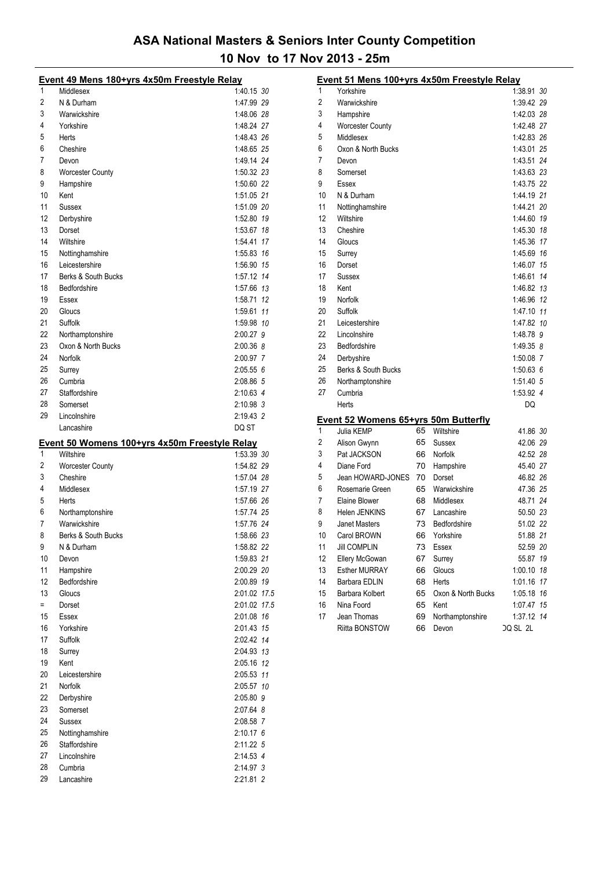|     | Event 49 Mens 180+yrs 4x50m Freestyle Relay   |              |  |
|-----|-----------------------------------------------|--------------|--|
| 1   | Middlesex                                     | 1:40.15 30   |  |
| 2   | N & Durham                                    | 1:47.99 29   |  |
| 3   | Warwickshire                                  | 1:48.06 28   |  |
| 4   | Yorkshire                                     | 1:48.24 27   |  |
| 5   | Herts                                         | 1:48.43 26   |  |
| 6   | Cheshire                                      | 1:48.65 25   |  |
| 7   | Devon                                         | 1:49.14 24   |  |
| 8   | <b>Worcester County</b>                       | 1:50.32 23   |  |
| 9   | Hampshire                                     | 1:50.60 22   |  |
| 10  | Kent                                          | 1:51.05 21   |  |
| 11  | Sussex                                        | 1:51.09 20   |  |
| 12  | Derbyshire                                    | 1:52.80 19   |  |
| 13  | Dorset                                        | 1:53.67 18   |  |
| 14  | Wiltshire                                     | 1:54.41 17   |  |
| 15  | Nottinghamshire                               | 1:55.83 16   |  |
| 16  | Leicestershire                                | 1:56.90 15   |  |
| 17  | Berks & South Bucks                           | 1:57.12 14   |  |
| 18  | Bedfordshire                                  | 1:57.66 13   |  |
| 19  | Essex                                         | 1:58.71 12   |  |
| 20  | Gloucs                                        | 1:59.61 11   |  |
| 21  | Suffolk                                       | 1:59.98 10   |  |
| 22  | Northamptonshire                              | 2:00.27 9    |  |
| 23  | Oxon & North Bucks                            | 2:00.36 8    |  |
| 24  | Norfolk                                       | 2:00.97 7    |  |
| 25  | Surrey                                        | 2:05.556     |  |
| 26  | Cumbria                                       | 2:08.86 5    |  |
| 27  | Staffordshire                                 | 2:10.63 4    |  |
| 28  | Somerset                                      | 2:10.98 3    |  |
| 29  | Lincolnshire                                  | 2:19.43 2    |  |
|     | Lancashire                                    | DQ ST        |  |
|     |                                               |              |  |
|     |                                               |              |  |
|     | Event 50 Womens 100+yrs 4x50m Freestyle Relay |              |  |
| 1   | Wiltshire                                     | 1:53.39 30   |  |
| 2   | <b>Worcester County</b>                       | 1:54.82 29   |  |
| 3   | Cheshire                                      | 1:57.04 28   |  |
| 4   | Middlesex                                     | 1:57.19 27   |  |
| 5   | Herts                                         | 1:57.66 26   |  |
| 6   | Northamptonshire                              | 1:57.74 25   |  |
| 7   | Warwickshire                                  | 1:57.76 24   |  |
| 8   | <b>Berks &amp; South Bucks</b>                | 1:58.66 23   |  |
| 9   | N & Durham                                    | 1:58.82 22   |  |
| 10  | Devon                                         | 1:59.83 21   |  |
| 11  | Hampshire                                     | 2:00.29 20   |  |
| 12  | Bedfordshire                                  | 2:00.89 19   |  |
| 13  | Gloucs                                        | 2:01.02 17.5 |  |
| $=$ | Dorset                                        | 2:01.02 17.5 |  |
| 15  | Essex                                         | 2:01.08 16   |  |
| 16  | Yorkshire                                     | 2:01.43 15   |  |
| 17  | Suffolk                                       | 2:02.42 14   |  |
| 18  | Surrey                                        | 2:04.93 13   |  |
| 19  | Kent                                          | 2:05.16 12   |  |
| 20  | Leicestershire                                | 2:05.53 11   |  |
| 21  | Norfolk                                       | 2:05.57 10   |  |
| 22  | Derbyshire                                    | 2:05.80 9    |  |
| 23  | Somerset                                      | 2:07.64 8    |  |
| 24  | Sussex                                        | 2:08.58 7    |  |
| 25  | Nottinghamshire                               | $2:10.17$ 6  |  |
| 26  | Staffordshire                                 | 2:11.22 5    |  |
| 27  | Lincolnshire                                  | 2:14.53 4    |  |
| 28  | Cumbria                                       | 2:14.97 3    |  |

|                | Event 51 Mens 100+yrs 4x50m Freestyle Relay |    |                    |               |  |
|----------------|---------------------------------------------|----|--------------------|---------------|--|
| 1              | Yorkshire                                   |    |                    | 1:38.91 30    |  |
| $\overline{c}$ | Warwickshire                                |    |                    | 1:39.42 29    |  |
| 3              | Hampshire                                   |    |                    | 1:42.03 28    |  |
| 4              | <b>Worcester County</b>                     |    |                    | 1.42.48 27    |  |
| 5              | Middlesex                                   |    |                    | 1:42.83 26    |  |
| 6              | Oxon & North Bucks                          |    |                    | 1:43.01 25    |  |
| 7              | Devon                                       |    |                    | 1:43.51 24    |  |
| 8              | Somerset                                    |    |                    | 1:43.63 23    |  |
| 9              | Essex                                       |    |                    | 1:43.75 22    |  |
| 10             | N & Durham                                  |    |                    | 1:44.19 21    |  |
| 11             | Nottinghamshire                             |    |                    | 1:44.21 20    |  |
| 12             | Wiltshire                                   |    |                    | 1:44.60 19    |  |
| 13             | Cheshire                                    |    |                    | 1:45.30 18    |  |
| 14             | Gloucs                                      |    |                    | 1:45.36 17    |  |
| 15             | Surrey                                      |    |                    | 1:45.69 16    |  |
| 16             | Dorset                                      |    |                    | 1:46.07 15    |  |
| 17             | Sussex                                      |    |                    | 1:46.61 14    |  |
| 18             | Kent                                        |    |                    | 1:46.82 13    |  |
| 19             | Norfolk                                     |    |                    | 1:46.96 12    |  |
| 20             | Suffolk                                     |    |                    | 1:47.10 11    |  |
| 21             | Leicestershire                              |    |                    | 1:47.82 10    |  |
| 22             | Lincolnshire                                |    |                    | 1:48.78 9     |  |
| 23             | Bedfordshire                                |    |                    | 1:49.35 8     |  |
| 24             | Derbyshire                                  |    |                    | 1:50.08 7     |  |
| 25             | Berks & South Bucks                         |    |                    | 1:50.636      |  |
| 26             | Northamptonshire                            |    |                    | 1:51.40 5     |  |
| 27             | Cumbria                                     |    |                    | 1:53.92 4     |  |
|                | Herts                                       |    |                    | DQ            |  |
|                | <b>Event 52 Womens 65+yrs 50m Butterfly</b> |    |                    |               |  |
| 1              | Julia KEMP                                  | 65 | Wiltshire          | 41.86 30      |  |
| 2              | Alison Gwynn                                | 65 | Sussex             | 42.06 29      |  |
| 3              | Pat JACKSON                                 | 66 | Norfolk            | 42.52 28      |  |
| 4              | Diane Ford                                  | 70 | Hampshire          | 45.40 27      |  |
| 5              | Jean HOWARD-JONES                           | 70 | Dorset             | 46.82 26      |  |
| 6              | Rosemarie Green                             | 65 | Warwickshire       | 47.36 25      |  |
| 7              | Elaine Blower                               | 68 | Middlesex          | 48.71 24      |  |
| 8              | Helen JENKINS                               | 67 | Lancashire         | 50.50 23      |  |
| 9              | <b>Janet Masters</b>                        | 73 | Bedfordshire       | 51.02 22      |  |
| 10             | Carol BROWN                                 | 66 | Yorkshire          | 51.88 21      |  |
| 11             | <b>Jill COMPLIN</b>                         | 73 | Essex              | 52.59 20      |  |
| 12             | Ellery McGowan                              | 67 | Surrey             | 55.87<br>19   |  |
| 13             | <b>Esther MURRAY</b>                        | 66 | Gloucs             | 1:00.10<br>18 |  |
| 14             | Barbara EDLIN                               | 68 | Herts              | 1:01.16<br>17 |  |
| 15             | Barbara Kolbert                             | 65 | Oxon & North Bucks | 1:05.18<br>16 |  |
| 16             | Nina Foord                                  | 65 | Kent               | 1:07.47 15    |  |
| 17             | Jean Thomas                                 | 69 | Northamptonshire   | 1:37.12 14    |  |
|                | <b>Riitta BONSTOW</b>                       | 66 | Devon              | DQ SL 2L      |  |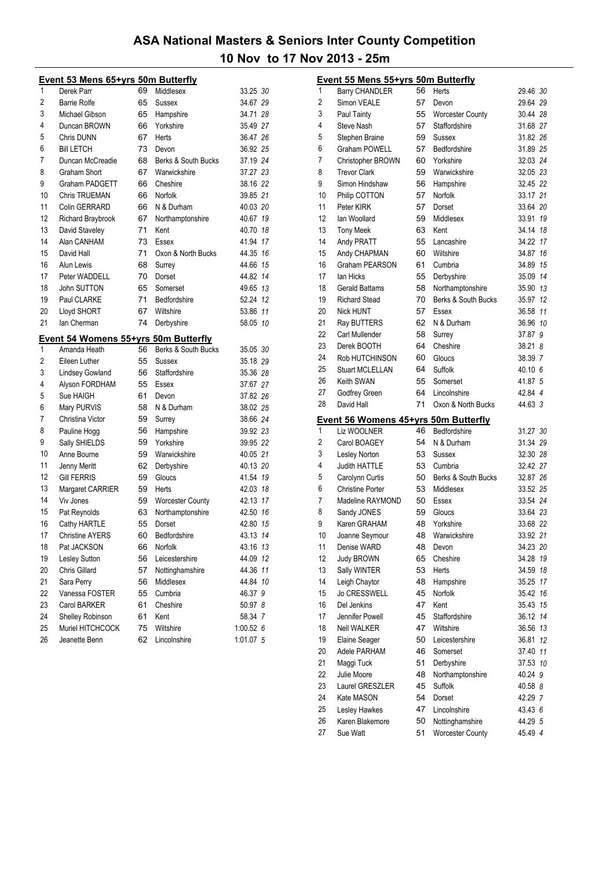|    | <b>Event 53 Mens 65+yrs 50m Butterfly</b>   |    |                         |           |    |
|----|---------------------------------------------|----|-------------------------|-----------|----|
| 1  | Derek Parr                                  | 69 | Middlesex               | 33.25 30  |    |
| 2  | <b>Barrie Rolfe</b>                         | 65 | Sussex                  | 34.67 29  |    |
| 3  | Michael Gibson                              | 65 | Hampshire               | 34.71 28  |    |
| 4  | Duncan BROWN                                | 66 | Yorkshire               | 35.49 27  |    |
| 5  | Chris DUNN                                  | 67 | Herts                   | 36.47 26  |    |
| 6  | <b>BIII LETCH</b>                           | 73 | Devon                   | 36.92 25  |    |
| 7  | Duncan McCreadie                            | 68 | Berks & South Bucks     | 37.19 24  |    |
| 8  | Graham Short                                | 67 | Warwickshire            | 37.27 23  |    |
| 9  | Graham PADGETT                              | 66 | Cheshire                | 38.16 22  |    |
| 10 | <b>Chris TRUEMAN</b>                        | 66 | Norfolk                 | 39.85 21  |    |
| 11 | Colin GERRARD                               | 66 | N & Durham              | 40.03 20  |    |
| 12 | Richard Braybrook                           | 67 | Northamptonshire        | 40.67 19  |    |
| 13 | David Staveley                              | 71 | Kent                    | 40.70 18  |    |
| 14 | Alan CANHAM                                 | 73 | Essex                   | 41.94 17  |    |
| 15 | David Hall                                  | 71 | Oxon & North Bucks      | 44.35 16  |    |
| 16 | Alun Lewis                                  | 68 | Surrey                  | 44.66 15  |    |
| 17 | Peter WADDELL                               | 70 | Dorset                  | 44.82 14  |    |
| 18 | John SUTTON                                 | 65 | Somerset                | 49.65 13  |    |
| 19 | Paul CLARKE                                 | 71 | Bedfordshire            | 52.24 12  |    |
| 20 | Lloyd SHORT                                 | 67 | Wiltshire               | 53.86 11  |    |
| 21 | lan Cherman                                 | 74 | Derbyshire              | 58.05 10  |    |
|    | <u>Event 54 Womens 55+yrs 50m Butterfly</u> |    |                         |           |    |
| 1  | Amanda Heath                                | 56 | Berks & South Bucks     | 35.05 30  |    |
| 2  | Eileen Luther                               | 55 | Sussex                  | 35.18 29  |    |
| 3  | <b>Lindsey Gowland</b>                      | 56 | Staffordshire           | 35.36 28  |    |
| 4  | Alyson FORDHAM                              | 55 | Essex                   | 37.67 27  |    |
| 5  | Sue HAIGH                                   | 61 | Devon                   | 37.82 26  |    |
| 6  | Mary PURVIS                                 | 58 | N & Durham              | 38.02 25  |    |
| 7  | Christina Victor                            | 59 | Surrey                  | 38.66 24  |    |
| 8  | Pauline Hogg                                | 56 | Hampshire               | 39.92 23  |    |
| 9  | Sally SHIELDS                               | 59 | Yorkshire               | 39.95 22  |    |
| 10 | Anne Bourne                                 | 59 | Warwickshire            | 40.05 21  |    |
| 11 | Jenny Meritt                                | 62 | Derbyshire              | 40.13 20  |    |
| 12 | <b>Gill FERRIS</b>                          | 59 | Gloucs                  | 41.54 19  |    |
| 13 | Margaret CARRIER                            | 59 | Herts                   | 42.03 18  |    |
| 14 | Viv Jones                                   | 59 | <b>Worcester County</b> | 42.13 17  |    |
| 15 | Pat Reynolds                                | 63 | Northamptonshire        | 42.50     | 16 |
| 16 | Cathy HARTLE                                | 55 | Dorset                  | 42.80 15  |    |
| 17 | <b>Christine AYERS</b>                      | 60 | Bedfordshire            | 43.13 14  |    |
| 18 | Pat JACKSON                                 | 66 | Norfolk                 | 43.16 13  |    |
| 19 | Lesley Sutton                               | 56 | Leicestershire          | 44.09 12  |    |
| 20 | <b>Chris Gillard</b>                        | 57 | Nottinghamshire         | 44.36 11  |    |
| 21 | Sara Perry                                  | 56 | Middlesex               | 44.84     | 10 |
| 22 | Vanessa FOSTER                              | 55 | Cumbria                 | 46.37 9   |    |
| 23 | <b>Carol BARKER</b>                         | 61 | Cheshire                | 50.97 8   |    |
| 24 | Shelley Robinson                            | 61 | Kent                    | 58.34 7   |    |
| 25 | Muriel HITCHCOCK                            | 75 | Wiltshire               | 1:00.526  |    |
| 26 | Jeanette Benn                               | 62 | Lincolnshire            | 1:01.07 5 |    |

| 1<br>56<br>29.46 30<br><b>Barry CHANDLER</b><br>Herts<br>2<br>Simon VEALE<br>57<br>29.64 29<br>Devon<br>3<br>55<br>30.44 28<br>Paul Tainty<br><b>Worcester County</b><br>4<br>Steve Nash<br>57<br>Staffordshire<br>31.68 27<br>5<br>59<br>31.82 26<br>Stephen Braine<br>Sussex<br>6<br>31.89 25<br>Graham POWELL<br>57<br>Bedfordshire<br>7<br>32.03 24<br>60<br>Yorkshire<br>Christopher BROWN<br>8<br>32.05 23<br><b>Trevor Clark</b><br>59<br>Warwickshire<br>9<br>32.45 22<br>Simon Hindshaw<br>56<br>Hampshire<br>10<br>33.17 21<br>Philip COTTON<br>Norfolk<br>57<br>11<br>33.64 20<br>Peter KIRK<br>57<br>Dorset<br>12<br>Middlesex<br>lan Woollard<br>59<br>33.91 19<br>13<br>63<br>Kent<br>34.14 18<br><b>Tony Meek</b><br>14<br>34.22 17<br>Andy PRATT<br>55<br>Lancashire<br>15<br>16<br>Andy CHAPMAN<br>60<br>Wiltshire<br>34.87<br>16<br><b>Graham PEARSON</b><br>34.89<br>15<br>61<br>Cumbria<br>17<br>lan Hicks<br>55<br>Derbyshire<br>35.09 14<br>18<br><b>Gerald Battams</b><br>58<br>Northamptonshire<br>35.90 13<br>19<br><b>Richard Stead</b><br>70<br>Berks & South Bucks<br>12<br>35.97<br>20<br>Nick HUNT<br>57<br>36.58 11<br>Essex<br>21<br>Ray BUTTERS<br>62<br>N & Durham<br>36.96 10<br>22<br>Carl Mullender<br>58<br>37.87 9<br>Surrey<br>23<br>Derek BOOTH<br>64<br>Cheshire<br>38.21 8<br>24<br>38.39 7<br>Rob HUTCHINSON<br>60<br>Gloucs<br>25<br><b>Stuart MCLELLAN</b><br>Suffolk<br>40.10 6<br>64<br>26<br>Keith SWAN<br>55<br>41.87 5<br>Somerset<br>27<br>Godfrey Green<br>64<br>Lincolnshire<br>42.84 4<br>28<br>David Hall<br>Oxon & North Bucks<br>44.63 3<br>71<br><u>Event 56 Womens 45+yrs 50m Butterfly</u><br>1<br>Liz WOOLNER<br>46<br>Bedfordshire<br>31.27 30<br>2<br>54<br>Carol BOAGEY<br>N & Durham<br>31.34 29<br>3<br>53<br>32.30 28<br>Lesley Norton<br><b>Sussex</b><br>4<br>Judith HATTLE<br>53<br>Cumbria<br>32.42 27<br>5<br>50<br>Carolynn Curtis<br>Berks & South Bucks<br>32.87 26<br>6<br>53<br>33.52 25<br><b>Christine Porter</b><br>Middlesex<br>7<br>33.54 24<br>Madeline RAYMOND<br>50<br>Essex<br>33.64 23<br>8<br>Sandy JONES<br>59<br>Gloucs<br>9<br>Karen GRAHAM<br>33.68 22<br>48<br>Yorkshire<br>10<br>48<br>33.92 21<br>Joanne Seymour<br>Warwickshire<br>11<br>Denise WARD<br>34.23 20<br>48<br>Devon<br>12<br>65<br>Cheshire<br>34.28 19<br>Judy BROWN<br>13<br>Sally WINTER<br>53<br>Herts<br>34.59<br>18<br>14<br>48<br>Leigh Chaytor<br>Hampshire<br>35.25 17<br>15<br>Jo CRESSWELL<br>Norfolk<br>35.42 16<br>45<br>16<br>47<br>Del Jenkins<br>Kent<br>35.43 15<br>17<br>Jennifer Powell<br>45<br>Staffordshire<br>36.12 14<br>18<br>Nell WALKER<br>47<br>Wiltshire<br>36.56 13<br>19<br>36.81<br>12<br>Elaine Seager<br>50<br>Leicestershire<br>20<br>Adele PARHAM<br>46<br>Somerset<br>37.40 11<br>21<br>Maggi Tuck<br>51<br>Derbyshire<br>37.53 10<br>22<br>40.24 9<br>Julie Moore<br>48<br>Northamptonshire<br>23<br>Laurel GRESZLER<br>Suffolk<br>45<br>40.58 8<br>24<br>42.29 7<br>Kate MASON<br>54<br>Dorset<br>25<br>Lesley Hawkes<br>47<br>Lincolnshire<br>43.43 6<br>26<br>Karen Blakemore<br>50<br>Nottinghamshire<br>44.29 5<br>27<br><b>Worcester County</b><br>45.49 4<br>Sue Watt<br>51 | <b>Event 55 Mens 55+yrs 50m Butterfly</b> |  |  |
|---------------------------------------------------------------------------------------------------------------------------------------------------------------------------------------------------------------------------------------------------------------------------------------------------------------------------------------------------------------------------------------------------------------------------------------------------------------------------------------------------------------------------------------------------------------------------------------------------------------------------------------------------------------------------------------------------------------------------------------------------------------------------------------------------------------------------------------------------------------------------------------------------------------------------------------------------------------------------------------------------------------------------------------------------------------------------------------------------------------------------------------------------------------------------------------------------------------------------------------------------------------------------------------------------------------------------------------------------------------------------------------------------------------------------------------------------------------------------------------------------------------------------------------------------------------------------------------------------------------------------------------------------------------------------------------------------------------------------------------------------------------------------------------------------------------------------------------------------------------------------------------------------------------------------------------------------------------------------------------------------------------------------------------------------------------------------------------------------------------------------------------------------------------------------------------------------------------------------------------------------------------------------------------------------------------------------------------------------------------------------------------------------------------------------------------------------------------------------------------------------------------------------------------------------------------------------------------------------------------------------------------------------------------------------------------------------------------------------------------------------------------------------------------------------------------------------------------------------------------------------------------------------------------------------------------------------------------------------------------------------------------------------------------------------------------------------------------------------------------------------------------------------------------------------------------|-------------------------------------------|--|--|
|                                                                                                                                                                                                                                                                                                                                                                                                                                                                                                                                                                                                                                                                                                                                                                                                                                                                                                                                                                                                                                                                                                                                                                                                                                                                                                                                                                                                                                                                                                                                                                                                                                                                                                                                                                                                                                                                                                                                                                                                                                                                                                                                                                                                                                                                                                                                                                                                                                                                                                                                                                                                                                                                                                                                                                                                                                                                                                                                                                                                                                                                                                                                                                                       |                                           |  |  |
|                                                                                                                                                                                                                                                                                                                                                                                                                                                                                                                                                                                                                                                                                                                                                                                                                                                                                                                                                                                                                                                                                                                                                                                                                                                                                                                                                                                                                                                                                                                                                                                                                                                                                                                                                                                                                                                                                                                                                                                                                                                                                                                                                                                                                                                                                                                                                                                                                                                                                                                                                                                                                                                                                                                                                                                                                                                                                                                                                                                                                                                                                                                                                                                       |                                           |  |  |
|                                                                                                                                                                                                                                                                                                                                                                                                                                                                                                                                                                                                                                                                                                                                                                                                                                                                                                                                                                                                                                                                                                                                                                                                                                                                                                                                                                                                                                                                                                                                                                                                                                                                                                                                                                                                                                                                                                                                                                                                                                                                                                                                                                                                                                                                                                                                                                                                                                                                                                                                                                                                                                                                                                                                                                                                                                                                                                                                                                                                                                                                                                                                                                                       |                                           |  |  |
|                                                                                                                                                                                                                                                                                                                                                                                                                                                                                                                                                                                                                                                                                                                                                                                                                                                                                                                                                                                                                                                                                                                                                                                                                                                                                                                                                                                                                                                                                                                                                                                                                                                                                                                                                                                                                                                                                                                                                                                                                                                                                                                                                                                                                                                                                                                                                                                                                                                                                                                                                                                                                                                                                                                                                                                                                                                                                                                                                                                                                                                                                                                                                                                       |                                           |  |  |
|                                                                                                                                                                                                                                                                                                                                                                                                                                                                                                                                                                                                                                                                                                                                                                                                                                                                                                                                                                                                                                                                                                                                                                                                                                                                                                                                                                                                                                                                                                                                                                                                                                                                                                                                                                                                                                                                                                                                                                                                                                                                                                                                                                                                                                                                                                                                                                                                                                                                                                                                                                                                                                                                                                                                                                                                                                                                                                                                                                                                                                                                                                                                                                                       |                                           |  |  |
|                                                                                                                                                                                                                                                                                                                                                                                                                                                                                                                                                                                                                                                                                                                                                                                                                                                                                                                                                                                                                                                                                                                                                                                                                                                                                                                                                                                                                                                                                                                                                                                                                                                                                                                                                                                                                                                                                                                                                                                                                                                                                                                                                                                                                                                                                                                                                                                                                                                                                                                                                                                                                                                                                                                                                                                                                                                                                                                                                                                                                                                                                                                                                                                       |                                           |  |  |
|                                                                                                                                                                                                                                                                                                                                                                                                                                                                                                                                                                                                                                                                                                                                                                                                                                                                                                                                                                                                                                                                                                                                                                                                                                                                                                                                                                                                                                                                                                                                                                                                                                                                                                                                                                                                                                                                                                                                                                                                                                                                                                                                                                                                                                                                                                                                                                                                                                                                                                                                                                                                                                                                                                                                                                                                                                                                                                                                                                                                                                                                                                                                                                                       |                                           |  |  |
|                                                                                                                                                                                                                                                                                                                                                                                                                                                                                                                                                                                                                                                                                                                                                                                                                                                                                                                                                                                                                                                                                                                                                                                                                                                                                                                                                                                                                                                                                                                                                                                                                                                                                                                                                                                                                                                                                                                                                                                                                                                                                                                                                                                                                                                                                                                                                                                                                                                                                                                                                                                                                                                                                                                                                                                                                                                                                                                                                                                                                                                                                                                                                                                       |                                           |  |  |
|                                                                                                                                                                                                                                                                                                                                                                                                                                                                                                                                                                                                                                                                                                                                                                                                                                                                                                                                                                                                                                                                                                                                                                                                                                                                                                                                                                                                                                                                                                                                                                                                                                                                                                                                                                                                                                                                                                                                                                                                                                                                                                                                                                                                                                                                                                                                                                                                                                                                                                                                                                                                                                                                                                                                                                                                                                                                                                                                                                                                                                                                                                                                                                                       |                                           |  |  |
|                                                                                                                                                                                                                                                                                                                                                                                                                                                                                                                                                                                                                                                                                                                                                                                                                                                                                                                                                                                                                                                                                                                                                                                                                                                                                                                                                                                                                                                                                                                                                                                                                                                                                                                                                                                                                                                                                                                                                                                                                                                                                                                                                                                                                                                                                                                                                                                                                                                                                                                                                                                                                                                                                                                                                                                                                                                                                                                                                                                                                                                                                                                                                                                       |                                           |  |  |
|                                                                                                                                                                                                                                                                                                                                                                                                                                                                                                                                                                                                                                                                                                                                                                                                                                                                                                                                                                                                                                                                                                                                                                                                                                                                                                                                                                                                                                                                                                                                                                                                                                                                                                                                                                                                                                                                                                                                                                                                                                                                                                                                                                                                                                                                                                                                                                                                                                                                                                                                                                                                                                                                                                                                                                                                                                                                                                                                                                                                                                                                                                                                                                                       |                                           |  |  |
|                                                                                                                                                                                                                                                                                                                                                                                                                                                                                                                                                                                                                                                                                                                                                                                                                                                                                                                                                                                                                                                                                                                                                                                                                                                                                                                                                                                                                                                                                                                                                                                                                                                                                                                                                                                                                                                                                                                                                                                                                                                                                                                                                                                                                                                                                                                                                                                                                                                                                                                                                                                                                                                                                                                                                                                                                                                                                                                                                                                                                                                                                                                                                                                       |                                           |  |  |
|                                                                                                                                                                                                                                                                                                                                                                                                                                                                                                                                                                                                                                                                                                                                                                                                                                                                                                                                                                                                                                                                                                                                                                                                                                                                                                                                                                                                                                                                                                                                                                                                                                                                                                                                                                                                                                                                                                                                                                                                                                                                                                                                                                                                                                                                                                                                                                                                                                                                                                                                                                                                                                                                                                                                                                                                                                                                                                                                                                                                                                                                                                                                                                                       |                                           |  |  |
|                                                                                                                                                                                                                                                                                                                                                                                                                                                                                                                                                                                                                                                                                                                                                                                                                                                                                                                                                                                                                                                                                                                                                                                                                                                                                                                                                                                                                                                                                                                                                                                                                                                                                                                                                                                                                                                                                                                                                                                                                                                                                                                                                                                                                                                                                                                                                                                                                                                                                                                                                                                                                                                                                                                                                                                                                                                                                                                                                                                                                                                                                                                                                                                       |                                           |  |  |
|                                                                                                                                                                                                                                                                                                                                                                                                                                                                                                                                                                                                                                                                                                                                                                                                                                                                                                                                                                                                                                                                                                                                                                                                                                                                                                                                                                                                                                                                                                                                                                                                                                                                                                                                                                                                                                                                                                                                                                                                                                                                                                                                                                                                                                                                                                                                                                                                                                                                                                                                                                                                                                                                                                                                                                                                                                                                                                                                                                                                                                                                                                                                                                                       |                                           |  |  |
|                                                                                                                                                                                                                                                                                                                                                                                                                                                                                                                                                                                                                                                                                                                                                                                                                                                                                                                                                                                                                                                                                                                                                                                                                                                                                                                                                                                                                                                                                                                                                                                                                                                                                                                                                                                                                                                                                                                                                                                                                                                                                                                                                                                                                                                                                                                                                                                                                                                                                                                                                                                                                                                                                                                                                                                                                                                                                                                                                                                                                                                                                                                                                                                       |                                           |  |  |
|                                                                                                                                                                                                                                                                                                                                                                                                                                                                                                                                                                                                                                                                                                                                                                                                                                                                                                                                                                                                                                                                                                                                                                                                                                                                                                                                                                                                                                                                                                                                                                                                                                                                                                                                                                                                                                                                                                                                                                                                                                                                                                                                                                                                                                                                                                                                                                                                                                                                                                                                                                                                                                                                                                                                                                                                                                                                                                                                                                                                                                                                                                                                                                                       |                                           |  |  |
|                                                                                                                                                                                                                                                                                                                                                                                                                                                                                                                                                                                                                                                                                                                                                                                                                                                                                                                                                                                                                                                                                                                                                                                                                                                                                                                                                                                                                                                                                                                                                                                                                                                                                                                                                                                                                                                                                                                                                                                                                                                                                                                                                                                                                                                                                                                                                                                                                                                                                                                                                                                                                                                                                                                                                                                                                                                                                                                                                                                                                                                                                                                                                                                       |                                           |  |  |
|                                                                                                                                                                                                                                                                                                                                                                                                                                                                                                                                                                                                                                                                                                                                                                                                                                                                                                                                                                                                                                                                                                                                                                                                                                                                                                                                                                                                                                                                                                                                                                                                                                                                                                                                                                                                                                                                                                                                                                                                                                                                                                                                                                                                                                                                                                                                                                                                                                                                                                                                                                                                                                                                                                                                                                                                                                                                                                                                                                                                                                                                                                                                                                                       |                                           |  |  |
|                                                                                                                                                                                                                                                                                                                                                                                                                                                                                                                                                                                                                                                                                                                                                                                                                                                                                                                                                                                                                                                                                                                                                                                                                                                                                                                                                                                                                                                                                                                                                                                                                                                                                                                                                                                                                                                                                                                                                                                                                                                                                                                                                                                                                                                                                                                                                                                                                                                                                                                                                                                                                                                                                                                                                                                                                                                                                                                                                                                                                                                                                                                                                                                       |                                           |  |  |
|                                                                                                                                                                                                                                                                                                                                                                                                                                                                                                                                                                                                                                                                                                                                                                                                                                                                                                                                                                                                                                                                                                                                                                                                                                                                                                                                                                                                                                                                                                                                                                                                                                                                                                                                                                                                                                                                                                                                                                                                                                                                                                                                                                                                                                                                                                                                                                                                                                                                                                                                                                                                                                                                                                                                                                                                                                                                                                                                                                                                                                                                                                                                                                                       |                                           |  |  |
|                                                                                                                                                                                                                                                                                                                                                                                                                                                                                                                                                                                                                                                                                                                                                                                                                                                                                                                                                                                                                                                                                                                                                                                                                                                                                                                                                                                                                                                                                                                                                                                                                                                                                                                                                                                                                                                                                                                                                                                                                                                                                                                                                                                                                                                                                                                                                                                                                                                                                                                                                                                                                                                                                                                                                                                                                                                                                                                                                                                                                                                                                                                                                                                       |                                           |  |  |
|                                                                                                                                                                                                                                                                                                                                                                                                                                                                                                                                                                                                                                                                                                                                                                                                                                                                                                                                                                                                                                                                                                                                                                                                                                                                                                                                                                                                                                                                                                                                                                                                                                                                                                                                                                                                                                                                                                                                                                                                                                                                                                                                                                                                                                                                                                                                                                                                                                                                                                                                                                                                                                                                                                                                                                                                                                                                                                                                                                                                                                                                                                                                                                                       |                                           |  |  |
|                                                                                                                                                                                                                                                                                                                                                                                                                                                                                                                                                                                                                                                                                                                                                                                                                                                                                                                                                                                                                                                                                                                                                                                                                                                                                                                                                                                                                                                                                                                                                                                                                                                                                                                                                                                                                                                                                                                                                                                                                                                                                                                                                                                                                                                                                                                                                                                                                                                                                                                                                                                                                                                                                                                                                                                                                                                                                                                                                                                                                                                                                                                                                                                       |                                           |  |  |
|                                                                                                                                                                                                                                                                                                                                                                                                                                                                                                                                                                                                                                                                                                                                                                                                                                                                                                                                                                                                                                                                                                                                                                                                                                                                                                                                                                                                                                                                                                                                                                                                                                                                                                                                                                                                                                                                                                                                                                                                                                                                                                                                                                                                                                                                                                                                                                                                                                                                                                                                                                                                                                                                                                                                                                                                                                                                                                                                                                                                                                                                                                                                                                                       |                                           |  |  |
|                                                                                                                                                                                                                                                                                                                                                                                                                                                                                                                                                                                                                                                                                                                                                                                                                                                                                                                                                                                                                                                                                                                                                                                                                                                                                                                                                                                                                                                                                                                                                                                                                                                                                                                                                                                                                                                                                                                                                                                                                                                                                                                                                                                                                                                                                                                                                                                                                                                                                                                                                                                                                                                                                                                                                                                                                                                                                                                                                                                                                                                                                                                                                                                       |                                           |  |  |
|                                                                                                                                                                                                                                                                                                                                                                                                                                                                                                                                                                                                                                                                                                                                                                                                                                                                                                                                                                                                                                                                                                                                                                                                                                                                                                                                                                                                                                                                                                                                                                                                                                                                                                                                                                                                                                                                                                                                                                                                                                                                                                                                                                                                                                                                                                                                                                                                                                                                                                                                                                                                                                                                                                                                                                                                                                                                                                                                                                                                                                                                                                                                                                                       |                                           |  |  |
|                                                                                                                                                                                                                                                                                                                                                                                                                                                                                                                                                                                                                                                                                                                                                                                                                                                                                                                                                                                                                                                                                                                                                                                                                                                                                                                                                                                                                                                                                                                                                                                                                                                                                                                                                                                                                                                                                                                                                                                                                                                                                                                                                                                                                                                                                                                                                                                                                                                                                                                                                                                                                                                                                                                                                                                                                                                                                                                                                                                                                                                                                                                                                                                       |                                           |  |  |
|                                                                                                                                                                                                                                                                                                                                                                                                                                                                                                                                                                                                                                                                                                                                                                                                                                                                                                                                                                                                                                                                                                                                                                                                                                                                                                                                                                                                                                                                                                                                                                                                                                                                                                                                                                                                                                                                                                                                                                                                                                                                                                                                                                                                                                                                                                                                                                                                                                                                                                                                                                                                                                                                                                                                                                                                                                                                                                                                                                                                                                                                                                                                                                                       |                                           |  |  |
|                                                                                                                                                                                                                                                                                                                                                                                                                                                                                                                                                                                                                                                                                                                                                                                                                                                                                                                                                                                                                                                                                                                                                                                                                                                                                                                                                                                                                                                                                                                                                                                                                                                                                                                                                                                                                                                                                                                                                                                                                                                                                                                                                                                                                                                                                                                                                                                                                                                                                                                                                                                                                                                                                                                                                                                                                                                                                                                                                                                                                                                                                                                                                                                       |                                           |  |  |
|                                                                                                                                                                                                                                                                                                                                                                                                                                                                                                                                                                                                                                                                                                                                                                                                                                                                                                                                                                                                                                                                                                                                                                                                                                                                                                                                                                                                                                                                                                                                                                                                                                                                                                                                                                                                                                                                                                                                                                                                                                                                                                                                                                                                                                                                                                                                                                                                                                                                                                                                                                                                                                                                                                                                                                                                                                                                                                                                                                                                                                                                                                                                                                                       |                                           |  |  |
|                                                                                                                                                                                                                                                                                                                                                                                                                                                                                                                                                                                                                                                                                                                                                                                                                                                                                                                                                                                                                                                                                                                                                                                                                                                                                                                                                                                                                                                                                                                                                                                                                                                                                                                                                                                                                                                                                                                                                                                                                                                                                                                                                                                                                                                                                                                                                                                                                                                                                                                                                                                                                                                                                                                                                                                                                                                                                                                                                                                                                                                                                                                                                                                       |                                           |  |  |
|                                                                                                                                                                                                                                                                                                                                                                                                                                                                                                                                                                                                                                                                                                                                                                                                                                                                                                                                                                                                                                                                                                                                                                                                                                                                                                                                                                                                                                                                                                                                                                                                                                                                                                                                                                                                                                                                                                                                                                                                                                                                                                                                                                                                                                                                                                                                                                                                                                                                                                                                                                                                                                                                                                                                                                                                                                                                                                                                                                                                                                                                                                                                                                                       |                                           |  |  |
|                                                                                                                                                                                                                                                                                                                                                                                                                                                                                                                                                                                                                                                                                                                                                                                                                                                                                                                                                                                                                                                                                                                                                                                                                                                                                                                                                                                                                                                                                                                                                                                                                                                                                                                                                                                                                                                                                                                                                                                                                                                                                                                                                                                                                                                                                                                                                                                                                                                                                                                                                                                                                                                                                                                                                                                                                                                                                                                                                                                                                                                                                                                                                                                       |                                           |  |  |
|                                                                                                                                                                                                                                                                                                                                                                                                                                                                                                                                                                                                                                                                                                                                                                                                                                                                                                                                                                                                                                                                                                                                                                                                                                                                                                                                                                                                                                                                                                                                                                                                                                                                                                                                                                                                                                                                                                                                                                                                                                                                                                                                                                                                                                                                                                                                                                                                                                                                                                                                                                                                                                                                                                                                                                                                                                                                                                                                                                                                                                                                                                                                                                                       |                                           |  |  |
|                                                                                                                                                                                                                                                                                                                                                                                                                                                                                                                                                                                                                                                                                                                                                                                                                                                                                                                                                                                                                                                                                                                                                                                                                                                                                                                                                                                                                                                                                                                                                                                                                                                                                                                                                                                                                                                                                                                                                                                                                                                                                                                                                                                                                                                                                                                                                                                                                                                                                                                                                                                                                                                                                                                                                                                                                                                                                                                                                                                                                                                                                                                                                                                       |                                           |  |  |
|                                                                                                                                                                                                                                                                                                                                                                                                                                                                                                                                                                                                                                                                                                                                                                                                                                                                                                                                                                                                                                                                                                                                                                                                                                                                                                                                                                                                                                                                                                                                                                                                                                                                                                                                                                                                                                                                                                                                                                                                                                                                                                                                                                                                                                                                                                                                                                                                                                                                                                                                                                                                                                                                                                                                                                                                                                                                                                                                                                                                                                                                                                                                                                                       |                                           |  |  |
|                                                                                                                                                                                                                                                                                                                                                                                                                                                                                                                                                                                                                                                                                                                                                                                                                                                                                                                                                                                                                                                                                                                                                                                                                                                                                                                                                                                                                                                                                                                                                                                                                                                                                                                                                                                                                                                                                                                                                                                                                                                                                                                                                                                                                                                                                                                                                                                                                                                                                                                                                                                                                                                                                                                                                                                                                                                                                                                                                                                                                                                                                                                                                                                       |                                           |  |  |
|                                                                                                                                                                                                                                                                                                                                                                                                                                                                                                                                                                                                                                                                                                                                                                                                                                                                                                                                                                                                                                                                                                                                                                                                                                                                                                                                                                                                                                                                                                                                                                                                                                                                                                                                                                                                                                                                                                                                                                                                                                                                                                                                                                                                                                                                                                                                                                                                                                                                                                                                                                                                                                                                                                                                                                                                                                                                                                                                                                                                                                                                                                                                                                                       |                                           |  |  |
|                                                                                                                                                                                                                                                                                                                                                                                                                                                                                                                                                                                                                                                                                                                                                                                                                                                                                                                                                                                                                                                                                                                                                                                                                                                                                                                                                                                                                                                                                                                                                                                                                                                                                                                                                                                                                                                                                                                                                                                                                                                                                                                                                                                                                                                                                                                                                                                                                                                                                                                                                                                                                                                                                                                                                                                                                                                                                                                                                                                                                                                                                                                                                                                       |                                           |  |  |
|                                                                                                                                                                                                                                                                                                                                                                                                                                                                                                                                                                                                                                                                                                                                                                                                                                                                                                                                                                                                                                                                                                                                                                                                                                                                                                                                                                                                                                                                                                                                                                                                                                                                                                                                                                                                                                                                                                                                                                                                                                                                                                                                                                                                                                                                                                                                                                                                                                                                                                                                                                                                                                                                                                                                                                                                                                                                                                                                                                                                                                                                                                                                                                                       |                                           |  |  |
|                                                                                                                                                                                                                                                                                                                                                                                                                                                                                                                                                                                                                                                                                                                                                                                                                                                                                                                                                                                                                                                                                                                                                                                                                                                                                                                                                                                                                                                                                                                                                                                                                                                                                                                                                                                                                                                                                                                                                                                                                                                                                                                                                                                                                                                                                                                                                                                                                                                                                                                                                                                                                                                                                                                                                                                                                                                                                                                                                                                                                                                                                                                                                                                       |                                           |  |  |
|                                                                                                                                                                                                                                                                                                                                                                                                                                                                                                                                                                                                                                                                                                                                                                                                                                                                                                                                                                                                                                                                                                                                                                                                                                                                                                                                                                                                                                                                                                                                                                                                                                                                                                                                                                                                                                                                                                                                                                                                                                                                                                                                                                                                                                                                                                                                                                                                                                                                                                                                                                                                                                                                                                                                                                                                                                                                                                                                                                                                                                                                                                                                                                                       |                                           |  |  |
|                                                                                                                                                                                                                                                                                                                                                                                                                                                                                                                                                                                                                                                                                                                                                                                                                                                                                                                                                                                                                                                                                                                                                                                                                                                                                                                                                                                                                                                                                                                                                                                                                                                                                                                                                                                                                                                                                                                                                                                                                                                                                                                                                                                                                                                                                                                                                                                                                                                                                                                                                                                                                                                                                                                                                                                                                                                                                                                                                                                                                                                                                                                                                                                       |                                           |  |  |
|                                                                                                                                                                                                                                                                                                                                                                                                                                                                                                                                                                                                                                                                                                                                                                                                                                                                                                                                                                                                                                                                                                                                                                                                                                                                                                                                                                                                                                                                                                                                                                                                                                                                                                                                                                                                                                                                                                                                                                                                                                                                                                                                                                                                                                                                                                                                                                                                                                                                                                                                                                                                                                                                                                                                                                                                                                                                                                                                                                                                                                                                                                                                                                                       |                                           |  |  |
|                                                                                                                                                                                                                                                                                                                                                                                                                                                                                                                                                                                                                                                                                                                                                                                                                                                                                                                                                                                                                                                                                                                                                                                                                                                                                                                                                                                                                                                                                                                                                                                                                                                                                                                                                                                                                                                                                                                                                                                                                                                                                                                                                                                                                                                                                                                                                                                                                                                                                                                                                                                                                                                                                                                                                                                                                                                                                                                                                                                                                                                                                                                                                                                       |                                           |  |  |
|                                                                                                                                                                                                                                                                                                                                                                                                                                                                                                                                                                                                                                                                                                                                                                                                                                                                                                                                                                                                                                                                                                                                                                                                                                                                                                                                                                                                                                                                                                                                                                                                                                                                                                                                                                                                                                                                                                                                                                                                                                                                                                                                                                                                                                                                                                                                                                                                                                                                                                                                                                                                                                                                                                                                                                                                                                                                                                                                                                                                                                                                                                                                                                                       |                                           |  |  |
|                                                                                                                                                                                                                                                                                                                                                                                                                                                                                                                                                                                                                                                                                                                                                                                                                                                                                                                                                                                                                                                                                                                                                                                                                                                                                                                                                                                                                                                                                                                                                                                                                                                                                                                                                                                                                                                                                                                                                                                                                                                                                                                                                                                                                                                                                                                                                                                                                                                                                                                                                                                                                                                                                                                                                                                                                                                                                                                                                                                                                                                                                                                                                                                       |                                           |  |  |
|                                                                                                                                                                                                                                                                                                                                                                                                                                                                                                                                                                                                                                                                                                                                                                                                                                                                                                                                                                                                                                                                                                                                                                                                                                                                                                                                                                                                                                                                                                                                                                                                                                                                                                                                                                                                                                                                                                                                                                                                                                                                                                                                                                                                                                                                                                                                                                                                                                                                                                                                                                                                                                                                                                                                                                                                                                                                                                                                                                                                                                                                                                                                                                                       |                                           |  |  |
|                                                                                                                                                                                                                                                                                                                                                                                                                                                                                                                                                                                                                                                                                                                                                                                                                                                                                                                                                                                                                                                                                                                                                                                                                                                                                                                                                                                                                                                                                                                                                                                                                                                                                                                                                                                                                                                                                                                                                                                                                                                                                                                                                                                                                                                                                                                                                                                                                                                                                                                                                                                                                                                                                                                                                                                                                                                                                                                                                                                                                                                                                                                                                                                       |                                           |  |  |
|                                                                                                                                                                                                                                                                                                                                                                                                                                                                                                                                                                                                                                                                                                                                                                                                                                                                                                                                                                                                                                                                                                                                                                                                                                                                                                                                                                                                                                                                                                                                                                                                                                                                                                                                                                                                                                                                                                                                                                                                                                                                                                                                                                                                                                                                                                                                                                                                                                                                                                                                                                                                                                                                                                                                                                                                                                                                                                                                                                                                                                                                                                                                                                                       |                                           |  |  |
|                                                                                                                                                                                                                                                                                                                                                                                                                                                                                                                                                                                                                                                                                                                                                                                                                                                                                                                                                                                                                                                                                                                                                                                                                                                                                                                                                                                                                                                                                                                                                                                                                                                                                                                                                                                                                                                                                                                                                                                                                                                                                                                                                                                                                                                                                                                                                                                                                                                                                                                                                                                                                                                                                                                                                                                                                                                                                                                                                                                                                                                                                                                                                                                       |                                           |  |  |
|                                                                                                                                                                                                                                                                                                                                                                                                                                                                                                                                                                                                                                                                                                                                                                                                                                                                                                                                                                                                                                                                                                                                                                                                                                                                                                                                                                                                                                                                                                                                                                                                                                                                                                                                                                                                                                                                                                                                                                                                                                                                                                                                                                                                                                                                                                                                                                                                                                                                                                                                                                                                                                                                                                                                                                                                                                                                                                                                                                                                                                                                                                                                                                                       |                                           |  |  |
|                                                                                                                                                                                                                                                                                                                                                                                                                                                                                                                                                                                                                                                                                                                                                                                                                                                                                                                                                                                                                                                                                                                                                                                                                                                                                                                                                                                                                                                                                                                                                                                                                                                                                                                                                                                                                                                                                                                                                                                                                                                                                                                                                                                                                                                                                                                                                                                                                                                                                                                                                                                                                                                                                                                                                                                                                                                                                                                                                                                                                                                                                                                                                                                       |                                           |  |  |
|                                                                                                                                                                                                                                                                                                                                                                                                                                                                                                                                                                                                                                                                                                                                                                                                                                                                                                                                                                                                                                                                                                                                                                                                                                                                                                                                                                                                                                                                                                                                                                                                                                                                                                                                                                                                                                                                                                                                                                                                                                                                                                                                                                                                                                                                                                                                                                                                                                                                                                                                                                                                                                                                                                                                                                                                                                                                                                                                                                                                                                                                                                                                                                                       |                                           |  |  |
|                                                                                                                                                                                                                                                                                                                                                                                                                                                                                                                                                                                                                                                                                                                                                                                                                                                                                                                                                                                                                                                                                                                                                                                                                                                                                                                                                                                                                                                                                                                                                                                                                                                                                                                                                                                                                                                                                                                                                                                                                                                                                                                                                                                                                                                                                                                                                                                                                                                                                                                                                                                                                                                                                                                                                                                                                                                                                                                                                                                                                                                                                                                                                                                       |                                           |  |  |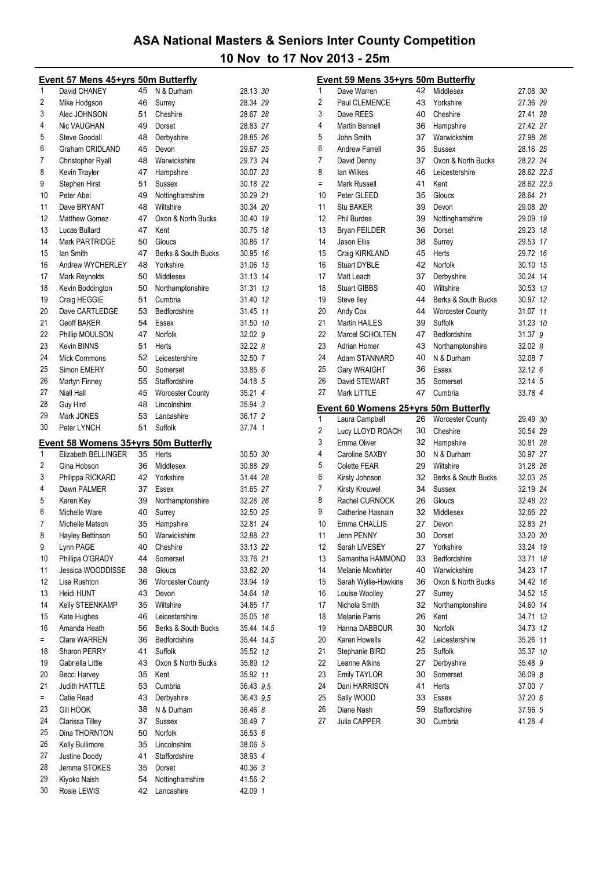|     | Event 57 Mens 45+yrs 50m Butterfly   |    |                         |            |  |
|-----|--------------------------------------|----|-------------------------|------------|--|
| 1   | David CHANEY                         | 45 | N & Durham              | 28.13 30   |  |
| 2   | Mike Hodgson                         | 46 | Surrey                  | 28.34 29   |  |
| 3   | Alec JOHNSON                         | 51 | Cheshire                | 28.67 28   |  |
| 4   | Nic VAUGHAN                          | 49 | Dorset                  | 28.83 27   |  |
| 5   | Steve Goodall                        | 48 | Derbyshire              | 28.85 26   |  |
| 6   | Graham CRIDLAND                      | 45 | Devon                   | 29.67 25   |  |
| 7   | Christopher Ryall                    | 48 | Warwickshire            | 29.73 24   |  |
| 8   | Kevin Trayler                        | 47 | Hampshire               | 30.07 23   |  |
| 9   | Stephen Hirst                        | 51 | Sussex                  | 30.18 22   |  |
| 10  | Peter Abel                           | 49 | Nottinghamshire         | 30.29 21   |  |
| 11  | Dave BRYANT                          | 48 | Wiltshire               | 30.34 20   |  |
| 12  | <b>Matthew Gomez</b>                 | 47 | Oxon & North Bucks      | 30.40 19   |  |
| 13  | Lucas Bullard                        | 47 | Kent                    | 30.75 18   |  |
| 14  | Mark PARTRIDGE                       | 50 | Gloucs                  | 30.86 17   |  |
| 15  | lan Smith                            | 47 | Berks & South Bucks     | 30.95 16   |  |
| 16  | Andrew WYCHERLEY                     | 48 | Yorkshire               | 31.06 15   |  |
| 17  | Mark Reynolds                        | 50 | Middlesex               | 31.13 14   |  |
| 18  | Kevin Boddington                     | 50 | Northamptonshire        | 31.31 13   |  |
| 19  | Craig HEGGIE                         | 51 | Cumbria                 | 31.40 12   |  |
| 20  | Dave CARTLEDGE                       | 53 | Bedfordshire            | 31.45 11   |  |
| 21  | <b>Geoff BAKER</b>                   | 54 | Essex                   | 31.50 10   |  |
| 22  | Phillip MOULSON                      | 47 | Norfolk                 | 32.02 9    |  |
| 23  | Kevin BINNS                          | 51 | Herts                   | 32.22 8    |  |
| 24  | <b>Mick Commons</b>                  | 52 | Leicestershire          | 32.50 7    |  |
| 25  | Simon EMERY                          | 50 | Somerset                | 33.85 6    |  |
| 26  | Martyn Finney                        | 55 | Staffordshire           | 34.18 5    |  |
| 27  | Niall Hall                           | 45 | <b>Worcester County</b> | 35.21 4    |  |
| 28  | Guy Hird                             | 48 | Lincolnshire            | 35.94 3    |  |
| 29  | Mark JONES                           | 53 | Lancashire              | 36.17 2    |  |
| 30  | Peter LYNCH                          | 51 | Suffolk                 | 37.74 1    |  |
|     | Event 58 Womens 35+yrs 50m Butterfly |    |                         |            |  |
| 1   | Elizabeth BELLINGER                  | 35 | Herts                   | 30.50 30   |  |
| 2   | Gina Hobson                          | 36 | Middlesex               | 30.88 29   |  |
| 3   | Philippa RICKARD                     | 42 | Yorkshire               | 31.44 28   |  |
| 4   | Dawn PALMER                          | 37 | Essex                   | 31.65 27   |  |
| 5   | Karen Key                            | 39 | Northamptonshire        | 32.28 26   |  |
| 6   | Michelle Ware                        | 40 | Surrey                  | 32.50 25   |  |
| 7   | Michelle Matson                      | 35 | Hampshire               | 32.81 24   |  |
| 8   | Hayley Bettinson                     | 50 | Warwickshire            | 32.88 23   |  |
| 9   | Lynn PAGE                            | 40 | Cheshire                | 33.13 22   |  |
| 10  | Phillipa O'GRADY                     | 44 | Somerset                | 33.76 21   |  |
| 11  | Jessica WOODDISSE                    | 38 | Gloucs                  | 33.82 20   |  |
| 12  | Lisa Rushton                         | 36 | <b>Worcester County</b> | 33.94 19   |  |
| 13  | Heidi HUNT                           | 43 | Devon                   | 34.64 18   |  |
| 14  | Kelly STEENKAMP                      | 35 | Wiltshire               | 34.85 17   |  |
| 15  | Kate Hughes                          | 46 | Leicestershire          | 35.05 16   |  |
| 16  | Amanda Heath                         | 56 | Berks & South Bucks     | 35.44 14.5 |  |
| $=$ | Clare WARREN                         | 36 | Bedfordshire            | 35.44 14.5 |  |
| 18  | Sharon PERRY                         | 41 | Suffolk                 | 35.52 13   |  |
| 19  | Gabriella Little                     | 43 | Oxon & North Bucks      | 35.89 12   |  |
| 20  | Becci Harvey                         | 35 | Kent                    | 35.92 11   |  |
| 21  | Judith HATTLE                        | 53 | Cumbria                 | 36.43 9.5  |  |
| $=$ | Catie Read                           | 43 | Derbyshire              | 36.43 9.5  |  |
| 23  | <b>Gill HOOK</b>                     | 38 | N & Durham              | 36.46 8    |  |
| 24  | Clarissa Tilley                      | 37 | Sussex                  | 36.49 7    |  |
| 25  | Dina THORNTON                        | 50 | Norfolk                 | 36.53 6    |  |
| 26  | Kelly Bullimore                      | 35 | Lincolnshire            | 38.06 5    |  |
| 27  | Justine Doody                        | 41 | Staffordshire           | 38.93 4    |  |
| 28  | Jemma STOKES                         | 35 | Dorset                  | 40.36 3    |  |
| 29  | Kiyoko Naish                         | 54 | Nottinghamshire         | 41.56 2    |  |
| 30  | Rosie LEWIS                          | 42 | Lancashire              | 42.09 1    |  |
|     |                                      |    |                         |            |  |

|          | <b>Event 59 Mens 35+yrs 50m Butterfly</b>   |          |                          |                    |  |
|----------|---------------------------------------------|----------|--------------------------|--------------------|--|
| 1        | Dave Warren                                 | 42       | Middlesex                | 27.08 30           |  |
| 2        | Paul CLEMENCE                               | 43       | Yorkshire                | 27.36 29           |  |
| 3        | Dave REES                                   | 40       | Cheshire                 | 27.41 28           |  |
| 4        | Martin Bennell                              | 36       | Hampshire                | 27.42 27           |  |
| 5        | John Smith                                  | 37       | Warwickshire             | 27.98 26           |  |
| 6        | <b>Andrew Farrell</b>                       | 35       | Sussex                   | 28.16 25           |  |
| 7        | David Denny                                 | 37       | Oxon & North Bucks       | 28.22 24           |  |
| 8        | lan Wilkes                                  | 46       | Leicestershire           | 28.62 22.5         |  |
| Ξ        | Mark Russell                                | 41       | Kent                     | 28.62 22.5         |  |
| 10       | Peter GLEED                                 | 35       | Gloucs                   | 28.64 21           |  |
| 11       | <b>Stu BAKER</b>                            | 39       | Devon                    | 29.08 20           |  |
| 12       | <b>Phil Burdes</b>                          | 39       | Nottinghamshire          | 29.09 19           |  |
| 13       | <b>Bryan FEILDER</b>                        | 36       | Dorset                   | 29.23 18           |  |
| 14       | Jason Ellis                                 | 38       | Surrey                   | 29.53 17           |  |
| 15       | Craig KIRKLAND                              | 45       | Herts                    | 29.72 16           |  |
| 16       | <b>Stuart DYBLE</b>                         | 42       | Norfolk                  | 30.10 15           |  |
| 17       | Matt Leach                                  | 37       | Derbyshire               | 30.24 14           |  |
| 18       | <b>Stuart GIBBS</b>                         | 40       | Wiltshire                | 30.53 13           |  |
| 19       | Steve lley                                  | 44       | Berks & South Bucks      | 30.97 12           |  |
| 20       | Andy Cox                                    | 44       | <b>Worcester County</b>  | 31.07 11           |  |
| 21       | <b>Martin HAILES</b>                        | 39       | Suffolk                  | 31.23 10           |  |
| 22       | Marcel SCHOLTEN                             | 47       | Bedfordshire             | 31.37 9            |  |
| 23       | Adrian Homer                                | 43       | Northamptonshire         | 32.02 8            |  |
| 24       | Adam STANNARD                               | 40       | N & Durham               | 32.08 7            |  |
| 25       | Gary WRAIGHT                                | 36       | Essex                    | 32.12 6            |  |
| 26       | David STEWART                               | 35       | Somerset                 | 32.14 5            |  |
| 27       | Mark LITTLE                                 | 47       | Cumbria                  | 33.78 4            |  |
|          | <u>Event 60 Womens 25+yrs 50m Butterfly</u> |          |                          |                    |  |
| 1        | Laura Campbell                              | 26       | <b>Worcester County</b>  | 29.49 30           |  |
| 2        | Lucy LLOYD ROACH                            | 30       | Cheshire                 | 30.54 29           |  |
| 3        | Emma Oliver                                 | 32       | Hampshire                | 30.81 28           |  |
| 4        | Caroline SAXBY                              | 30       | N & Durham               | 30.97 27           |  |
| 5        | Colette FEAR                                | 29       | Wiltshire                |                    |  |
|          |                                             |          |                          | 31.28 26           |  |
| 6        | Kirsty Johnson                              | 32       | Berks & South Bucks      | 32.03 25           |  |
| 7        | Kirsty Krouwel                              | 34       | Sussex                   | 32.19 24           |  |
| 8        | Rachel CURNOCK                              | 26       | Gloucs                   | 32.48 23           |  |
| 9        | Catherine Hasnain                           | 32       | Middlesex                | 32.66 22           |  |
| 10       | Emma CHALLIS                                | 27       | Devon                    | 32.83 21           |  |
| 11       | Jenn PENNY                                  | 30       | Dorset                   | 33.20 20           |  |
| 12       | Sarah LIVESEY                               | 27       | Yorkshire                | 33.24 19           |  |
| 13       | Samantha HAMMOND                            | 33       | Bedfordshire             | 33.71 18           |  |
| 14       | <b>Melanie Mcwhirter</b>                    | 40       | Warwickshire             | 34.23 17           |  |
| 15       | Sarah Wyllie-Howkins                        | 36       | Oxon & North Bucks       | 34.42 16           |  |
| 16       | Louise Woolley                              | 27       | Surrey                   | 34.52 15           |  |
| 17       | Nichola Smith                               | 32       | Northamptonshire         | 34.60 14           |  |
| 18       | <b>Melanie Parris</b>                       | 26       | Kent                     | 34.71 13           |  |
| 19       | Hanna DABBOUR                               | 30       | Norfolk                  | 34.73 12           |  |
| 20       | Karen Howells                               | 42       | Leicestershire           | 35.26 11           |  |
| 21       | Stephanie BIRD                              | 25       | Suffolk                  | 35.37 10           |  |
| 22       | Leanne Atkins                               | 27       | Derbyshire               | 35.48 9            |  |
| 23       | <b>Emily TAYLOR</b>                         | 30       | Somerset                 | 36.09 8            |  |
| 24       | Dani HARRISON                               | 41       | Herts                    | 37.00 7            |  |
| 25       | Sally WOOD                                  | 33       | Essex                    | 37.20 6            |  |
| 26<br>27 | Diane Nash<br>Julia CAPPER                  | 59<br>30 | Staffordshire<br>Cumbria | 37.96 5<br>41.28 4 |  |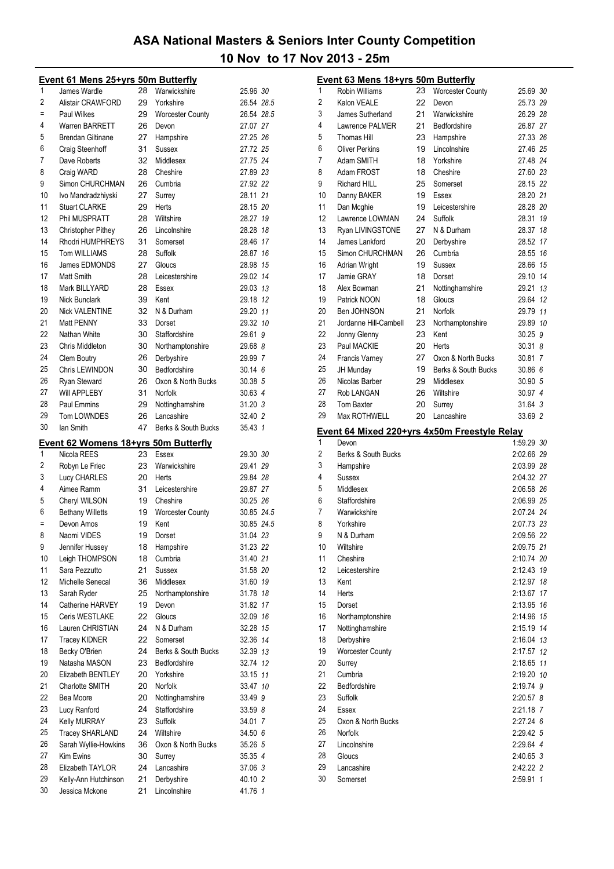|          | <b>Event 61 Mens 25+yrs 50m Butterfly</b>   |          |                            |                    |  |
|----------|---------------------------------------------|----------|----------------------------|--------------------|--|
| 1        | James Wardle                                | 28       | Warwickshire               | 25.96 30           |  |
| 2        | Alistair CRAWFORD                           | 29       | Yorkshire                  | 26.54 28.5         |  |
| Ξ        | Paul Wilkes                                 | 29       | <b>Worcester County</b>    | 26.54 28.5         |  |
| 4        | <b>Warren BARRETT</b>                       | 26       | Devon                      | 27.07 27           |  |
| 5        | <b>Brendan Giltinane</b>                    | 27       | Hampshire                  | 27.25 26           |  |
| 6        | Craig Steenhoff                             | 31       | Sussex                     | 27.72 25           |  |
| 7        | Dave Roberts                                | 32       | Middlesex                  | 27.75 24           |  |
| 8        | Craig WARD                                  | 28       | Cheshire                   | 27.89 23           |  |
| 9        | Simon CHURCHMAN                             | 26       | Cumbria                    | 27.92 22           |  |
| 10       | Ivo Mandradzhiyski                          | 27       | Surrey                     | 28.11 21           |  |
| 11       | <b>Stuart CLARKE</b>                        | 29       | Herts                      | 28.15 20           |  |
| 12       | Phil MUSPRATT                               | 28       | Wiltshire                  | 28.27 19           |  |
| 13       | Christopher Pithey                          | 26       | Lincolnshire               | 28.28 18           |  |
| 14       | Rhodri HUMPHREYS                            | 31       | Somerset                   | 28.46 17           |  |
| 15       | <b>Tom WILLIAMS</b>                         | 28       | Suffolk                    | 28.87 16           |  |
| 16       | James EDMONDS                               | 27       | Gloucs                     | 28.98 15           |  |
| 17       | Matt Smith                                  | 28       | Leicestershire             | 29.02 14           |  |
| 18       | Mark BILLYARD                               | 28       | Essex                      | 29.03 13           |  |
| 19       | <b>Nick Bunclark</b>                        | 39       | Kent                       | 29.18 12           |  |
| 20       | <b>Nick VALENTINE</b>                       | 32       | N & Durham                 | 29.20 11           |  |
| 21       | Matt PENNY                                  | 33       | Dorset                     | 29.32 10           |  |
| 22       |                                             |          | Staffordshire              |                    |  |
| 23       | Nathan White<br>Chris Middleton             | 30       |                            | 29.61 9            |  |
|          |                                             | 30       | Northamptonshire           | 29.68 8            |  |
| 24       | <b>Clem Boutry</b>                          | 26       | Derbyshire                 | 29.99 7            |  |
| 25       | Chris LEWINDON                              | 30       | Bedfordshire               | 30.146             |  |
| 26       | Ryan Steward                                | 26       | Oxon & North Bucks         | 30.38 5            |  |
| 27       | <b>Will APPLEBY</b>                         | 31       | Norfolk                    | 30.63 4            |  |
| 28       | <b>Paul Emmins</b>                          | 29       | Nottinghamshire            | 31.20 3            |  |
| 29       | Tom LOWNDES                                 | 26       | Lancashire                 | 32.40 2            |  |
| 30       | lan Smith                                   | 47       | Berks & South Bucks        | 35.43 1            |  |
|          | <u>Event 62 Womens 18+yrs 50m Butterfly</u> |          |                            |                    |  |
| 1        | Nicola REES                                 | 23       | Essex                      | 29.30 30           |  |
| 2        | Robyn Le Friec                              | 23       | Warwickshire               | 29.41 29           |  |
|          |                                             |          |                            |                    |  |
| 3        | Lucy CHARLES                                | 20       | Herts                      | 29.84 28           |  |
| 4        | Aimee Ramm                                  | 31       | Leicestershire             | 29.87 27           |  |
| 5        | Cheryl WILSON                               | 19       | Cheshire                   | 30.25 26           |  |
| 6        |                                             | 19       |                            | 30.85 24.5         |  |
|          | <b>Bethany Willetts</b>                     | 19       | Worcester County           |                    |  |
|          | Devon Amos                                  |          | Kent                       | 30.85 24.5         |  |
| 8        | Naomi VIDES                                 | 19       | Dorset                     | 31.04 23           |  |
| 9        | Jennifer Hussey                             | 18       | Hampshire                  | 31.23 22           |  |
| 10       | Leigh THOMPSON                              | 18       | Cumbria                    | 31.40 21           |  |
| 11       | Sara Pezzutto                               | 21       | Sussex                     | 31.58 20           |  |
| 12       | Michelle Senecal                            | 36       | Middlesex                  | 31.60 19           |  |
| 13       | Sarah Ryder                                 | 25       | Northamptonshire           | 31.78 18           |  |
| 14       | Catherine HARVEY                            | 19       | Devon                      | 31.82 17           |  |
| 15       | Ceris WESTLAKE                              | 22       | Gloucs                     | 32.09 16           |  |
| 16       | Lauren CHRISTIAN                            | 24       | N & Durham                 | 32.28 15           |  |
| 17       | <b>Tracey KIDNER</b>                        | 22       | Somerset                   | 32.36 14           |  |
| 18       | Becky O'Brien                               | 24       | Berks & South Bucks        | 32.39 13           |  |
| 19       | Natasha MASON                               | 23       | Bedfordshire               | 32.74 12           |  |
| 20       | Elizabeth BENTLEY                           | 20       | Yorkshire                  | 33.15 11           |  |
| 21       | Charlotte SMITH                             | 20       | Norfolk                    | 33.47 10           |  |
| 22       | Bea Moore                                   | 20       | Nottinghamshire            | 33.49 9            |  |
| 23       | Lucy Ranford                                | 24       | Staffordshire              | 33.59 8            |  |
| 24       | <b>Kelly MURRAY</b>                         | 23       | Suffolk                    | 34.01 7            |  |
| 25       | <b>Tracey SHARLAND</b>                      | 24       | Wiltshire                  | 34.50 6            |  |
| 26       | Sarah Wyllie-Howkins                        | 36       | Oxon & North Bucks         | 35.26 5            |  |
| 27       | <b>Kim Ewins</b>                            | 30       | Surrey                     | 35.35 4            |  |
| 28       | Elizabeth TAYLOR                            | 24       | Lancashire                 | 37.06 3            |  |
| 29<br>30 | Kelly-Ann Hutchinson<br>Jessica Mckone      | 21<br>21 | Derbyshire<br>Lincolnshire | 40.10 2<br>41.76 1 |  |

|          | <u>Event 63 Mens 18+yrs 50m Butterfly</u>    |    |                         |                        |    |
|----------|----------------------------------------------|----|-------------------------|------------------------|----|
| 1        | <b>Robin Williams</b>                        | 23 | <b>Worcester County</b> | 25.69 30               |    |
| 2        | Kalon VEALE                                  | 22 | Devon                   | 25.73 29               |    |
| 3        | James Sutherland                             | 21 | Warwickshire            | 26.29 28               |    |
| 4        | Lawrence PALMER                              | 21 | Bedfordshire            | 26.87 27               |    |
| 5        | <b>Thomas Hill</b>                           | 23 | Hampshire               | 27.33 26               |    |
| 6        | <b>Oliver Perkins</b>                        | 19 | Lincolnshire            | 27.46 25               |    |
| 7        | Adam SMITH                                   | 18 | Yorkshire               | 27.48 24               |    |
| 8        | Adam FROST                                   | 18 | Cheshire                | 27.60 23               |    |
| 9        | <b>Richard HILL</b>                          | 25 | Somerset                | 28.15 22               |    |
| 10       | Danny BAKER                                  | 19 | Essex                   | 28.20 21               |    |
| 11       | Dan Mcghie                                   | 19 | Leicestershire          | 28.28 20               |    |
| 12       | Lawrence LOWMAN                              | 24 | Suffolk                 | 28.31                  | 19 |
| 13       | Ryan LIVINGSTONE                             | 27 | N & Durham              | 28.37                  | 18 |
| 14       | James Lankford                               | 20 | Derbyshire              | 28.52                  | 17 |
| 15       | Simon CHURCHMAN                              | 26 | Cumbria                 | 28.55 16               |    |
| 16       | <b>Adrian Wright</b>                         | 19 | Sussex                  | 28.66                  | 15 |
| 17       | Jamie GRAY                                   | 18 | Dorset                  | 29.10 14               |    |
| 18       | Alex Bowman                                  | 21 | Nottinghamshire         | 29.21                  | 13 |
| 19       | Patrick NOON                                 | 18 | Gloucs                  | 29.64 12               |    |
| 20       | Ben JOHNSON                                  | 21 | Norfolk                 | 29.79 11               |    |
| 21       | Jordanne Hill-Cambell                        | 23 | Northamptonshire        | 29.89 10               |    |
| 22       | Jonny Glenny                                 | 23 | Kent                    | 30.25 9                |    |
| 23       | Paul MACKIE                                  | 20 | Herts                   | 30.31 8                |    |
| 24       | <b>Francis Varney</b>                        | 27 | Oxon & North Bucks      | 30.81 7                |    |
| 25       | <b>JH Munday</b>                             | 19 | Berks & South Bucks     | 30.86 6                |    |
| 26       | Nicolas Barber                               | 29 | Middlesex               | 30.90 5                |    |
| 27       | Rob LANGAN                                   | 26 | Wiltshire               | 30.97 4                |    |
| 28       | <b>Tom Baxter</b>                            | 20 | Surrey                  | 31.64 3                |    |
| 29       | Max ROTHWELL                                 | 20 | Lancashire              | 33.69 2                |    |
|          |                                              |    |                         |                        |    |
|          | Event 64 Mixed 220+yrs 4x50m Freestyle Relay |    |                         |                        |    |
| 1        | Devon                                        |    |                         | 1:59.29 30             |    |
| 2        | Berks & South Bucks                          |    |                         | 2:02.66 29             |    |
| 3        | Hampshire                                    |    |                         | 2:03.99 28             |    |
| 4        | Sussex                                       |    |                         | 2:04.32 27             |    |
| 5        | Middlesex                                    |    |                         | 2:06.58 26             |    |
| 6        | Staffordshire                                |    |                         | 2:06.99 25             |    |
| 7        | Warwickshire                                 |    |                         | 2:07.24 24             |    |
| 8        | Yorkshire                                    |    |                         | 2:07.73 23             |    |
| 9        | N & Durham                                   |    |                         | 2:09.56 22             |    |
| 10       | Wiltshire                                    |    |                         | 2:09.75 21             |    |
| 11       | Cheshire                                     |    |                         | 2:10.74 20             |    |
| 12       | Leicestershire                               |    |                         | 2:12.43 19             |    |
| 13       | Kent                                         |    |                         | 2:12.97                | 18 |
| 14       | Herts                                        |    |                         | 2:13.67                | 17 |
| 15       | Dorset                                       |    |                         | 2:13.95 16             |    |
| 16       | Northamptonshire                             |    |                         | 2:14.96 15             |    |
| 17       | Nottinghamshire                              |    |                         | 2:15.19 14             |    |
| 18       | Derbyshire                                   |    |                         | 2:16.04 13             |    |
| 19       | Worcester County                             |    |                         | 2:17.57 12             |    |
| 20       | Surrey                                       |    |                         | 2:18.65 11             |    |
| 21       | Cumbria                                      |    |                         | 2:19.20 10             |    |
| 22       | Bedfordshire                                 |    |                         | 2:19.74 9              |    |
| 23       | Suffolk                                      |    |                         | 2:20.57 8              |    |
| 24       | Essex                                        |    |                         | 2:21.18 7              |    |
| 25       | Oxon & North Bucks                           |    |                         | 2:27.24 6              |    |
| 26       | Norfolk                                      |    |                         | 2:29.42 5              |    |
| 27       | Lincolnshire                                 |    |                         | 2:29.64 4              |    |
| 28       | Gloucs                                       |    |                         | 2:40.65 3              |    |
| 29<br>30 | Lancashire<br>Somerset                       |    |                         | 2:42.22 2<br>2:59.91 1 |    |